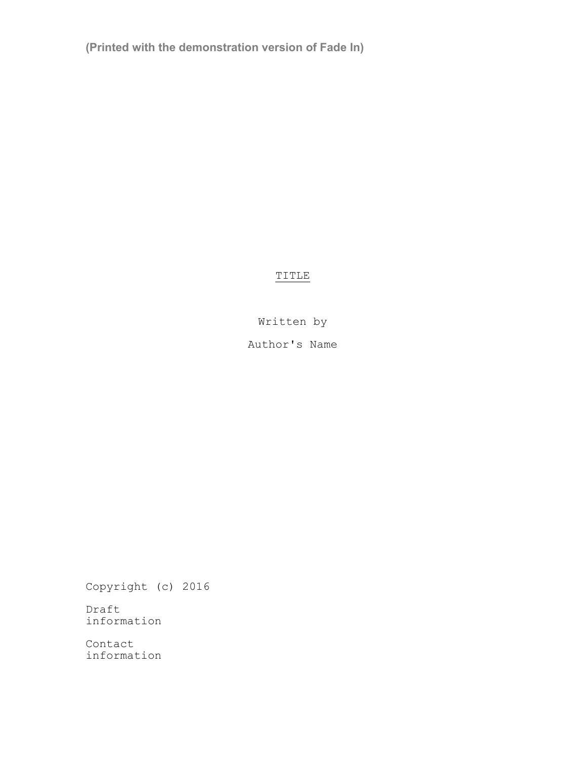**(Printed with the demonstration version of Fade In)**

## TITLE

Written by

Author's Name

Copyright (c) 2016

Draft information

Contact information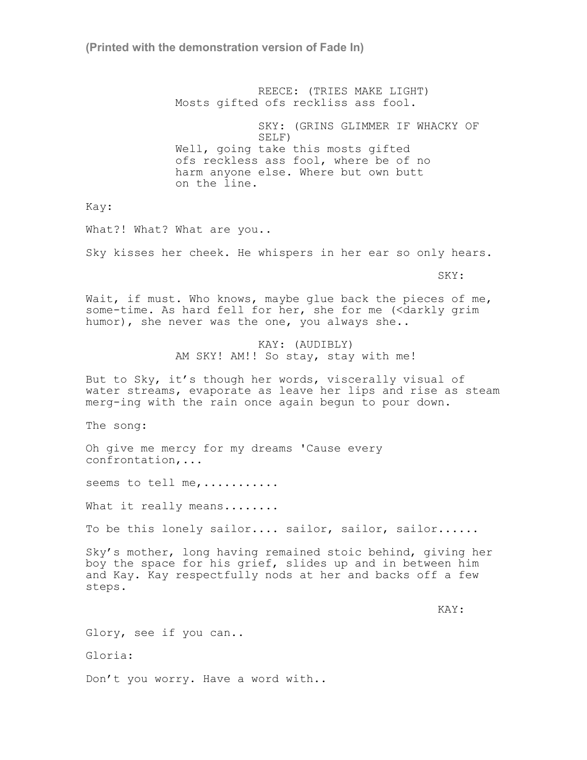**(Printed with the demonstration version of Fade In)**

REECE: (TRIES MAKE LIGHT) Mosts gifted ofs reckliss ass fool. SKY: (GRINS GLIMMER IF WHACKY OF SELF) Well, going take this mosts gifted ofs reckless ass fool, where be of no harm anyone else. Where but own butt on the line.

Kay:

What?! What? What are you..

Sky kisses her cheek. He whispers in her ear so only hears.

SKY:

Wait, if must. Who knows, maybe glue back the pieces of me, some-time. As hard fell for her, she for me (<darkly grim humor), she never was the one, you always she..

> KAY: (AUDIBLY) AM SKY! AM!! So stay, stay with me!

But to Sky, it's though her words, viscerally visual of water streams, evaporate as leave her lips and rise as steam merg-ing with the rain once again begun to pour down.

The song:

Oh give me mercy for my dreams 'Cause every confrontation,...

seems to tell me,..........

What it really means........

To be this lonely sailor.... sailor, sailor, sailor......

Sky's mother, long having remained stoic behind, giving her boy the space for his grief, slides up and in between him and Kay. Kay respectfully nods at her and backs off a few steps.

KAY:

Glory, see if you can..

Gloria:

Don't you worry. Have a word with..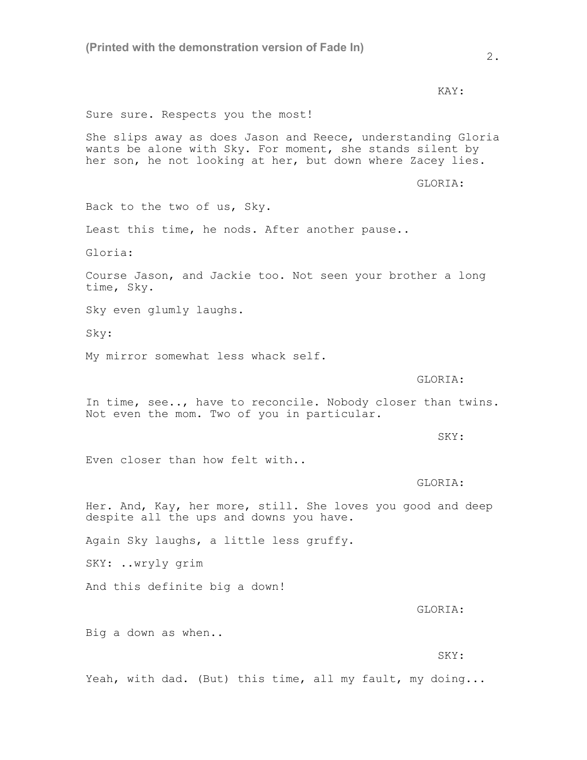KAY: Sure sure. Respects you the most! She slips away as does Jason and Reece, understanding Gloria wants be alone with Sky. For moment, she stands silent by her son, he not looking at her, but down where Zacey lies. GLORIA: Back to the two of us, Sky. Least this time, he nods. After another pause.. Gloria: Course Jason, and Jackie too. Not seen your brother a long time, Sky. Sky even glumly laughs. Sky: My mirror somewhat less whack self. GLORIA: In time, see.., have to reconcile. Nobody closer than twins. Not even the mom. Two of you in particular. SKY: Even closer than how felt with.. GLORIA: Her. And, Kay, her more, still. She loves you good and deep despite all the ups and downs you have. Again Sky laughs, a little less gruffy. SKY: ..wryly grim And this definite big a down! GLORIA: Big a down as when.. SKY: Yeah, with dad. (But) this time, all my fault, my doing...

**(Printed with the demonstration version of Fade In)**

2.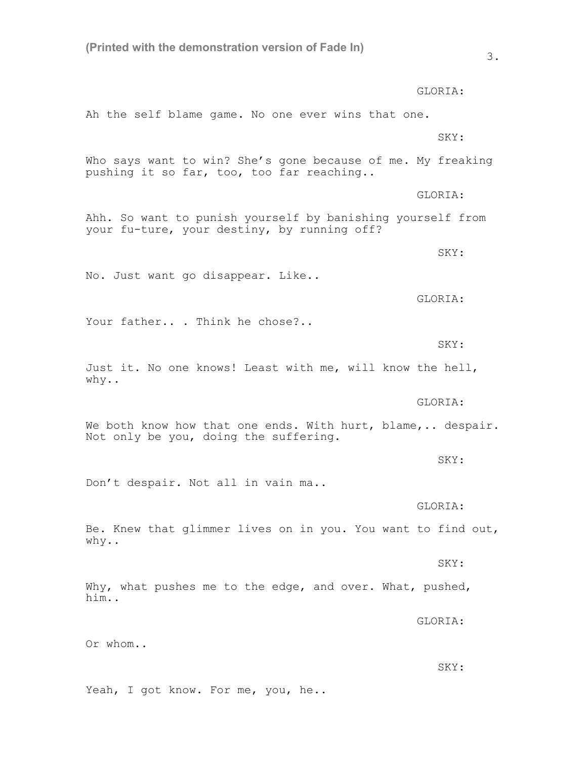Ah the self blame game. No one ever wins that one. SKY: Who says want to win? She's gone because of me. My freaking pushing it so far, too, too far reaching.. GLORIA: Ahh. So want to punish yourself by banishing yourself from your fu-ture, your destiny, by running off? SKY: No. Just want go disappear. Like.. GLORIA: Your father... Think he chose?.. SKY: Just it. No one knows! Least with me, will know the hell, why.. GLORIA: We both know how that one ends. With hurt, blame,.. despair. Not only be you, doing the suffering. SKY: Don't despair. Not all in vain ma.. GLORIA: Be. Knew that glimmer lives on in you. You want to find out, why.. SKY: Why, what pushes me to the edge, and over. What, pushed, him.. GLORIA: Or whom.. SKY: Yeah, I got know. For me, you, he..

# **(Printed with the demonstration version of Fade In)**

3.

GLORIA: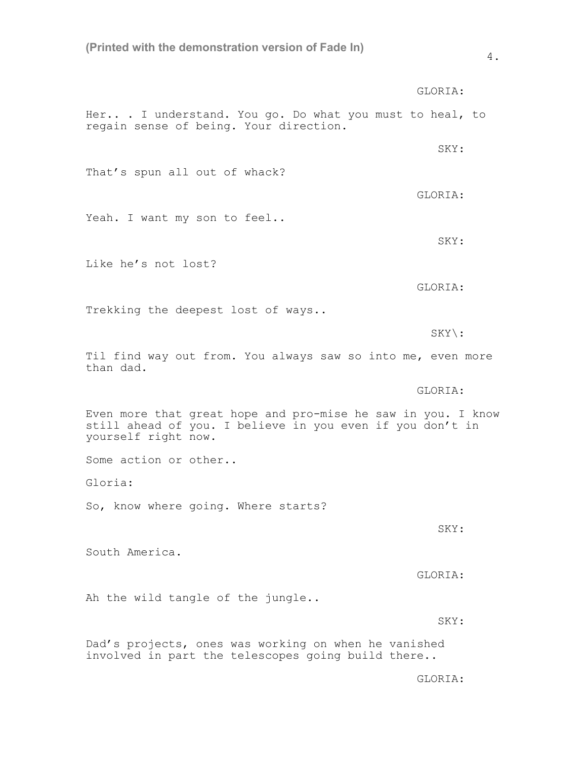GLORIA: Her.. . I understand. You go. Do what you must to heal, to regain sense of being. Your direction. SKY: That's spun all out of whack? GLORIA: Yeah. I want my son to feel.. SKY: Like he's not lost? GLORIA: Trekking the deepest lost of ways.. SKY\: Til find way out from. You always saw so into me, even more than dad. GLORIA: Even more that great hope and pro-mise he saw in you. I know still ahead of you. I believe in you even if you don't in yourself right now. Some action or other.. Gloria: So, know where going. Where starts? SKY: South America. GLORIA: Ah the wild tangle of the jungle.. SKY: Dad's projects, ones was working on when he vanished involved in part the telescopes going build there..

GLORIA:

4.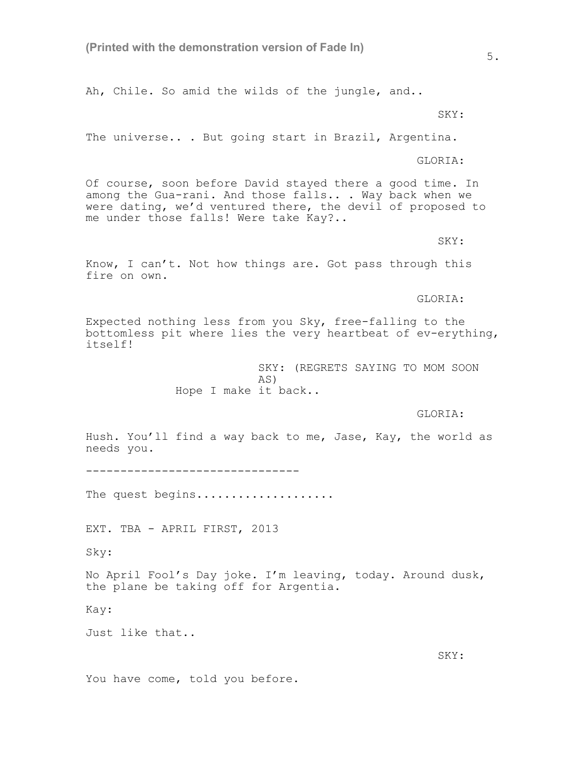Ah, Chile. So amid the wilds of the jungle, and..

SKY:

The universe... But going start in Brazil, Argentina.

GLORIA:

Of course, soon before David stayed there a good time. In among the Gua-rani. And those falls.. . Way back when we were dating, we'd ventured there, the devil of proposed to me under those falls! Were take Kay?..

SKY:

Know, I can't. Not how things are. Got pass through this fire on own.

GLORIA:

Expected nothing less from you Sky, free-falling to the bottomless pit where lies the very heartbeat of ev-erything, itself!

> SKY: (REGRETS SAYING TO MOM SOON AS) Hope I make it back..

> > GLORIA:

Hush. You'll find a way back to me, Jase, Kay, the world as needs you.

-------------------------------

The quest begins...................

EXT. TBA - APRIL FIRST, 2013

Sky:

No April Fool's Day joke. I'm leaving, today. Around dusk, the plane be taking off for Argentia.

Kay:

Just like that..

SKY:

You have come, told you before.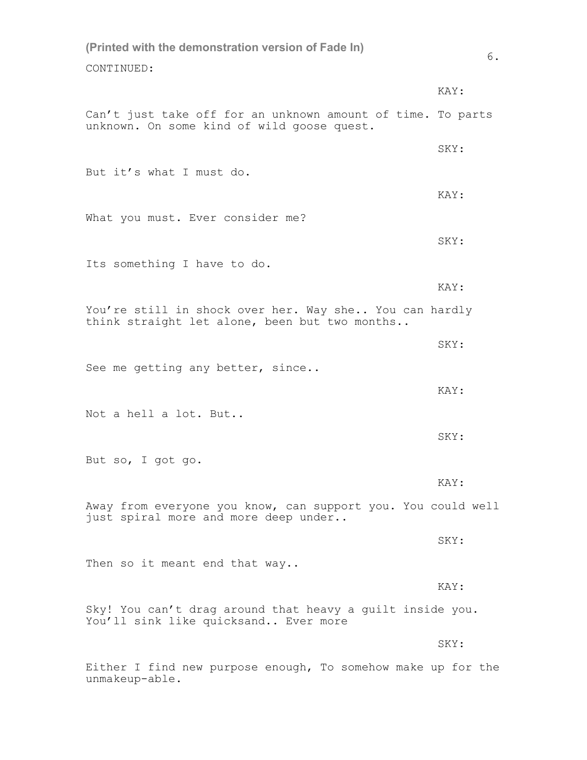KAY: Can't just take off for an unknown amount of time. To parts unknown. On some kind of wild goose quest. SKY: But it's what I must do. KAY: What you must. Ever consider me? SKY: Its something I have to do. KAY: You're still in shock over her. Way she.. You can hardly think straight let alone, been but two months.. SKY: See me getting any better, since... KAY: Not a hell a lot. But.. SKY: But so, I got go. KAY: Away from everyone you know, can support you. You could well just spiral more and more deep under.. SKY: Then so it meant end that way.. KAY: Sky! You can't drag around that heavy a guilt inside you. You'll sink like quicksand.. Ever more SKY: Either I find new purpose enough, To somehow make up for the unmakeup-able. CONTINUED: 6. **(Printed with the demonstration version of Fade In)**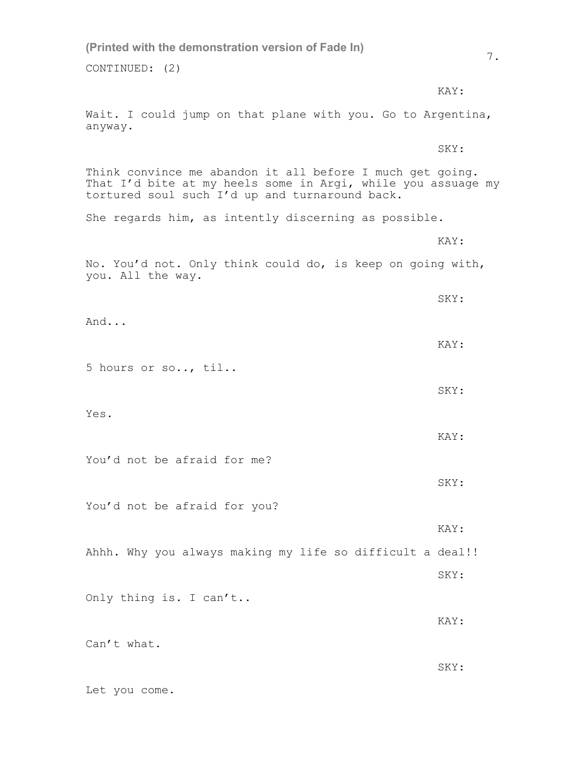Wait. I could jump on that plane with you. Go to Argentina, anyway. SKY: Think convince me abandon it all before I much get going. tortured soul such I'd up and turnaround back. She regards him, as intently discerning as possible. KAY: No. You'd not. Only think could do, is keep on going with, you. All the way. SKY: And... KAY: 5 hours or so.., til.. SKY: Yes. KAY: You'd not be afraid for me? SKY: You'd not be afraid for you? KAY: Ahhh. Why you always making my life so difficult a deal!! SKY: Only thing is. I can't.. KAY: Can't what. SKY:

Let you come.

That I'd bite at my heels some in Argi, while you assuage my

**(Printed with the demonstration version of Fade In)**

CONTINUED: (2)

7.

KAY: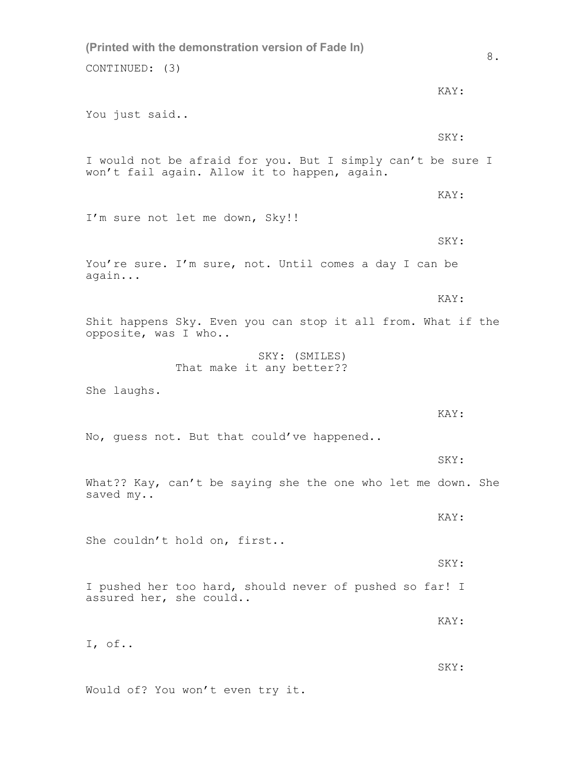KAY: You just said.. SKY: I would not be afraid for you. But I simply can't be sure I won't fail again. Allow it to happen, again. KAY: I'm sure not let me down, Sky!! SKY: You're sure. I'm sure, not. Until comes a day I can be again... KAY: Shit happens Sky. Even you can stop it all from. What if the opposite, was I who.. SKY: (SMILES) That make it any better?? She laughs. KAY: No, guess not. But that could've happened.. SKY: What?? Kay, can't be saying she the one who let me down. She saved my.. KAY: She couldn't hold on, first.. SKY: I pushed her too hard, should never of pushed so far! I assured her, she could.. KAY: I, of.. SKY: Would of? You won't even try it. CONTINUED: (3) 8. **(Printed with the demonstration version of Fade In)**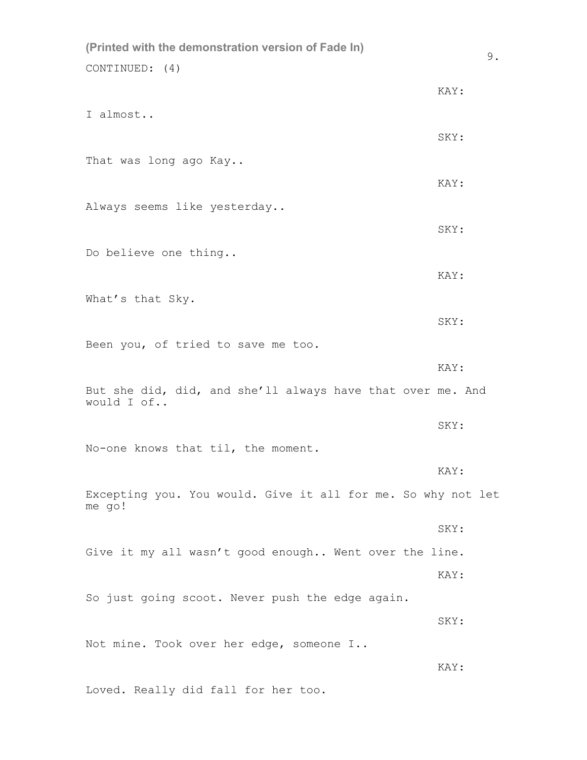KAY: I almost.. SKY: That was long ago Kay.. KAY: Always seems like yesterday.. SKY: Do believe one thing.. KAY: What's that Sky. SKY: Been you, of tried to save me too. KAY: But she did, did, and she'll always have that over me. And would I of.. SKY: No-one knows that til, the moment. KAY: Excepting you. You would. Give it all for me. So why not let me go! SKY: Give it my all wasn't good enough.. Went over the line. KAY: So just going scoot. Never push the edge again. SKY: Not mine. Took over her edge, someone I.. KAY: Loved. Really did fall for her too. CONTINUED: (4) 9. **(Printed with the demonstration version of Fade In)**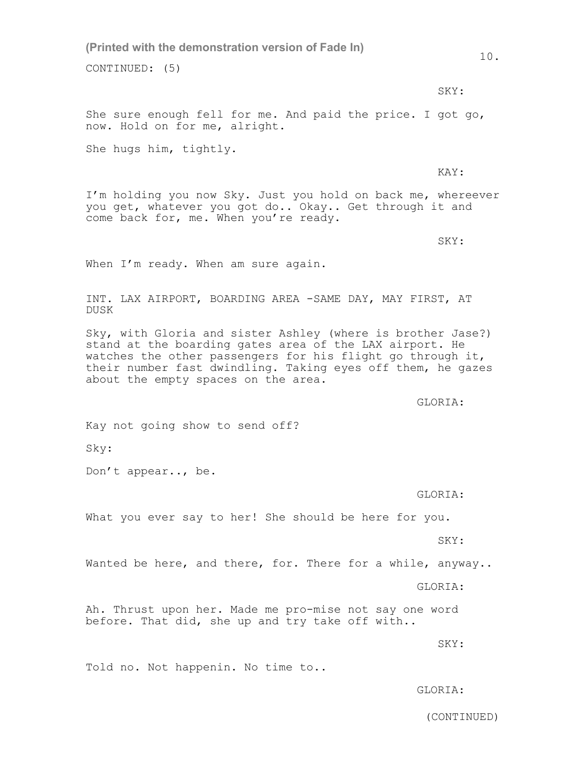**(Printed with the demonstration version of Fade In)**

CONTINUED: (5)

SKY:

10.

She sure enough fell for me. And paid the price. I got go, now. Hold on for me, alright.

She hugs him, tightly.

KAY:

I'm holding you now Sky. Just you hold on back me, whereever you get, whatever you got do.. Okay.. Get through it and come back for, me. When you're ready.

SKY:

When I'm ready. When am sure again.

INT. LAX AIRPORT, BOARDING AREA -SAME DAY, MAY FIRST, AT DUSK

Sky, with Gloria and sister Ashley (where is brother Jase?) stand at the boarding gates area of the LAX airport. He watches the other passengers for his flight go through it, their number fast dwindling. Taking eyes off them, he gazes about the empty spaces on the area.

GLORIA:

Kay not going show to send off?

Sky:

Don't appear.., be.

GLORIA:

What you ever say to her! She should be here for you.

SKY:

Wanted be here, and there, for. There for a while, anyway..

GLORIA:

Ah. Thrust upon her. Made me pro-mise not say one word before. That did, she up and try take off with..

SKY:

Told no. Not happenin. No time to..

GLORIA: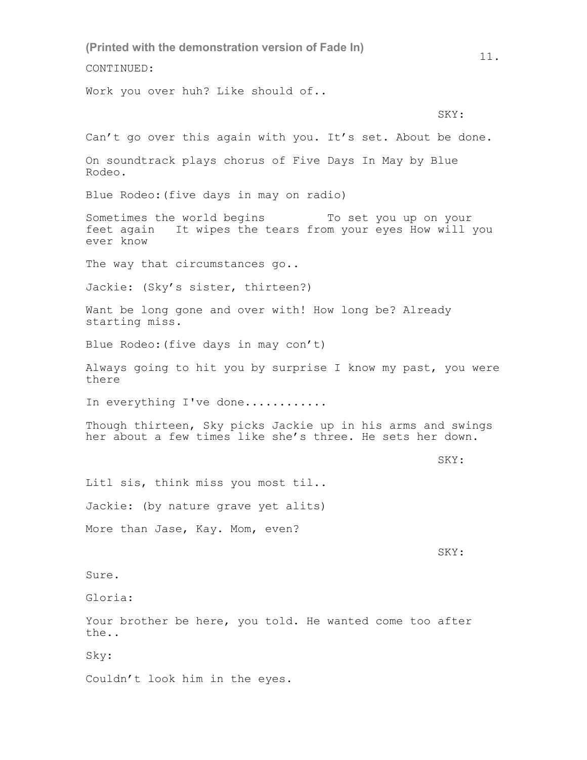Work you over huh? Like should of.. SKY: Can't go over this again with you. It's set. About be done. On soundtrack plays chorus of Five Days In May by Blue Rodeo. Blue Rodeo:(five days in may on radio) Sometimes the world begins To set you up on your feet again It wipes the tears from your eyes How will you ever know The way that circumstances go.. Jackie: (Sky's sister, thirteen?) Want be long gone and over with! How long be? Already starting miss. Blue Rodeo:(five days in may con't) Always going to hit you by surprise I know my past, you were there In everything I've done........... Though thirteen, Sky picks Jackie up in his arms and swings her about a few times like she's three. He sets her down. SKY: Litl sis, think miss you most til.. Jackie: (by nature grave yet alits) More than Jase, Kay. Mom, even? SKY: Sure. Gloria: Your brother be here, you told. He wanted come too after the.. Sky: Couldn't look him in the eyes. CONTINUED: 11. **(Printed with the demonstration version of Fade In)**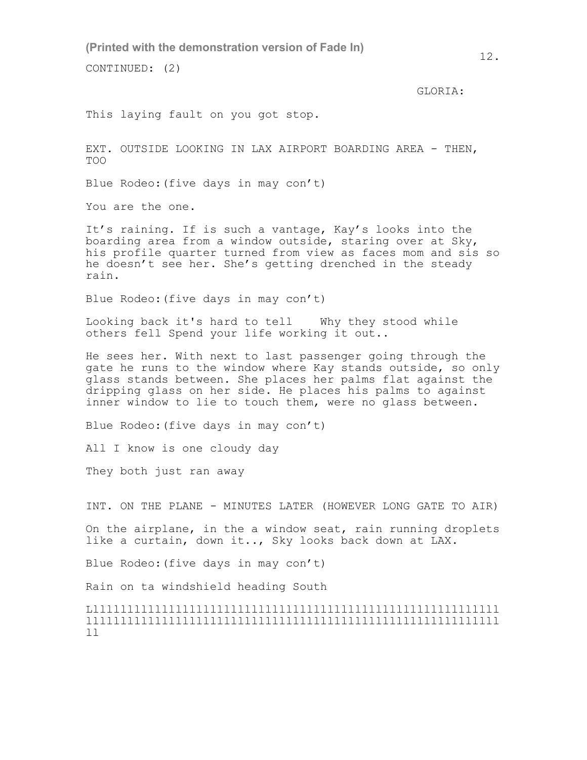**(Printed with the demonstration version of Fade In)**

CONTINUED: (2)

GLORIA:

This laying fault on you got stop.

EXT. OUTSIDE LOOKING IN LAX AIRPORT BOARDING AREA - THEN, TOO

Blue Rodeo:(five days in may con't)

You are the one.

It's raining. If is such a vantage, Kay's looks into the boarding area from a window outside, staring over at Sky, his profile quarter turned from view as faces mom and sis so he doesn't see her. She's getting drenched in the steady rain.

Blue Rodeo:(five days in may con't)

Looking back it's hard to tell Why they stood while others fell Spend your life working it out..

He sees her. With next to last passenger going through the gate he runs to the window where Kay stands outside, so only glass stands between. She places her palms flat against the dripping glass on her side. He places his palms to against inner window to lie to touch them, were no glass between.

Blue Rodeo:(five days in may con't)

All I know is one cloudy day

They both just ran away

INT. ON THE PLANE - MINUTES LATER (HOWEVER LONG GATE TO AIR)

On the airplane, in the a window seat, rain running droplets like a curtain, down it.., Sky looks back down at LAX.

Blue Rodeo:(five days in may con't)

Rain on ta windshield heading South

Llllllllllllllllllllllllllllllllllllllllllllllllllllllllllll  $\begin{minipage}{0.99\linewidth} \hspace*{1.8cm} \textbf{1} \textbf{1} \textbf{1} \textbf{1} \textbf{1} \textbf{1} \textbf{1} \textbf{1} \textbf{1} \textbf{1} \textbf{1} \textbf{1} \textbf{1} \textbf{1} \textbf{1} \textbf{1} \textbf{1} \textbf{1} \textbf{1} \textbf{1} \textbf{1} \textbf{1} \textbf{1} \textbf{1} \textbf{1} \textbf{1} \textbf{1} \textbf{1} \textbf{1} \textbf{1} \textbf{1} \textbf{1} \textbf{$ ll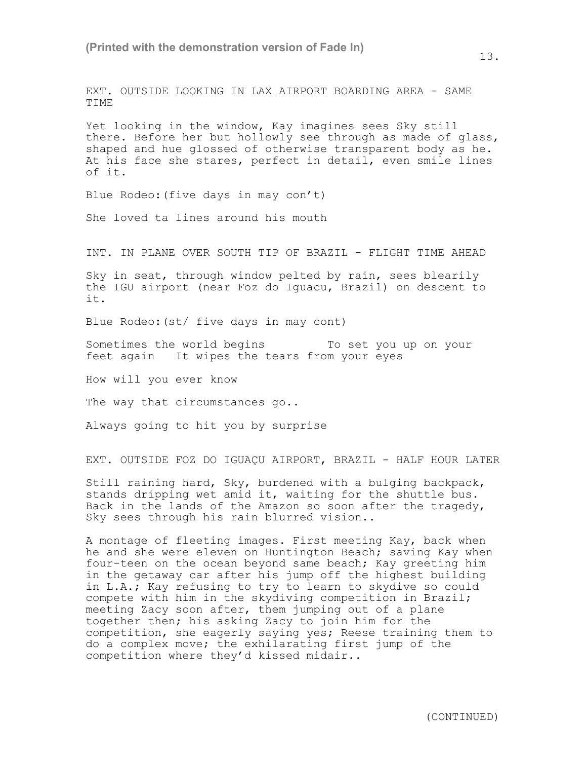EXT. OUTSIDE LOOKING IN LAX AIRPORT BOARDING AREA - SAME TIME

Yet looking in the window, Kay imagines sees Sky still there. Before her but hollowly see through as made of glass, shaped and hue glossed of otherwise transparent body as he. At his face she stares, perfect in detail, even smile lines of it.

Blue Rodeo:(five days in may con't)

She loved ta lines around his mouth

INT. IN PLANE OVER SOUTH TIP OF BRAZIL - FLIGHT TIME AHEAD

Sky in seat, through window pelted by rain, sees blearily the IGU airport (near Foz do Iguacu, Brazil) on descent to it.

Blue Rodeo:(st/ five days in may cont)

Sometimes the world begins To set you up on your feet again It wipes the tears from your eyes

How will you ever know

The way that circumstances go..

Always going to hit you by surprise

EXT. OUTSIDE FOZ DO IGUAÇU AIRPORT, BRAZIL - HALF HOUR LATER

Still raining hard, Sky, burdened with a bulging backpack, stands dripping wet amid it, waiting for the shuttle bus. Back in the lands of the Amazon so soon after the tragedy, Sky sees through his rain blurred vision..

A montage of fleeting images. First meeting Kay, back when he and she were eleven on Huntington Beach; saving Kay when four-teen on the ocean beyond same beach; Kay greeting him in the getaway car after his jump off the highest building in L.A.; Kay refusing to try to learn to skydive so could compete with him in the skydiving competition in Brazil; meeting Zacy soon after, them jumping out of a plane together then; his asking Zacy to join him for the competition, she eagerly saying yes; Reese training them to do a complex move; the exhilarating first jump of the competition where they'd kissed midair..

13.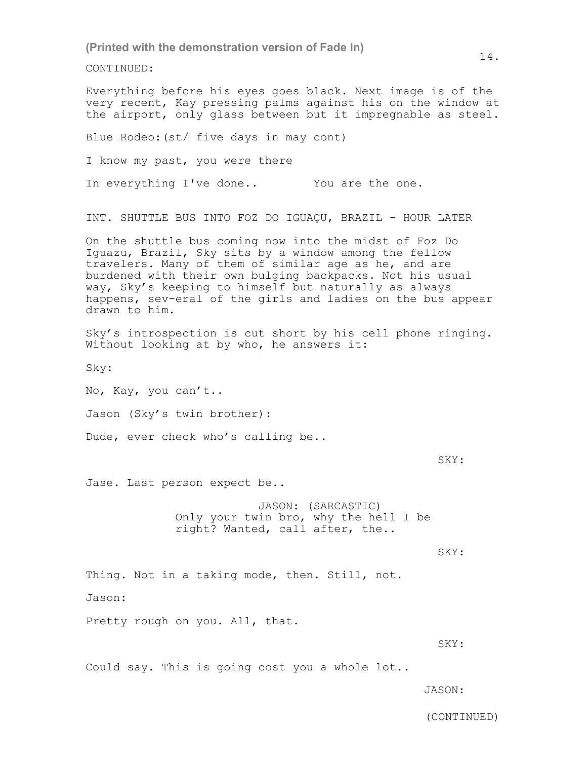Everything before his eyes goes black. Next image is of the very recent, Kay pressing palms against his on the window at the airport, only glass between but it impregnable as steel. Blue Rodeo:(st/ five days in may cont) I know my past, you were there In everything I've done.. You are the one. INT. SHUTTLE BUS INTO FOZ DO IGUAÇU, BRAZIL - HOUR LATER On the shuttle bus coming now into the midst of Foz Do Iguazu, Brazil, Sky sits by a window among the fellow travelers. Many of them of similar age as he, and are burdened with their own bulging backpacks. Not his usual way, Sky's keeping to himself but naturally as always happens, sev-eral of the girls and ladies on the bus appear drawn to him. Sky's introspection is cut short by his cell phone ringing. Without looking at by who, he answers it: Sky: No, Kay, you can't.. Jason (Sky's twin brother): Dude, ever check who's calling be.. SKY: CONTINUED:

Jase. Last person expect be..

JASON: (SARCASTIC) Only your twin bro, why the hell I be right? Wanted, call after, the..

SKY:

Thing. Not in a taking mode, then. Still, not.

Jason:

Pretty rough on you. All, that.

SKY:

Could say. This is going cost you a whole lot..

JASON: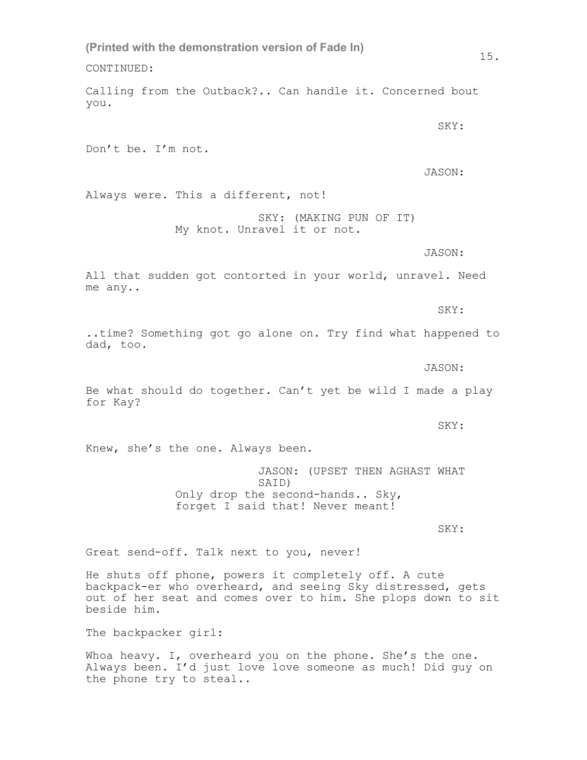SKY: Don't be. I'm not. JASON: Always were. This a different, not! SKY: (MAKING PUN OF IT) My knot. Unravel it or not. JASON: All that sudden got contorted in your world, unravel. Need me any.. SKY: JASON: for Kay? SKY: JASON: (UPSET THEN AGHAST WHAT SAID) Only drop the second-hands.. Sky, forget I said that! Never meant! SKY: Great send-off. Talk next to you, never! He shuts off phone, powers it completely off. A cute backpack-er who overheard, and seeing Sky distressed, gets out of her seat and comes over to him. She plops down to sit beside him. The backpacker girl:

Whoa heavy. I, overheard you on the phone. She's the one. Always been. I'd just love love someone as much! Did guy on the phone try to steal..

..time? Something got go alone on. Try find what happened to

dad, too.

Be what should do together. Can't yet be wild I made a play

Knew, she's the one. Always been.

**(Printed with the demonstration version of Fade In)**

CONTINUED:

Calling from the Outback?.. Can handle it. Concerned bout you.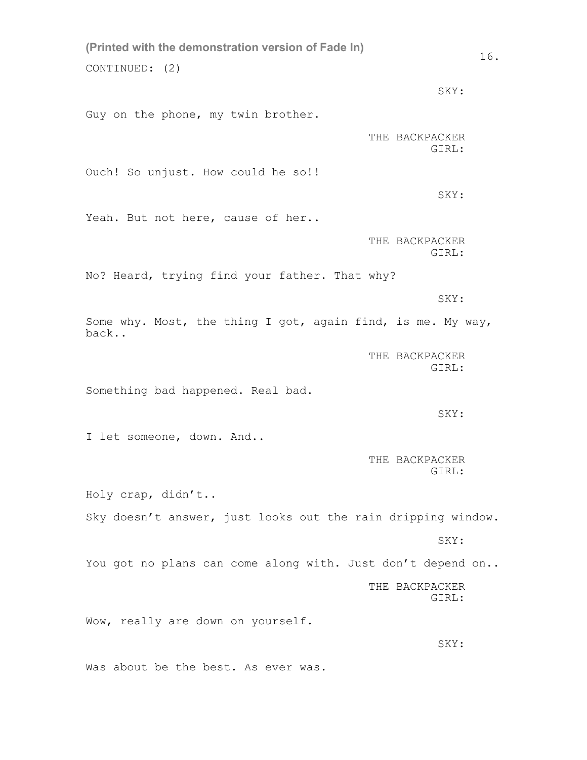SKY: Guy on the phone, my twin brother. THE BACKPACKER GIRL: Ouch! So unjust. How could he so!! SKY: Yeah. But not here, cause of her.. THE BACKPACKER GIRL: No? Heard, trying find your father. That why? SKY: Some why. Most, the thing I got, again find, is me. My way, back.. THE BACKPACKER GIRL: Something bad happened. Real bad. SKY: I let someone, down. And.. THE BACKPACKER GIRL: Holy crap, didn't.. Sky doesn't answer, just looks out the rain dripping window. SKY: You got no plans can come along with. Just don't depend on.. THE BACKPACKER GIRL: Wow, really are down on yourself. SKY: Was about be the best. As ever was. CONTINUED: (2) 16. **(Printed with the demonstration version of Fade In)**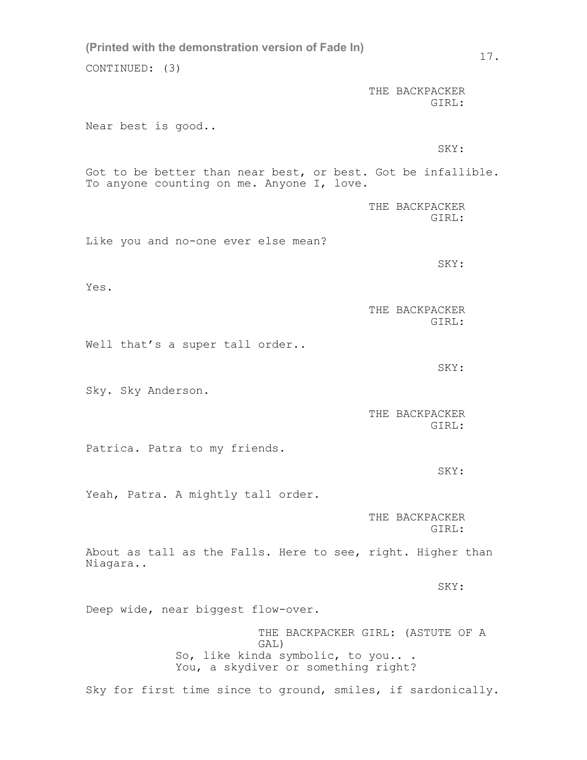THE BACKPACKER GIRL: Near best is good.. SKY: Got to be better than near best, or best. Got be infallible. To anyone counting on me. Anyone I, love. THE BACKPACKER GIRL: Like you and no-one ever else mean? SKY: Yes. THE BACKPACKER GIRL: Well that's a super tall order.. SKY: Sky. Sky Anderson. THE BACKPACKER GIRL: Patrica. Patra to my friends. SKY: Yeah, Patra. A mightly tall order. THE BACKPACKER GIRL: About as tall as the Falls. Here to see, right. Higher than Niagara.. SKY: Deep wide, near biggest flow-over. THE BACKPACKER GIRL: (ASTUTE OF A GAL) So, like kinda symbolic, to you.. . You, a skydiver or something right? Sky for first time since to ground, smiles, if sardonically. CONTINUED: (3) 17. **(Printed with the demonstration version of Fade In)**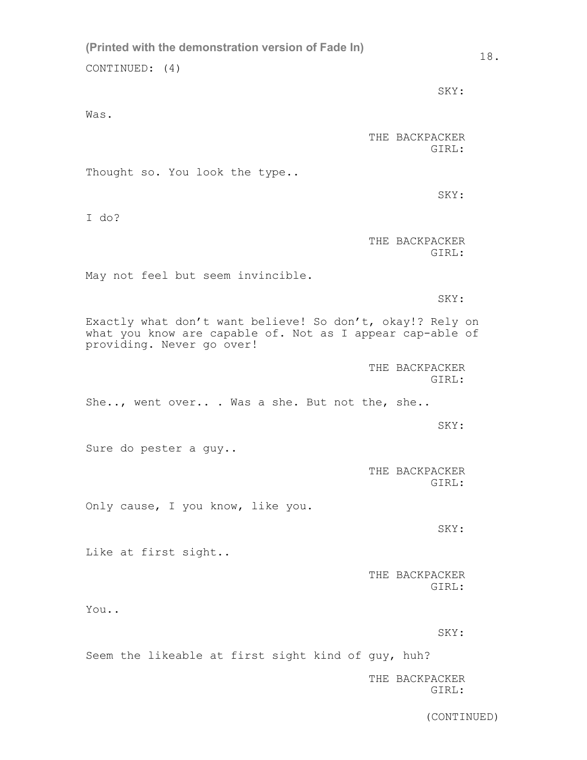SKY: Was. THE BACKPACKER GIRL: Thought so. You look the type.. SKY: I do? THE BACKPACKER GIRL: May not feel but seem invincible. SKY: Exactly what don't want believe! So don't, okay!? Rely on what you know are capable of. Not as I appear cap-able of providing. Never go over! THE BACKPACKER GIRL: She.., went over.. . Was a she. But not the, she.. SKY: Sure do pester a guy.. THE BACKPACKER GIRL: Only cause, I you know, like you. SKY: Like at first sight.. THE BACKPACKER GIRL: You.. SKY: Seem the likeable at first sight kind of guy, huh? THE BACKPACKER CONTINUED: (4) 18. **(Printed with the demonstration version of Fade In)**

GIRL: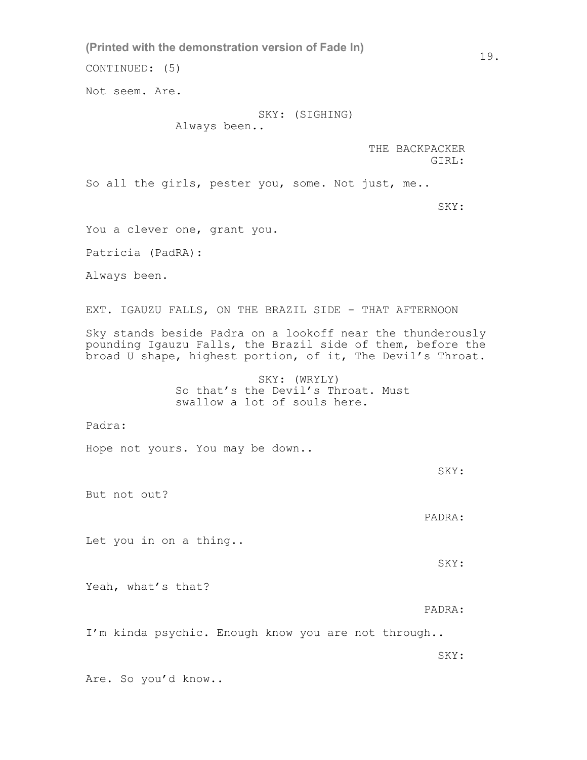Not seem. Are. SKY: (SIGHING) Always been.. THE BACKPACKER GIRL: So all the girls, pester you, some. Not just, me.. SKY: You a clever one, grant you. Patricia (PadRA): Always been. EXT. IGAUZU FALLS, ON THE BRAZIL SIDE - THAT AFTERNOON Sky stands beside Padra on a lookoff near the thunderously pounding Igauzu Falls, the Brazil side of them, before the broad U shape, highest portion, of it, The Devil's Throat. SKY: (WRYLY) So that's the Devil's Throat. Must swallow a lot of souls here. Padra: Hope not yours. You may be down.. SKY: But not out? PADRA: Let you in on a thing.. SKY: Yeah, what's that? PADRA: I'm kinda psychic. Enough know you are not through.. SKY: Are. So you'd know.. CONTINUED: (5) 19. **(Printed with the demonstration version of Fade In)**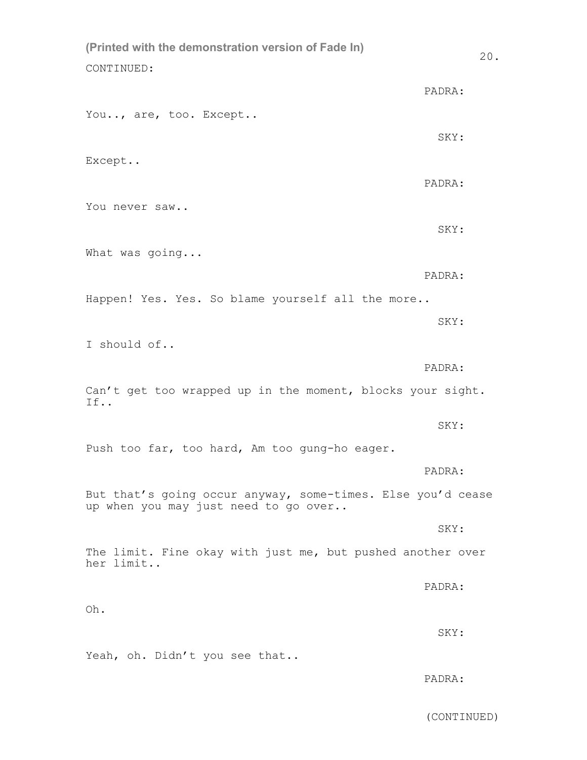PADRA: You.., are, too. Except.. SKY: Except.. PADRA: You never saw.. SKY: What was going... PADRA: Happen! Yes. Yes. So blame yourself all the more.. SKY: I should of.. PADRA: Can't get too wrapped up in the moment, blocks your sight. If.. SKY: Push too far, too hard, Am too gung-ho eager. PADRA: But that's going occur anyway, some-times. Else you'd cease up when you may just need to go over.. SKY: The limit. Fine okay with just me, but pushed another over her limit.. PADRA: Oh. SKY: Yeah, oh. Didn't you see that.. PADRA: CONTINUED: 20. **(Printed with the demonstration version of Fade In)**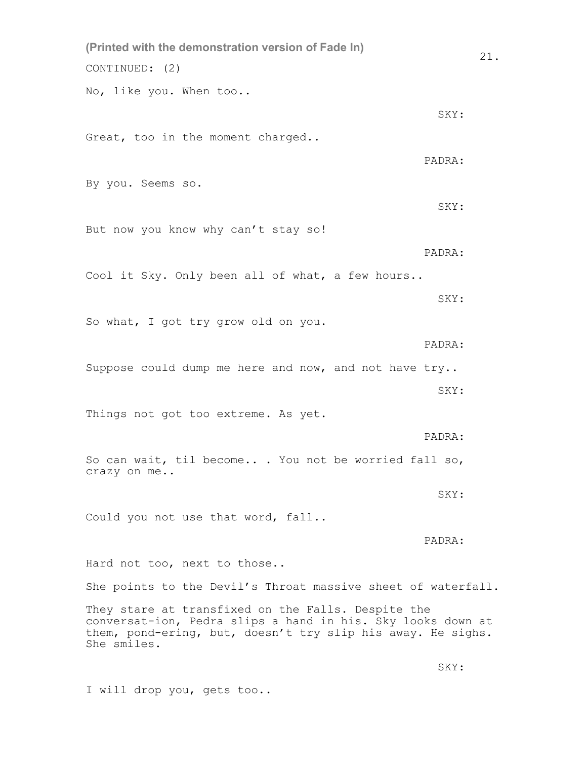No, like you. When too.. SKY: Great, too in the moment charged.. PADRA: By you. Seems so. SKY: But now you know why can't stay so! PADRA: Cool it Sky. Only been all of what, a few hours.. SKY: So what, I got try grow old on you. PADRA: Suppose could dump me here and now, and not have try.. SKY: Things not got too extreme. As yet. PADRA: So can wait, til become.. . You not be worried fall so, crazy on me.. SKY: Could you not use that word, fall.. PADRA: Hard not too, next to those.. She points to the Devil's Throat massive sheet of waterfall. They stare at transfixed on the Falls. Despite the conversat-ion, Pedra slips a hand in his. Sky looks down at them, pond-ering, but, doesn't try slip his away. He sighs. She smiles. SKY: CONTINUED: (2) 21. **(Printed with the demonstration version of Fade In)**

I will drop you, gets too..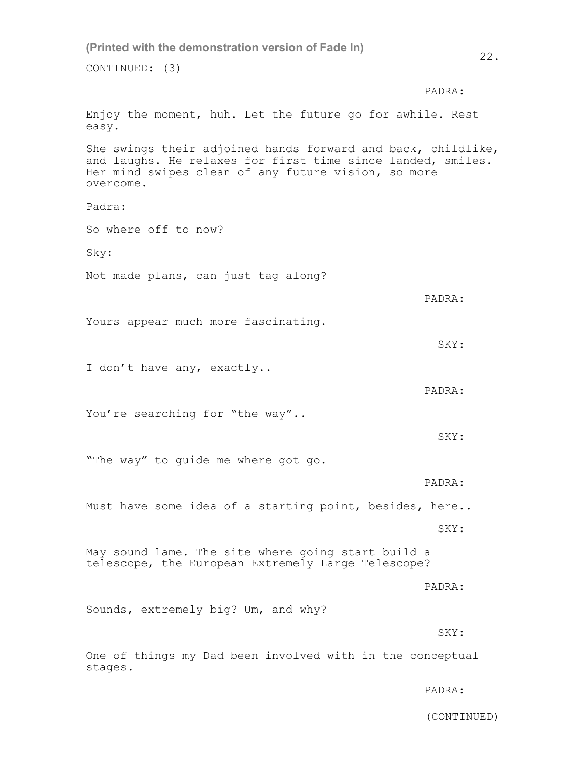| (Printed with the demonstration version of Fade In)<br>CONTINUED: (3)                                                                                                                           | 22.    |
|-------------------------------------------------------------------------------------------------------------------------------------------------------------------------------------------------|--------|
|                                                                                                                                                                                                 | PADRA: |
| Enjoy the moment, huh. Let the future go for awhile. Rest<br>easy.                                                                                                                              |        |
| She swings their adjoined hands forward and back, childlike,<br>and laughs. He relaxes for first time since landed, smiles.<br>Her mind swipes clean of any future vision, so more<br>overcome. |        |
| Padra:                                                                                                                                                                                          |        |
| So where off to now?                                                                                                                                                                            |        |
| Sky:                                                                                                                                                                                            |        |
| Not made plans, can just tag along?                                                                                                                                                             |        |
|                                                                                                                                                                                                 | PADRA: |
| Yours appear much more fascinating.                                                                                                                                                             |        |
|                                                                                                                                                                                                 | SKY:   |
| I don't have any, exactly                                                                                                                                                                       |        |
|                                                                                                                                                                                                 | PADRA: |
| You're searching for "the way"                                                                                                                                                                  |        |
|                                                                                                                                                                                                 | SKY:   |
| "The way" to guide me where got go.                                                                                                                                                             |        |
|                                                                                                                                                                                                 | PADRA: |
| Must have some idea of a starting point, besides, here                                                                                                                                          |        |
|                                                                                                                                                                                                 | SKY:   |
| May sound lame. The site where going start build a<br>telescope, the European Extremely Large Telescope?                                                                                        |        |
|                                                                                                                                                                                                 | PADRA: |
| Sounds, extremely big? Um, and why?                                                                                                                                                             |        |
|                                                                                                                                                                                                 | SKY:   |
| One of things my Dad been involved with in the conceptual<br>stages.                                                                                                                            |        |
|                                                                                                                                                                                                 | PADRA: |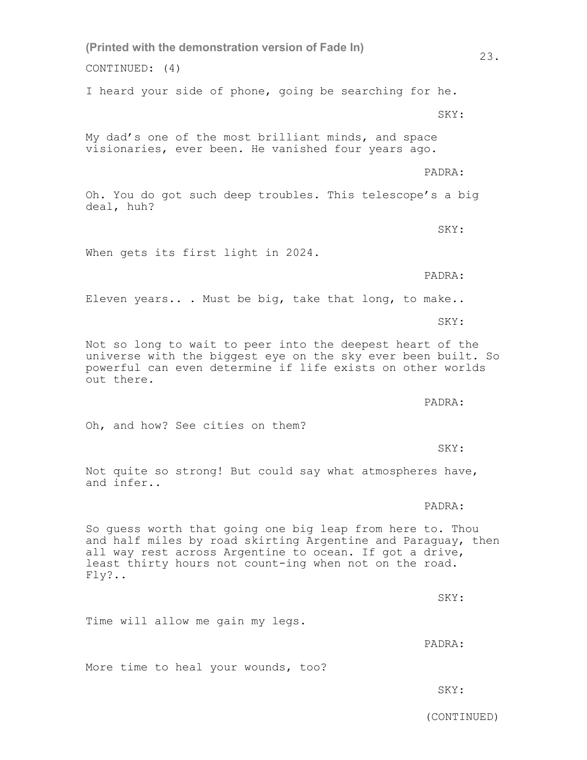I heard your side of phone, going be searching for he. SKY: My dad's one of the most brilliant minds, and space visionaries, ever been. He vanished four years ago. PADRA: Oh. You do got such deep troubles. This telescope's a big deal, huh? SKY: When gets its first light in 2024. PADRA: Eleven years.. . Must be big, take that long, to make.. SKY: Not so long to wait to peer into the deepest heart of the universe with the biggest eye on the sky ever been built. So powerful can even determine if life exists on other worlds out there. PADRA: Oh, and how? See cities on them? SKY: Not quite so strong! But could say what atmospheres have, and infer.. PADRA: So guess worth that going one big leap from here to. Thou and half miles by road skirting Argentine and Paraguay, then all way rest across Argentine to ocean. If got a drive, least thirty hours not count-ing when not on the road. Fly?.. SKY: Time will allow me gain my legs. PADRA: More time to heal your wounds, too? SKY: CONTINUED: (4) 23. **(Printed with the demonstration version of Fade In)**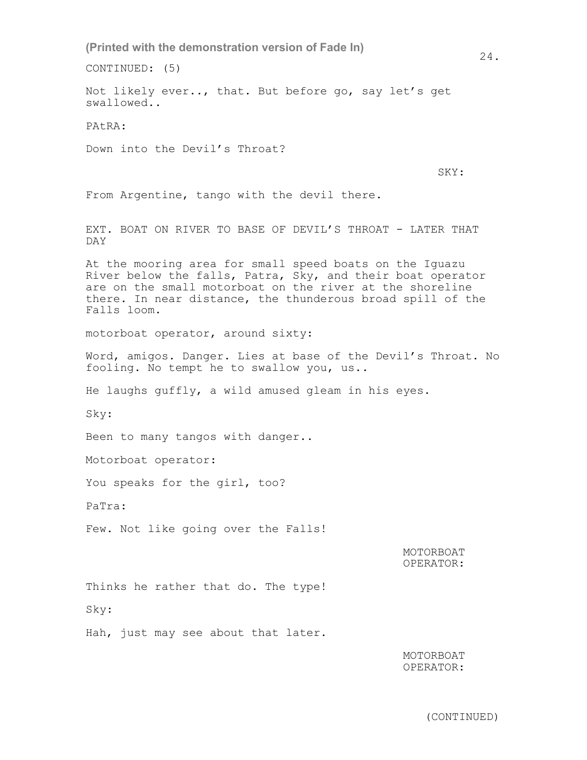**(Printed with the demonstration version of Fade In)**

CONTINUED: (5)

Not likely ever.., that. But before go, say let's get swallowed..

PAtRA:

Down into the Devil's Throat?

SKY:

From Argentine, tango with the devil there.

EXT. BOAT ON RIVER TO BASE OF DEVIL'S THROAT - LATER THAT DAY

At the mooring area for small speed boats on the Iguazu River below the falls, Patra, Sky, and their boat operator are on the small motorboat on the river at the shoreline there. In near distance, the thunderous broad spill of the Falls loom.

motorboat operator, around sixty:

Word, amigos. Danger. Lies at base of the Devil's Throat. No fooling. No tempt he to swallow you, us..

He laughs guffly, a wild amused gleam in his eyes.

Sky:

Been to many tangos with danger..

Motorboat operator:

You speaks for the girl, too?

PaTra:

Few. Not like going over the Falls!

## MOTORBOAT OPERATOR:

Thinks he rather that do. The type!

Sky:

Hah, just may see about that later.

MOTORBOAT OPERATOR: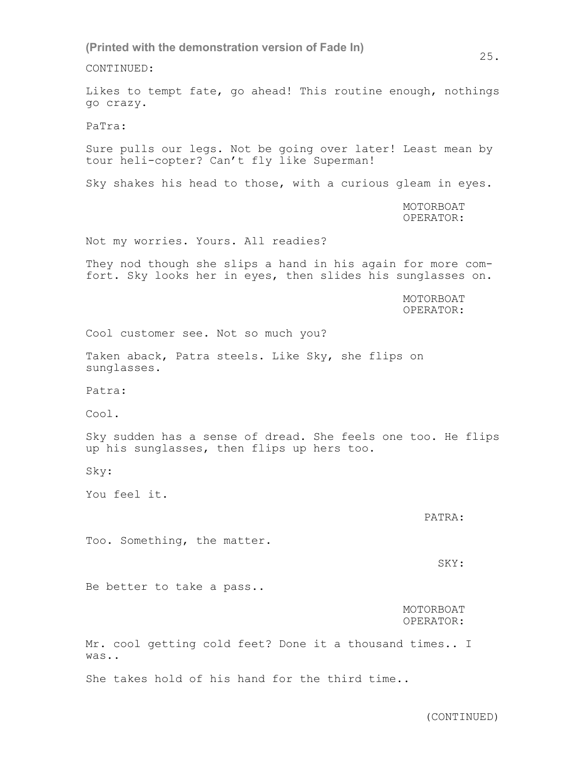Likes to tempt fate, go ahead! This routine enough, nothings go crazy. PaTra: Sure pulls our legs. Not be going over later! Least mean by tour heli-copter? Can't fly like Superman! Sky shakes his head to those, with a curious gleam in eyes. MOTORBOAT OPERATOR: Not my worries. Yours. All readies? They nod though she slips a hand in his again for more comfort. Sky looks her in eyes, then slides his sunglasses on. MOTORBOAT OPERATOR: Cool customer see. Not so much you? Taken aback, Patra steels. Like Sky, she flips on sunglasses. Patra: Cool. Sky sudden has a sense of dread. She feels one too. He flips up his sunglasses, then flips up hers too. Sky: You feel it. PATRA: Too. Something, the matter. SKY: Be better to take a pass.. MOTORBOAT OPERATOR: Mr. cool getting cold feet? Done it a thousand times.. I was.. She takes hold of his hand for the third time.. CONTINUED: 25. **(Printed with the demonstration version of Fade In)**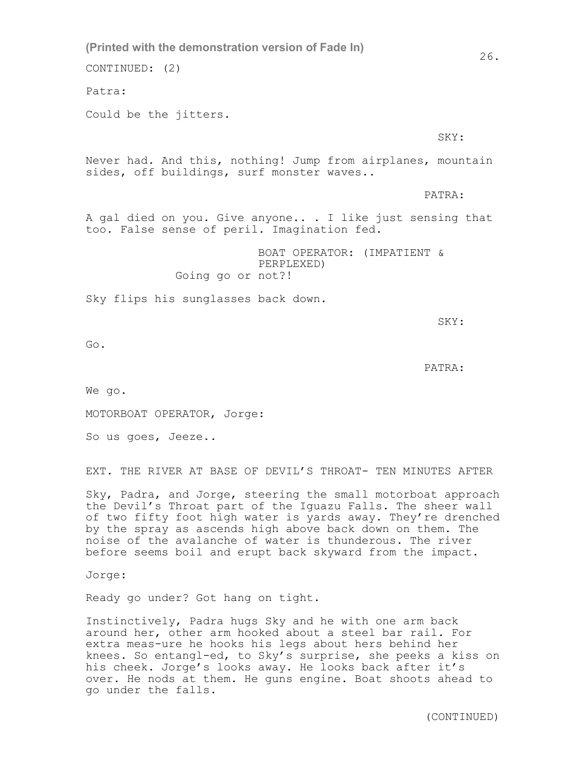Patra: Could be the jitters. SKY: Never had. And this, nothing! Jump from airplanes, mountain sides, off buildings, surf monster waves.. PATRA: A gal died on you. Give anyone.. . I like just sensing that too. False sense of peril. Imagination fed. BOAT OPERATOR: (IMPATIENT & PERPLEXED) Going go or not?! Sky flips his sunglasses back down. SKY: Go. PATRA: We go. MOTORBOAT OPERATOR, Jorge: So us goes, Jeeze.. EXT. THE RIVER AT BASE OF DEVIL'S THROAT- TEN MINUTES AFTER Sky, Padra, and Jorge, steering the small motorboat approach the Devil's Throat part of the Iguazu Falls. The sheer wall of two fifty foot high water is yards away. They're drenched by the spray as ascends high above back down on them. The noise of the avalanche of water is thunderous. The river before seems boil and erupt back skyward from the impact. Jorge: Ready go under? Got hang on tight. Instinctively, Padra hugs Sky and he with one arm back around her, other arm hooked about a steel bar rail. For extra meas-ure he hooks his legs about hers behind her CONTINUED: (2) 26. **(Printed with the demonstration version of Fade In)**

knees. So entangl-ed, to Sky's surprise, she peeks a kiss on his cheek. Jorge's looks away. He looks back after it's over. He nods at them. He guns engine. Boat shoots ahead to go under the falls.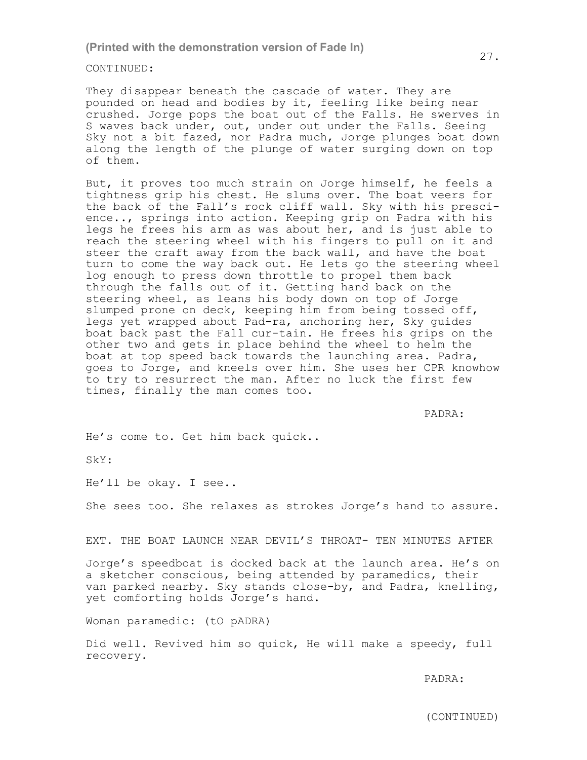CONTINUED:

They disappear beneath the cascade of water. They are pounded on head and bodies by it, feeling like being near crushed. Jorge pops the boat out of the Falls. He swerves in S waves back under, out, under out under the Falls. Seeing Sky not a bit fazed, nor Padra much, Jorge plunges boat down along the length of the plunge of water surging down on top of them.

But, it proves too much strain on Jorge himself, he feels a tightness grip his chest. He slums over. The boat veers for the back of the Fall's rock cliff wall. Sky with his prescience.., springs into action. Keeping grip on Padra with his legs he frees his arm as was about her, and is just able to reach the steering wheel with his fingers to pull on it and steer the craft away from the back wall, and have the boat turn to come the way back out. He lets go the steering wheel log enough to press down throttle to propel them back through the falls out of it. Getting hand back on the steering wheel, as leans his body down on top of Jorge slumped prone on deck, keeping him from being tossed off, legs yet wrapped about Pad-ra, anchoring her, Sky guides boat back past the Fall cur-tain. He frees his grips on the other two and gets in place behind the wheel to helm the boat at top speed back towards the launching area. Padra, goes to Jorge, and kneels over him. She uses her CPR knowhow to try to resurrect the man. After no luck the first few times, finally the man comes too.

PADRA:

He's come to. Get him back quick..

SkY:

He'll be okay. I see..

She sees too. She relaxes as strokes Jorge's hand to assure.

EXT. THE BOAT LAUNCH NEAR DEVIL'S THROAT- TEN MINUTES AFTER

Jorge's speedboat is docked back at the launch area. He's on a sketcher conscious, being attended by paramedics, their van parked nearby. Sky stands close-by, and Padra, knelling, yet comforting holds Jorge's hand.

Woman paramedic: (tO pADRA)

Did well. Revived him so quick, He will make a speedy, full recovery.

PADRA: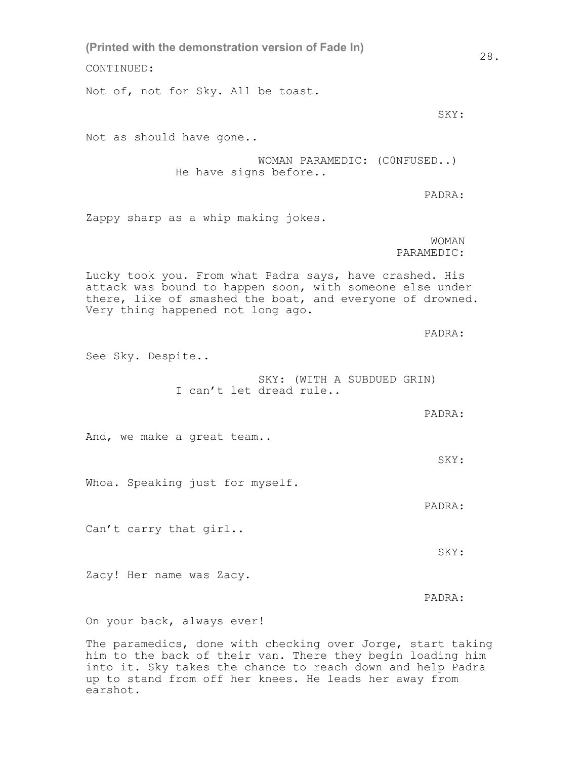Not of, not for Sky. All be toast. SKY: Not as should have gone.. WOMAN PARAMEDIC: (C0NFUSED..) He have signs before.. PADRA: Zappy sharp as a whip making jokes. WOMAN PARAMEDIC: Lucky took you. From what Padra says, have crashed. His attack was bound to happen soon, with someone else under there, like of smashed the boat, and everyone of drowned. Very thing happened not long ago. PADRA: See Sky. Despite.. SKY: (WITH A SUBDUED GRIN) I can't let dread rule.. PADRA: And, we make a great team.. SKY: Whoa. Speaking just for myself. PADRA: Can't carry that girl.. SKY: Zacy! Her name was Zacy. PADRA: On your back, always ever! The paramedics, done with checking over Jorge, start taking him to the back of their van. There they begin loading him into it. Sky takes the chance to reach down and help Padra up to stand from off her knees. He leads her away from earshot. CONTINUED: 28. **(Printed with the demonstration version of Fade In)**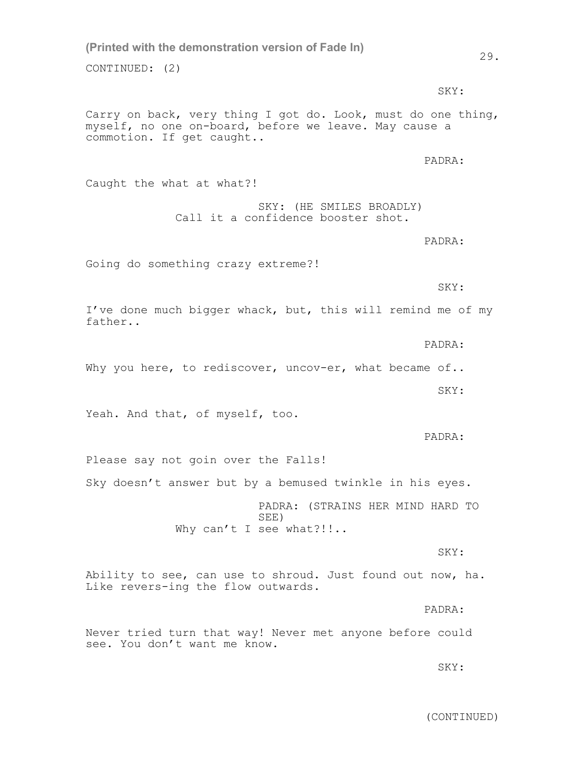commotion. If get caught.. PADRA: Caught the what at what?! SKY: (HE SMILES BROADLY) Call it a confidence booster shot. PADRA: Going do something crazy extreme?! SKY: PADRA: Why you here, to rediscover, uncov-er, what became of.. SKY: Yeah. And that, of myself, too. PADRA: Please say not goin over the Falls! Sky doesn't answer but by a bemused twinkle in his eyes. PADRA: (STRAINS HER MIND HARD TO SEE) Why can't I see what?!!.. SKY: Ability to see, can use to shroud. Just found out now, ha. Like revers-ing the flow outwards. PADRA:

Never tried turn that way! Never met anyone before could see. You don't want me know.

SKY:

father..

I've done much bigger whack, but, this will remind me of my

Carry on back, very thing I got do. Look, must do one thing,

myself, no one on-board, before we leave. May cause a

# **(Printed with the demonstration version of Fade In)**

CONTINUED: (2)

SKY:

29.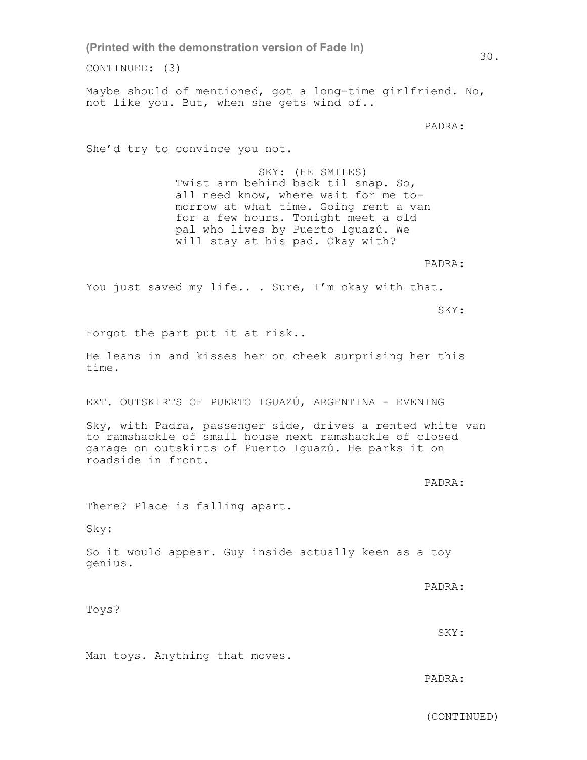**(Printed with the demonstration version of Fade In)**

CONTINUED: (3)

Maybe should of mentioned, got a long-time girlfriend. No, not like you. But, when she gets wind of..

PADRA:

She'd try to convince you not.

SKY: (HE SMILES) Twist arm behind back til snap. So, all need know, where wait for me tomorrow at what time. Going rent a van for a few hours. Tonight meet a old pal who lives by Puerto Iguazú. We will stay at his pad. Okay with?

PADRA:

You just saved my life.. . Sure, I'm okay with that.

SKY:

Forgot the part put it at risk..

He leans in and kisses her on cheek surprising her this time.

EXT. OUTSKIRTS OF PUERTO IGUAZÚ, ARGENTINA - EVENING

Sky, with Padra, passenger side, drives a rented white van to ramshackle of small house next ramshackle of closed garage on outskirts of Puerto Iguazú. He parks it on roadside in front.

PADRA:

There? Place is falling apart.

Man toys. Anything that moves.

Sky:

So it would appear. Guy inside actually keen as a toy genius.

PADRA:

Toys?

SKY:

PADRA: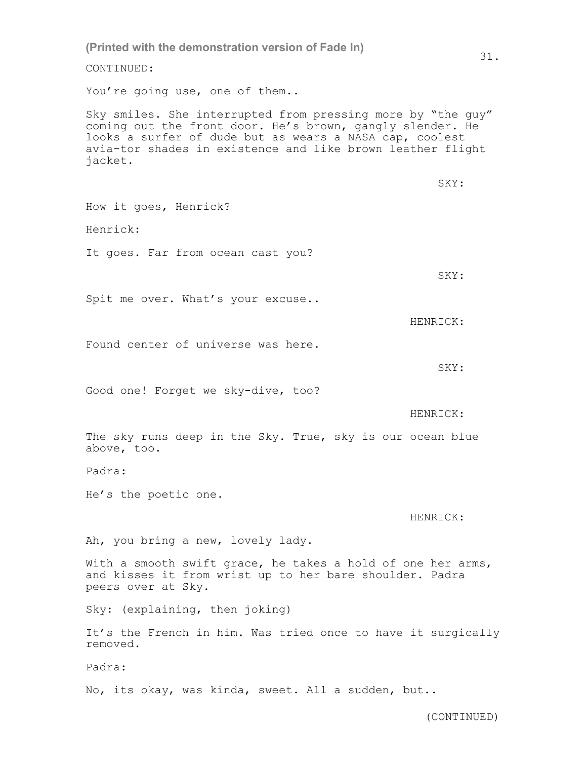| (Printed with the demonstration version of Fade In)                                                                                                                                                                                                          | 31.      |
|--------------------------------------------------------------------------------------------------------------------------------------------------------------------------------------------------------------------------------------------------------------|----------|
| CONTINUED:                                                                                                                                                                                                                                                   |          |
| You're going use, one of them                                                                                                                                                                                                                                |          |
| Sky smiles. She interrupted from pressing more by "the guy"<br>coming out the front door. He's brown, gangly slender. He<br>looks a surfer of dude but as wears a NASA cap, coolest<br>avia-tor shades in existence and like brown leather flight<br>jacket. |          |
|                                                                                                                                                                                                                                                              | SKY:     |
| How it goes, Henrick?                                                                                                                                                                                                                                        |          |
| Henrick:                                                                                                                                                                                                                                                     |          |
| It goes. Far from ocean cast you?                                                                                                                                                                                                                            |          |
|                                                                                                                                                                                                                                                              | SKY:     |
| Spit me over. What's your excuse                                                                                                                                                                                                                             |          |
|                                                                                                                                                                                                                                                              | HENRICK: |
| Found center of universe was here.                                                                                                                                                                                                                           |          |
|                                                                                                                                                                                                                                                              | SKY:     |
| Good one! Forget we sky-dive, too?                                                                                                                                                                                                                           |          |
|                                                                                                                                                                                                                                                              | HENRICK: |
| The sky runs deep in the Sky. True, sky is our ocean blue<br>above, too.                                                                                                                                                                                     |          |
| Padra:                                                                                                                                                                                                                                                       |          |
| He's the poetic one.                                                                                                                                                                                                                                         |          |
|                                                                                                                                                                                                                                                              | HENRICK: |
| Ah, you bring a new, lovely lady.                                                                                                                                                                                                                            |          |
| With a smooth swift grace, he takes a hold of one her arms,<br>and kisses it from wrist up to her bare shoulder. Padra<br>peers over at Sky.                                                                                                                 |          |
| Sky: (explaining, then joking)                                                                                                                                                                                                                               |          |
| It's the French in him. Was tried once to have it surgically<br>removed.                                                                                                                                                                                     |          |
| Padra:                                                                                                                                                                                                                                                       |          |
| No, its okay, was kinda, sweet. All a sudden, but                                                                                                                                                                                                            |          |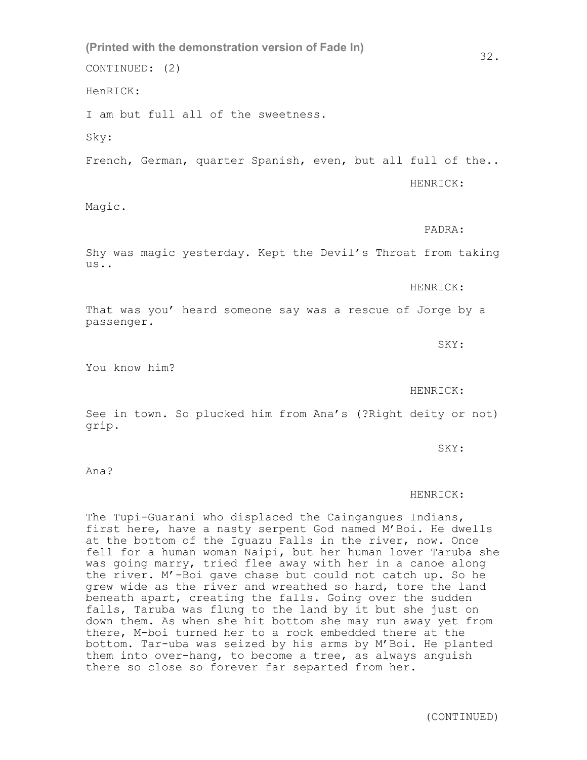HenRICK: I am but full all of the sweetness. Sky: French, German, quarter Spanish, even, but all full of the.. HENRICK: Magic. PADRA: Shy was magic yesterday. Kept the Devil's Throat from taking us.. HENRICK: That was you' heard someone say was a rescue of Jorge by a passenger. SKY: You know him? HENRICK: See in town. So plucked him from Ana's (?Right deity or not) grip. SKY: Ana? HENRICK: The Tupi-Guarani who displaced the Caingangues Indians, first here, have a nasty serpent God named M'Boi. He dwells CONTINUED: (2) 32. **(Printed with the demonstration version of Fade In)**

at the bottom of the Iguazu Falls in the river, now. Once fell for a human woman Naipi, but her human lover Taruba she was going marry, tried flee away with her in a canoe along the river. M'-Boi gave chase but could not catch up. So he grew wide as the river and wreathed so hard, tore the land beneath apart, creating the falls. Going over the sudden falls, Taruba was flung to the land by it but she just on down them. As when she hit bottom she may run away yet from there, M-boi turned her to a rock embedded there at the bottom. Tar-uba was seized by his arms by M'Boi. He planted them into over-hang, to become a tree, as always anguish there so close so forever far separted from her.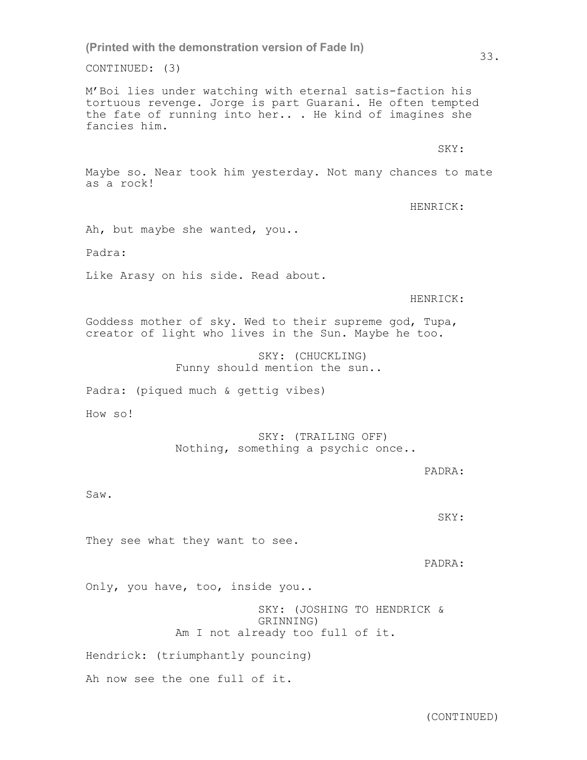CONTINUED: (3)

M'Boi lies under watching with eternal satis-faction his tortuous revenge. Jorge is part Guarani. He often tempted the fate of running into her.. . He kind of imagines she fancies him.

#### SKY:

Maybe so. Near took him yesterday. Not many chances to mate as a rock!

HENRICK:

Ah, but maybe she wanted, you..

Padra:

Like Arasy on his side. Read about.

### HENRICK:

Goddess mother of sky. Wed to their supreme god, Tupa, creator of light who lives in the Sun. Maybe he too.

> SKY: (CHUCKLING) Funny should mention the sun..

Padra: (piqued much & gettig vibes)

How so!

SKY: (TRAILING OFF) Nothing, something a psychic once..

### PADRA:

Saw.

SKY:

They see what they want to see.

PADRA:

Only, you have, too, inside you..

SKY: (JOSHING TO HENDRICK & GRINNING) Am I not already too full of it.

Hendrick: (triumphantly pouncing)

Ah now see the one full of it.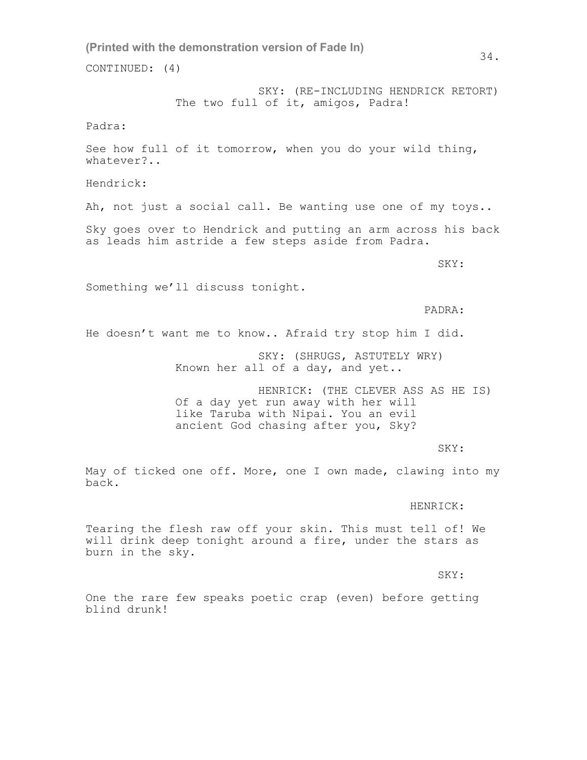**(Printed with the demonstration version of Fade In)**

CONTINUED: (4)

SKY: (RE-INCLUDING HENDRICK RETORT) The two full of it, amigos, Padra!

Padra:

See how full of it tomorrow, when you do your wild thing, whatever?..

Hendrick:

Ah, not just a social call. Be wanting use one of my toys..

Sky goes over to Hendrick and putting an arm across his back as leads him astride a few steps aside from Padra.

SKY:

Something we'll discuss tonight.

PADRA:

He doesn't want me to know.. Afraid try stop him I did.

SKY: (SHRUGS, ASTUTELY WRY) Known her all of a day, and yet..

HENRICK: (THE CLEVER ASS AS HE IS) Of a day yet run away with her will like Taruba with Nipai. You an evil ancient God chasing after you, Sky?

SKY:

May of ticked one off. More, one I own made, clawing into my back.

HENRICK:

Tearing the flesh raw off your skin. This must tell of! We will drink deep tonight around a fire, under the stars as burn in the sky.

SKY:

One the rare few speaks poetic crap (even) before getting blind drunk!

34.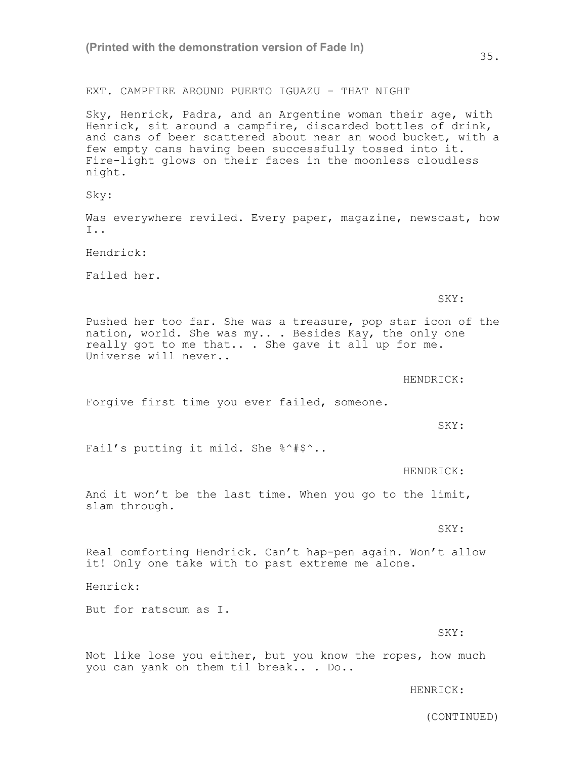EXT. CAMPFIRE AROUND PUERTO IGUAZU - THAT NIGHT

Sky, Henrick, Padra, and an Argentine woman their age, with Henrick, sit around a campfire, discarded bottles of drink, and cans of beer scattered about near an wood bucket, with a few empty cans having been successfully tossed into it. Fire-light glows on their faces in the moonless cloudless night.

Sky:

Was everywhere reviled. Every paper, magazine, newscast, how I..

Hendrick:

Failed her.

SKY:

Pushed her too far. She was a treasure, pop star icon of the nation, world. She was my.. . Besides Kay, the only one really got to me that.. . She gave it all up for me. Universe will never..

HENDRICK:

Forgive first time you ever failed, someone.

SKY:

Fail's putting it mild. She  $8^{\wedge}$ #\$ $^{\wedge}$ ..

HENDRICK:

And it won't be the last time. When you go to the limit, slam through.

SKY:

Real comforting Hendrick. Can't hap-pen again. Won't allow it! Only one take with to past extreme me alone.

Henrick:

But for ratscum as I.

SKY:

Not like lose you either, but you know the ropes, how much you can yank on them til break.. . Do..

HENRICK:

(CONTINUED)

35.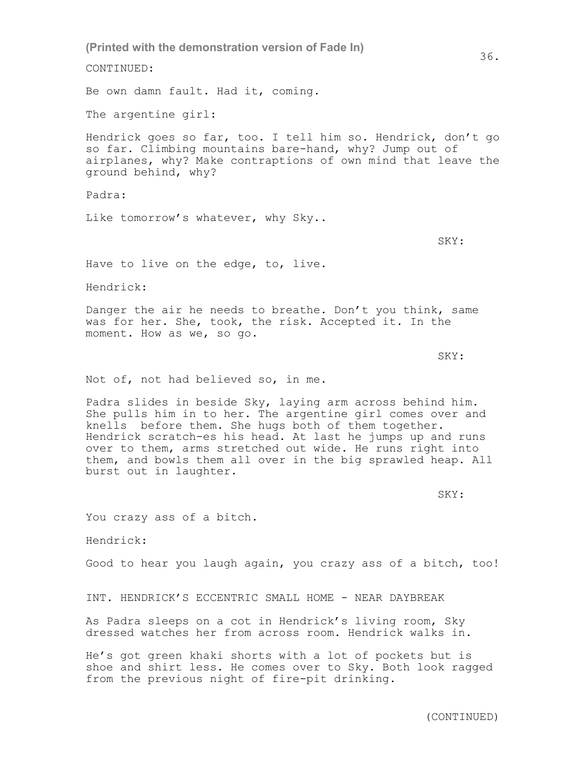Be own damn fault. Had it, coming. The argentine girl: Hendrick goes so far, too. I tell him so. Hendrick, don't go so far. Climbing mountains bare-hand, why? Jump out of airplanes, why? Make contraptions of own mind that leave the ground behind, why? Padra: Like tomorrow's whatever, why Sky.. SKY: Have to live on the edge, to, live. Hendrick: Danger the air he needs to breathe. Don't you think, same was for her. She, took, the risk. Accepted it. In the moment. How as we, so go. SKY: Not of, not had believed so, in me. Padra slides in beside Sky, laying arm across behind him. She pulls him in to her. The argentine girl comes over and knells before them. She hugs both of them together. Hendrick scratch-es his head. At last he jumps up and runs over to them, arms stretched out wide. He runs right into them, and bowls them all over in the big sprawled heap. All burst out in laughter. SKY: You crazy ass of a bitch. Hendrick: Good to hear you laugh again, you crazy ass of a bitch, too! INT. HENDRICK'S ECCENTRIC SMALL HOME - NEAR DAYBREAK As Padra sleeps on a cot in Hendrick's living room, Sky dressed watches her from across room. Hendrick walks in. He's got green khaki shorts with a lot of pockets but is shoe and shirt less. He comes over to Sky. Both look ragged from the previous night of fire-pit drinking. CONTINUED: 36. **(Printed with the demonstration version of Fade In)**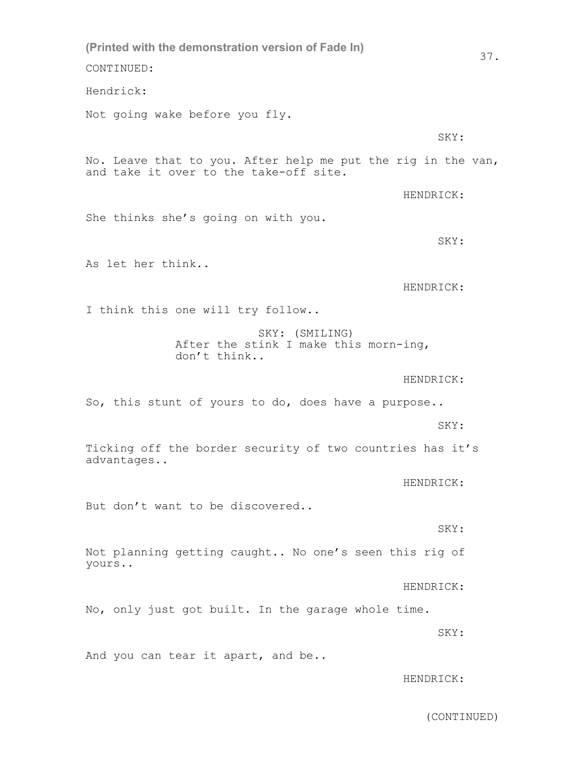Hendrick: Not going wake before you fly. SKY: No. Leave that to you. After help me put the rig in the van, and take it over to the take-off site. HENDRICK: She thinks she's going on with you. SKY: As let her think.. HENDRICK: I think this one will try follow.. SKY: (SMILING) After the stink I make this morn-ing, don't think.. HENDRICK: So, this stunt of yours to do, does have a purpose.. SKY: Ticking off the border security of two countries has it's advantages.. HENDRICK: But don't want to be discovered.. SKY: Not planning getting caught.. No one's seen this rig of yours.. HENDRICK: No, only just got built. In the garage whole time. SKY: And you can tear it apart, and be.. HENDRICK: CONTINUED: 37. **(Printed with the demonstration version of Fade In)**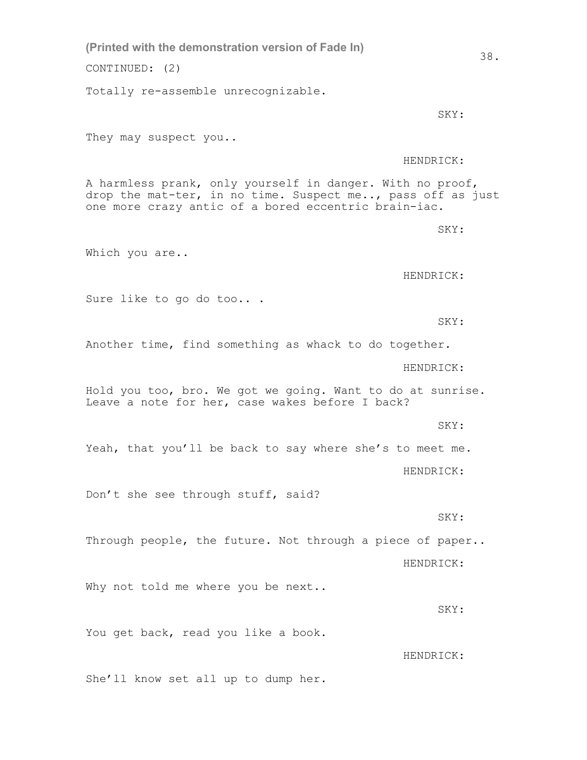CONTINUED: (2)

Totally re-assemble unrecognizable.

SKY:

They may suspect you..

HENDRICK:

A harmless prank, only yourself in danger. With no proof, drop the mat-ter, in no time. Suspect me.., pass off as just one more crazy antic of a bored eccentric brain-iac.

SKY:

Which you are..

HENDRICK:

Sure like to go do too.. .

SKY:

Another time, find something as whack to do together.

HENDRICK:

Hold you too, bro. We got we going. Want to do at sunrise. Leave a note for her, case wakes before I back?

SKY:

Yeah, that you'll be back to say where she's to meet me.

HENDRICK:

Don't she see through stuff, said?

SKY:

Through people, the future. Not through a piece of paper.. HENDRICK:

Why not told me where you be next..

SKY:

You get back, read you like a book.

HENDRICK:

She'll know set all up to dump her.

38.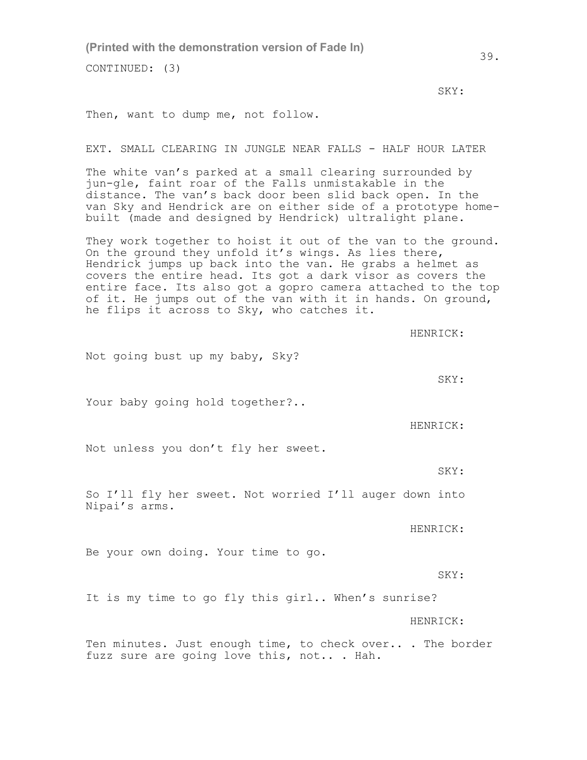CONTINUED: (3)

SKY:

Then, want to dump me, not follow.

EXT. SMALL CLEARING IN JUNGLE NEAR FALLS - HALF HOUR LATER

The white van's parked at a small clearing surrounded by jun-gle, faint roar of the Falls unmistakable in the distance. The van's back door been slid back open. In the van Sky and Hendrick are on either side of a prototype homebuilt (made and designed by Hendrick) ultralight plane.

They work together to hoist it out of the van to the ground. On the ground they unfold it's wings. As lies there, Hendrick jumps up back into the van. He grabs a helmet as covers the entire head. Its got a dark visor as covers the entire face. Its also got a gopro camera attached to the top of it. He jumps out of the van with it in hands. On ground, he flips it across to Sky, who catches it.

HENRICK:

Not going bust up my baby, Sky?

SKY:

Your baby going hold together?..

HENRICK:

Not unless you don't fly her sweet.

SKY:

So I'll fly her sweet. Not worried I'll auger down into Nipai's arms.

HENRICK:

Be your own doing. Your time to go.

SKY:

It is my time to go fly this girl.. When's sunrise?

HENRICK:

Ten minutes. Just enough time, to check over.. . The border fuzz sure are going love this, not.. . Hah.

39.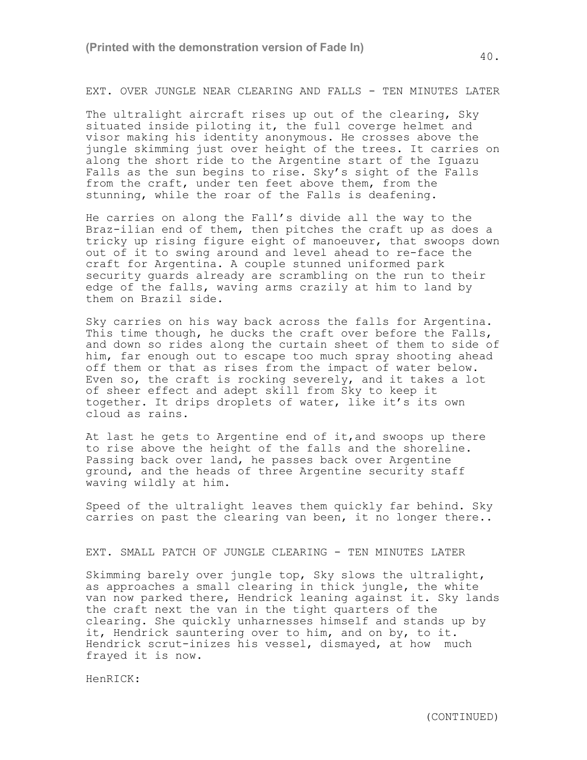## EXT. OVER JUNGLE NEAR CLEARING AND FALLS - TEN MINUTES LATER

The ultralight aircraft rises up out of the clearing, Sky situated inside piloting it, the full coverge helmet and visor making his identity anonymous. He crosses above the jungle skimming just over height of the trees. It carries on along the short ride to the Argentine start of the Iguazu Falls as the sun begins to rise. Sky's sight of the Falls from the craft, under ten feet above them, from the stunning, while the roar of the Falls is deafening.

He carries on along the Fall's divide all the way to the Braz-ilian end of them, then pitches the craft up as does a tricky up rising figure eight of manoeuver, that swoops down out of it to swing around and level ahead to re-face the craft for Argentina. A couple stunned uniformed park security guards already are scrambling on the run to their edge of the falls, waving arms crazily at him to land by them on Brazil side.

Sky carries on his way back across the falls for Argentina. This time though, he ducks the craft over before the Falls, and down so rides along the curtain sheet of them to side of him, far enough out to escape too much spray shooting ahead off them or that as rises from the impact of water below. Even so, the craft is rocking severely, and it takes a lot of sheer effect and adept skill from Sky to keep it together. It drips droplets of water, like it's its own cloud as rains.

At last he gets to Argentine end of it,and swoops up there to rise above the height of the falls and the shoreline. Passing back over land, he passes back over Argentine ground, and the heads of three Argentine security staff waving wildly at him.

Speed of the ultralight leaves them quickly far behind. Sky carries on past the clearing van been, it no longer there..

## EXT. SMALL PATCH OF JUNGLE CLEARING - TEN MINUTES LATER

Skimming barely over jungle top, Sky slows the ultralight, as approaches a small clearing in thick jungle, the white van now parked there, Hendrick leaning against it. Sky lands the craft next the van in the tight quarters of the clearing. She quickly unharnesses himself and stands up by it, Hendrick sauntering over to him, and on by, to it. Hendrick scrut-inizes his vessel, dismayed, at how much frayed it is now.

HenRICK: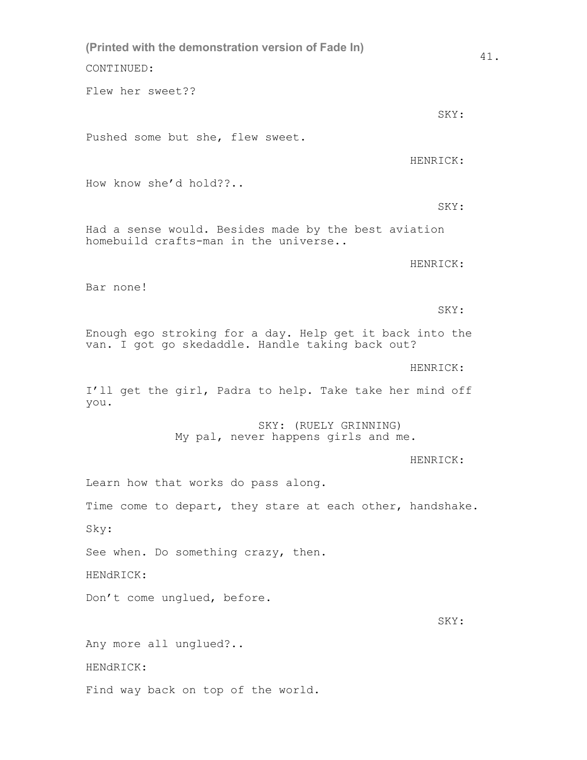CONTINUED:

Flew her sweet??

Pushed some but she, flew sweet.

HENRICK:

How know she'd hold??..

SKY:

SKY:

41.

Had a sense would. Besides made by the best aviation homebuild crafts-man in the universe..

HENRICK:

Bar none!

SKY:

Enough ego stroking for a day. Help get it back into the van. I got go skedaddle. Handle taking back out?

HENRICK:

I'll get the girl, Padra to help. Take take her mind off you.

> SKY: (RUELY GRINNING) My pal, never happens girls and me.

> > HENRICK:

Learn how that works do pass along.

Time come to depart, they stare at each other, handshake. Sky:

See when. Do something crazy, then.

HENdRICK:

Don't come unglued, before.

SKY:

Any more all unglued?..

HENdRICK:

Find way back on top of the world.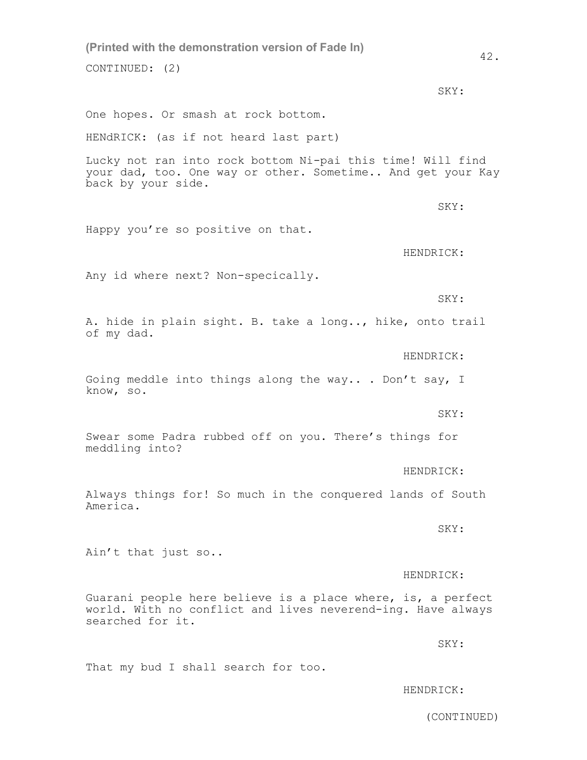SKY: One hopes. Or smash at rock bottom. HENdRICK: (as if not heard last part) Lucky not ran into rock bottom Ni-pai this time! Will find your dad, too. One way or other. Sometime.. And get your Kay back by your side. SKY: Happy you're so positive on that. HENDRICK: Any id where next? Non-specically. SKY: A. hide in plain sight. B. take a long.., hike, onto trail of my dad. HENDRICK: Going meddle into things along the way.. . Don't say, I know, so. SKY: Swear some Padra rubbed off on you. There's things for meddling into? HENDRICK: Always things for! So much in the conquered lands of South America. SKY: Ain't that just so.. HENDRICK: Guarani people here believe is a place where, is, a perfect world. With no conflict and lives neverend-ing. Have always searched for it. SKY: That my bud I shall search for too. CONTINUED: (2) 42. **(Printed with the demonstration version of Fade In)**

HENDRICK: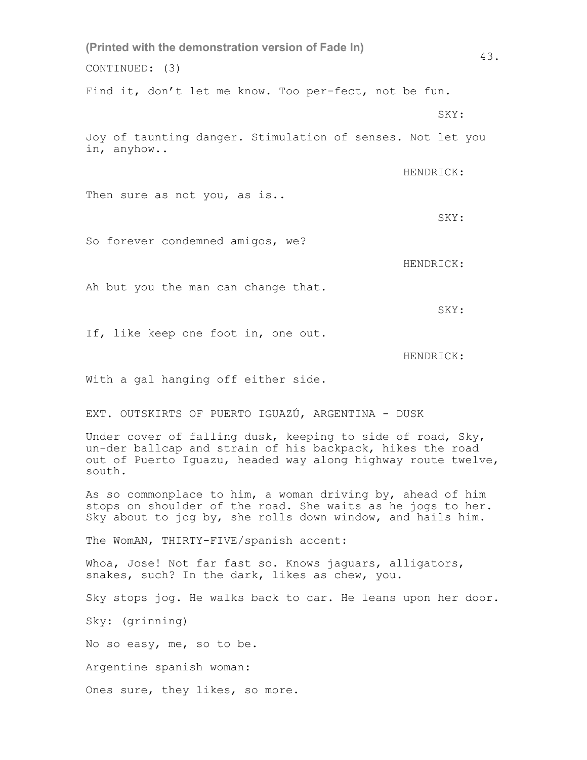Find it, don't let me know. Too per-fect, not be fun. SKY: Joy of taunting danger. Stimulation of senses. Not let you in, anyhow.. HENDRICK: Then sure as not you, as is.. SKY: So forever condemned amigos, we? HENDRICK: Ah but you the man can change that. SKY: If, like keep one foot in, one out. HENDRICK: With a gal hanging off either side. EXT. OUTSKIRTS OF PUERTO IGUAZÚ, ARGENTINA - DUSK Under cover of falling dusk, keeping to side of road, Sky, un-der ballcap and strain of his backpack, hikes the road out of Puerto Iguazu, headed way along highway route twelve, south. As so commonplace to him, a woman driving by, ahead of him stops on shoulder of the road. She waits as he jogs to her. Sky about to jog by, she rolls down window, and hails him. The WomAN, THIRTY-FIVE/spanish accent: Whoa, Jose! Not far fast so. Knows jaguars, alligators, snakes, such? In the dark, likes as chew, you. Sky stops jog. He walks back to car. He leans upon her door. Sky: (grinning) No so easy, me, so to be. Argentine spanish woman: Ones sure, they likes, so more. CONTINUED: (3) 43. **(Printed with the demonstration version of Fade In)**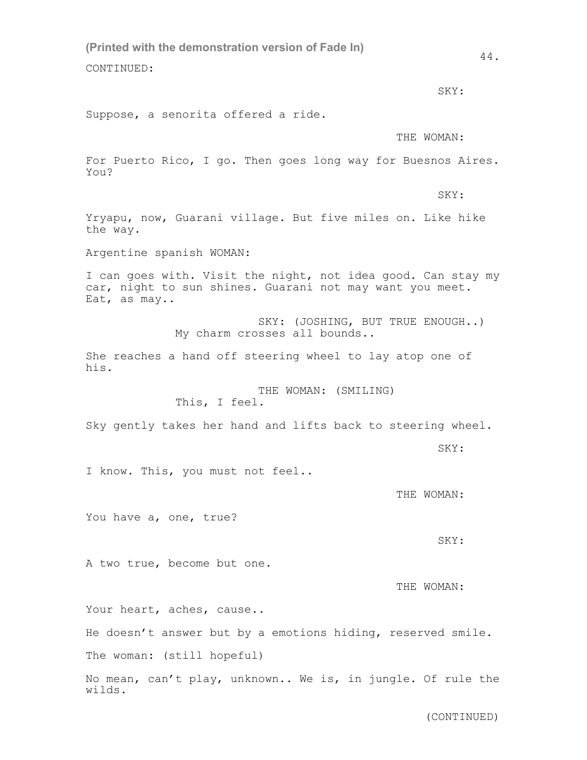SKY: Suppose, a senorita offered a ride. THE WOMAN: For Puerto Rico, I go. Then goes long way for Buesnos Aires. You? SKY: Yryapu, now, Guarani village. But five miles on. Like hike the way. Argentine spanish WOMAN: I can goes with. Visit the night, not idea good. Can stay my car, night to sun shines. Guarani not may want you meet. Eat, as may.. SKY: (JOSHING, BUT TRUE ENOUGH..) My charm crosses all bounds.. She reaches a hand off steering wheel to lay atop one of his. THE WOMAN: (SMILING) This, I feel. Sky gently takes her hand and lifts back to steering wheel. SKY: I know. This, you must not feel.. THE WOMAN: You have a, one, true? SKY: A two true, become but one. THE WOMAN: Your heart, aches, cause.. He doesn't answer but by a emotions hiding, reserved smile. The woman: (still hopeful) No mean, can't play, unknown.. We is, in jungle. Of rule the wilds. CONTINUED: 44. **(Printed with the demonstration version of Fade In)**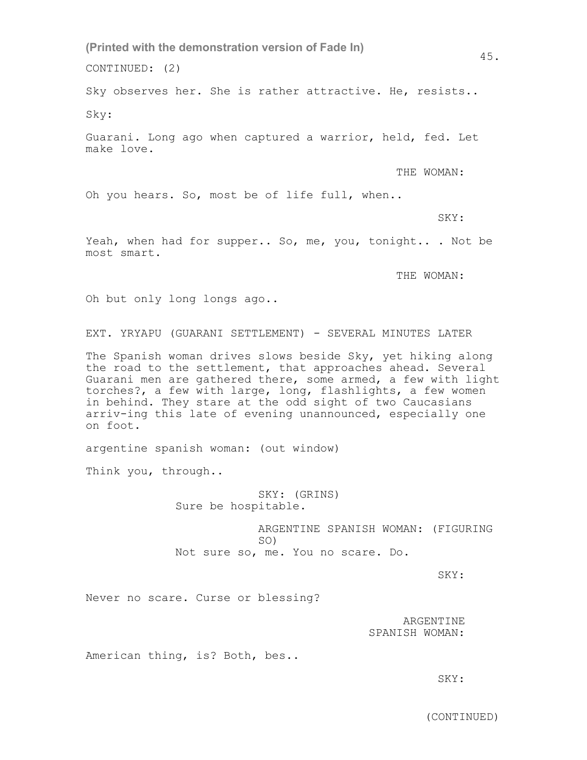Sky observes her. She is rather attractive. He, resists.. Sky: Guarani. Long ago when captured a warrior, held, fed. Let make love. THE WOMAN: Oh you hears. So, most be of life full, when.. SKY: Yeah, when had for supper.. So, me, you, tonight.. . Not be most smart. THE WOMAN: Oh but only long longs ago.. EXT. YRYAPU (GUARANI SETTLEMENT) - SEVERAL MINUTES LATER The Spanish woman drives slows beside Sky, yet hiking along the road to the settlement, that approaches ahead. Several Guarani men are gathered there, some armed, a few with light torches?, a few with large, long, flashlights, a few women in behind. They stare at the odd sight of two Caucasians arriv-ing this late of evening unannounced, especially one on foot. argentine spanish woman: (out window) Think you, through.. SKY: (GRINS) Sure be hospitable. ARGENTINE SPANISH WOMAN: (FIGURING SO) Not sure so, me. You no scare. Do. SKY: Never no scare. Curse or blessing? ARGENTINE SPANISH WOMAN: American thing, is? Both, bes.. SKY: CONTINUED: (2) 45. **(Printed with the demonstration version of Fade In)**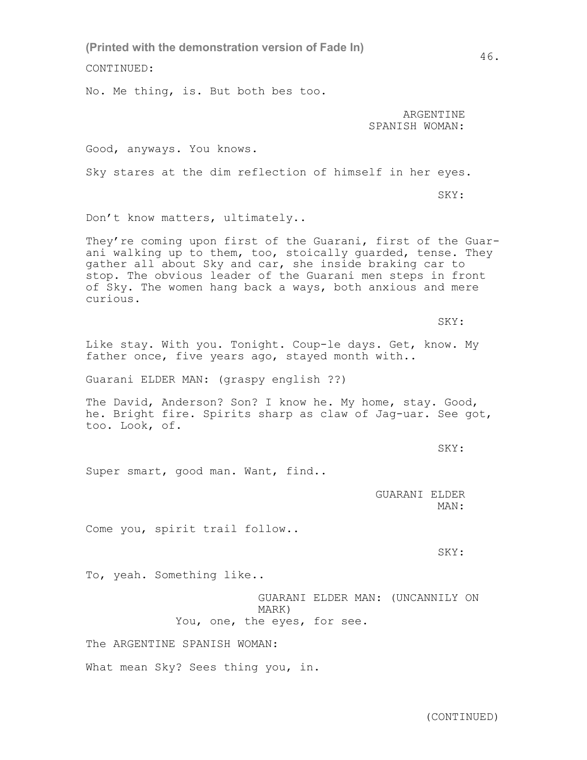No. Me thing, is. But both bes too. ARGENTINE SPANISH WOMAN: Good, anyways. You knows. Sky stares at the dim reflection of himself in her eyes. SKY: Don't know matters, ultimately.. They're coming upon first of the Guarani, first of the Guarani walking up to them, too, stoically guarded, tense. They gather all about Sky and car, she inside braking car to stop. The obvious leader of the Guarani men steps in front of Sky. The women hang back a ways, both anxious and mere curious. SKY: Like stay. With you. Tonight. Coup-le days. Get, know. My father once, five years ago, stayed month with.. Guarani ELDER MAN: (graspy english ??) The David, Anderson? Son? I know he. My home, stay. Good, he. Bright fire. Spirits sharp as claw of Jag-uar. See got, too. Look, of. SKY: Super smart, good man. Want, find.. GUARANI ELDER MAN: Come you, spirit trail follow.. SKY: To, yeah. Something like.. GUARANI ELDER MAN: (UNCANNILY ON MARK) You, one, the eyes, for see. The ARGENTINE SPANISH WOMAN: What mean Sky? Sees thing you, in. CONTINUED: 46. **(Printed with the demonstration version of Fade In)**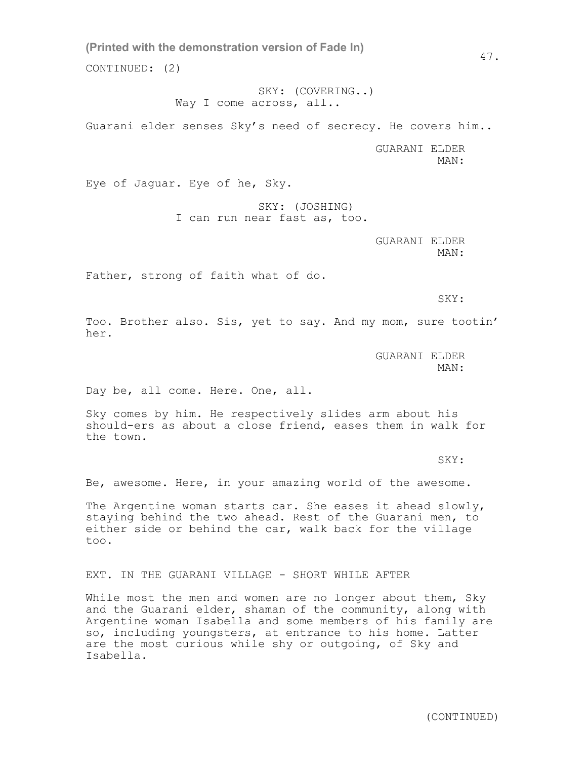SKY: (COVERING..) Way I come across, all.. Guarani elder senses Sky's need of secrecy. He covers him.. GUARANI ELDER MAN: Eye of Jaguar. Eye of he, Sky. SKY: (JOSHING) I can run near fast as, too. GUARANI ELDER MAN: Father, strong of faith what of do. SKY: Too. Brother also. Sis, yet to say. And my mom, sure tootin' her. GUARANI ELDER MAN: Day be, all come. Here. One, all. Sky comes by him. He respectively slides arm about his should-ers as about a close friend, eases them in walk for the town. SKY: Be, awesome. Here, in your amazing world of the awesome. The Argentine woman starts car. She eases it ahead slowly, staying behind the two ahead. Rest of the Guarani men, to either side or behind the car, walk back for the village too. EXT. IN THE GUARANI VILLAGE - SHORT WHILE AFTER While most the men and women are no longer about them, Sky and the Guarani elder, shaman of the community, along with Argentine woman Isabella and some members of his family are so, including youngsters, at entrance to his home. Latter CONTINUED: (2) **(Printed with the demonstration version of Fade In)**

are the most curious while shy or outgoing, of Sky and

Isabella.

(CONTINUED)

47.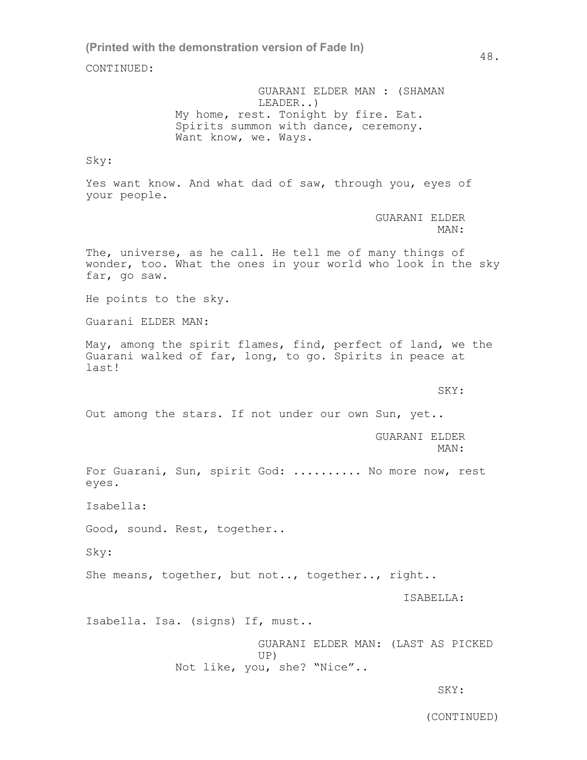CONTINUED:

GUARANI ELDER MAN : (SHAMAN LEADER..) My home, rest. Tonight by fire. Eat. Spirits summon with dance, ceremony. Want know, we. Ways.

Sky:

Yes want know. And what dad of saw, through you, eyes of your people.

> GUARANI ELDER MAN:

The, universe, as he call. He tell me of many things of wonder, too. What the ones in your world who look in the sky far, go saw.

He points to the sky.

Guarani ELDER MAN:

May, among the spirit flames, find, perfect of land, we the Guarani walked of far, long, to go. Spirits in peace at last!

SKY:

Out among the stars. If not under our own Sun, yet..

GUARANI ELDER MAN:

For Guarani, Sun, spirit God: .......... No more now, rest eyes.

Isabella:

Good, sound. Rest, together..

Sky:

She means, together, but not.., together.., right..

ISABELLA:

Isabella. Isa. (signs) If, must..

GUARANI ELDER MAN: (LAST AS PICKED UP) Not like, you, she? "Nice"..

SKY:

(CONTINUED)

48.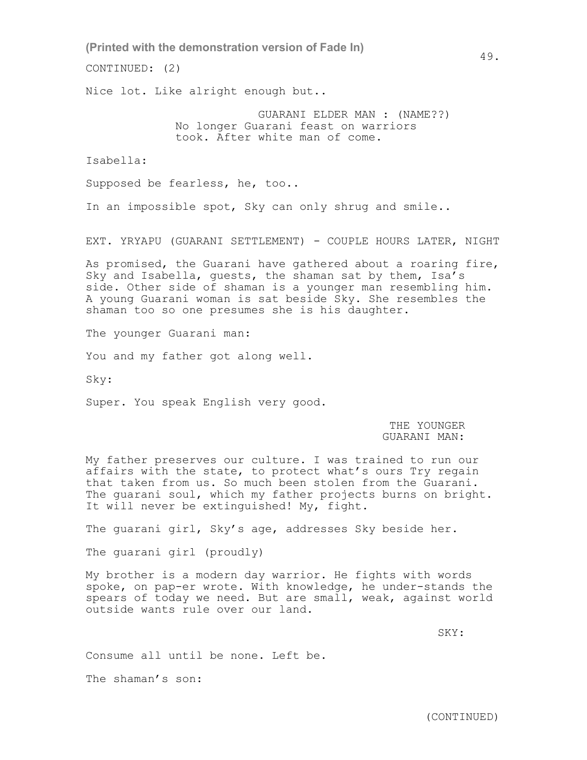CONTINUED: (2)

Nice lot. Like alright enough but..

GUARANI ELDER MAN : (NAME??) No longer Guarani feast on warriors took. After white man of come.

Isabella:

Supposed be fearless, he, too..

In an impossible spot, Sky can only shrug and smile..

EXT. YRYAPU (GUARANI SETTLEMENT) - COUPLE HOURS LATER, NIGHT

As promised, the Guarani have gathered about a roaring fire, Sky and Isabella, guests, the shaman sat by them, Isa's side. Other side of shaman is a younger man resembling him. A young Guarani woman is sat beside Sky. She resembles the shaman too so one presumes she is his daughter.

The younger Guarani man:

You and my father got along well.

Sky:

Super. You speak English very good.

THE YOUNGER GUARANI MAN:

49.

My father preserves our culture. I was trained to run our affairs with the state, to protect what's ours Try regain that taken from us. So much been stolen from the Guarani. The guarani soul, which my father projects burns on bright. It will never be extinguished! My, fight.

The guarani girl, Sky's age, addresses Sky beside her.

The guarani girl (proudly)

My brother is a modern day warrior. He fights with words spoke, on pap-er wrote. With knowledge, he under-stands the spears of today we need. But are small, weak, against world outside wants rule over our land.

SKY:

Consume all until be none. Left be.

The shaman's son: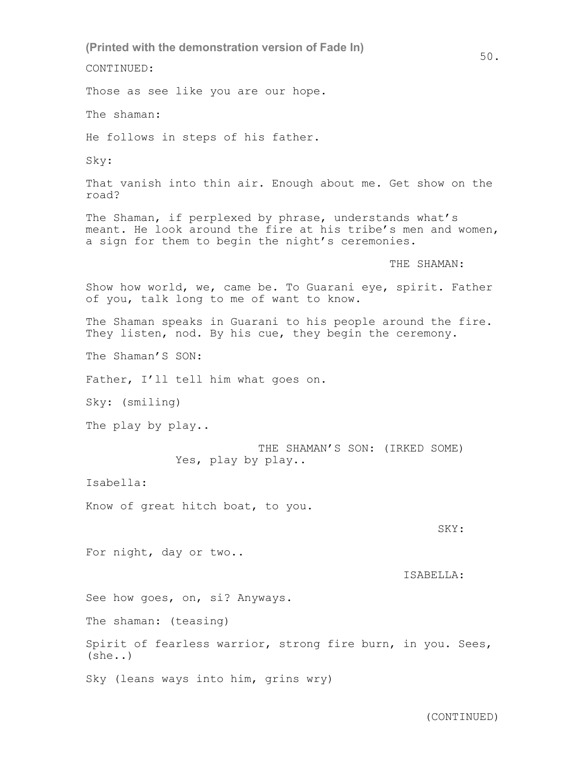Those as see like you are our hope. The shaman: He follows in steps of his father. Sky: That vanish into thin air. Enough about me. Get show on the road? The Shaman, if perplexed by phrase, understands what's meant. He look around the fire at his tribe's men and women, a sign for them to begin the night's ceremonies. THE SHAMAN: Show how world, we, came be. To Guarani eye, spirit. Father of you, talk long to me of want to know. The Shaman speaks in Guarani to his people around the fire. They listen, nod. By his cue, they begin the ceremony. The Shaman'S SON: Father, I'll tell him what goes on. Sky: (smiling) The play by play.. THE SHAMAN'S SON: (IRKED SOME) Yes, play by play.. Isabella: Know of great hitch boat, to you. SKY: For night, day or two.. ISABELLA: See how goes, on, si? Anyways. The shaman: (teasing) Spirit of fearless warrior, strong fire burn, in you. Sees, (she..) Sky (leans ways into him, grins wry) CONTINUED: 50. **(Printed with the demonstration version of Fade In)**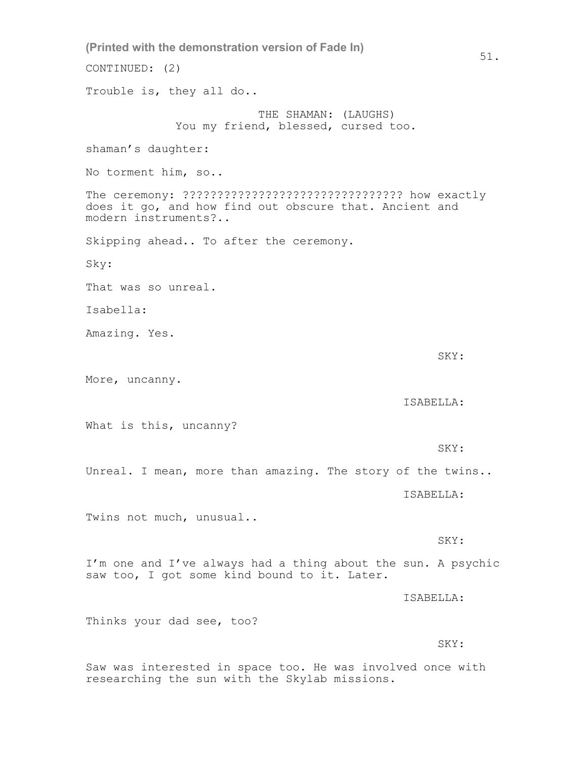Trouble is, they all do.. THE SHAMAN: (LAUGHS) You my friend, blessed, cursed too. shaman's daughter: No torment him, so.. The ceremony: ???????????????????????????????? how exactly does it go, and how find out obscure that. Ancient and modern instruments?.. Skipping ahead.. To after the ceremony. Sky: That was so unreal. Isabella: Amazing. Yes. SKY: More, uncanny. ISABELLA: What is this, uncanny? SKY: Unreal. I mean, more than amazing. The story of the twins.. ISABELLA: Twins not much, unusual.. SKY: I'm one and I've always had a thing about the sun. A psychic saw too, I got some kind bound to it. Later. ISABELLA: Thinks your dad see, too? SKY: Saw was interested in space too. He was involved once with researching the sun with the Skylab missions. CONTINUED: (2) 51. **(Printed with the demonstration version of Fade In)**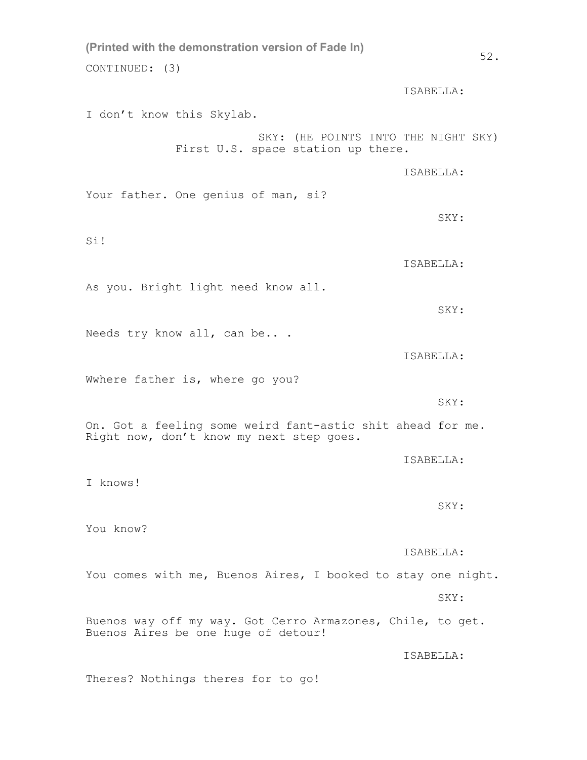ISABELLA: I don't know this Skylab. SKY: (HE POINTS INTO THE NIGHT SKY) First U.S. space station up there. ISABELLA: Your father. One genius of man, si? SKY: Si! ISABELLA: As you. Bright light need know all. SKY: Needs try know all, can be.. . ISABELLA: Wwhere father is, where go you? SKY: On. Got a feeling some weird fant-astic shit ahead for me. Right now, don't know my next step goes. ISABELLA: I knows! SKY: You know? ISABELLA: You comes with me, Buenos Aires, I booked to stay one night. SKY: Buenos way off my way. Got Cerro Armazones, Chile, to get. Buenos Aires be one huge of detour! ISABELLA: Theres? Nothings theres for to go! CONTINUED: (3) 52. **(Printed with the demonstration version of Fade In)**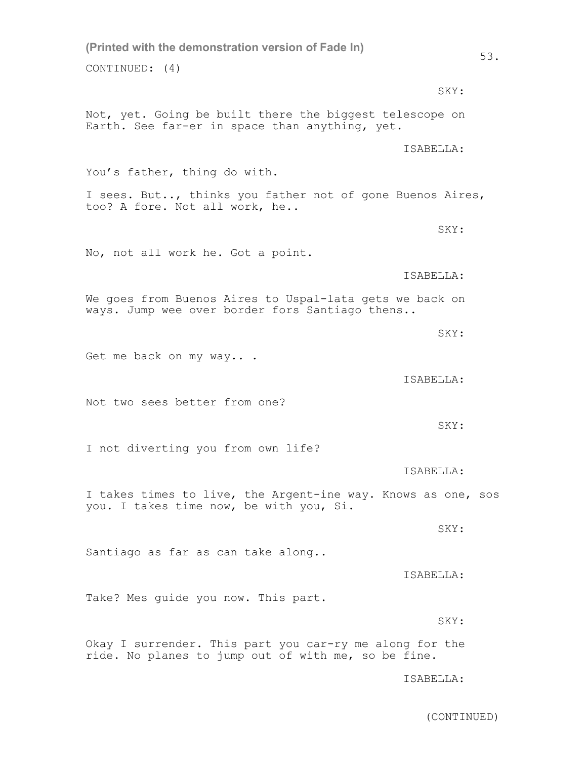SKY: Not, yet. Going be built there the biggest telescope on Earth. See far-er in space than anything, yet. ISABELLA: You's father, thing do with. I sees. But.., thinks you father not of gone Buenos Aires, too? A fore. Not all work, he.. SKY: No, not all work he. Got a point. ISABELLA: We goes from Buenos Aires to Uspal-lata gets we back on ways. Jump wee over border fors Santiago thens.. SKY: Get me back on my way... ISABELLA: Not two sees better from one? SKY: I not diverting you from own life? ISABELLA: I takes times to live, the Argent-ine way. Knows as one, sos you. I takes time now, be with you, Si. SKY: Santiago as far as can take along.. ISABELLA: Take? Mes guide you now. This part. SKY: Okay I surrender. This part you car-ry me along for the ride. No planes to jump out of with me, so be fine. ISABELLA: CONTINUED: (4)

**(Printed with the demonstration version of Fade In)**

(CONTINUED)

53.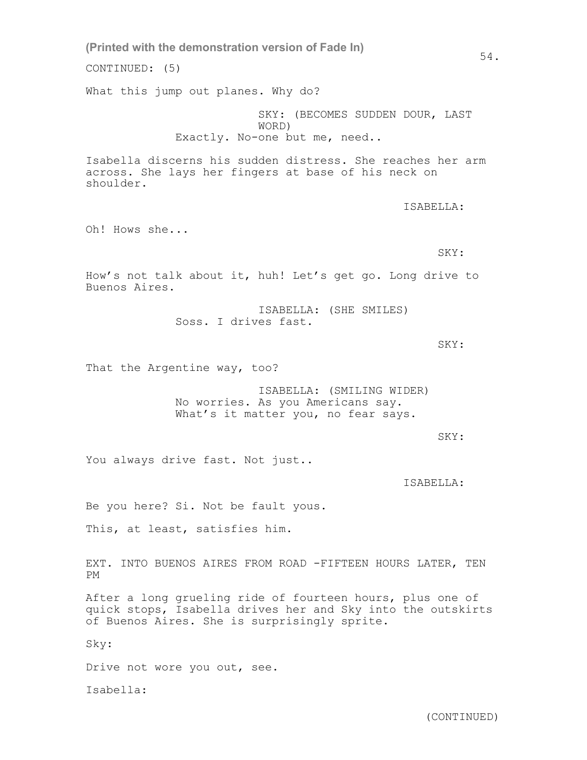What this jump out planes. Why do? SKY: (BECOMES SUDDEN DOUR, LAST WORD) Exactly. No-one but me, need.. Isabella discerns his sudden distress. She reaches her arm across. She lays her fingers at base of his neck on shoulder. ISABELLA: Oh! Hows she... SKY: How's not talk about it, huh! Let's get go. Long drive to Buenos Aires. ISABELLA: (SHE SMILES) Soss. I drives fast. SKY: That the Argentine way, too? ISABELLA: (SMILING WIDER) No worries. As you Americans say. What's it matter you, no fear says. SKY: You always drive fast. Not just.. ISABELLA: Be you here? Si. Not be fault yous. This, at least, satisfies him. EXT. INTO BUENOS AIRES FROM ROAD -FIFTEEN HOURS LATER, TEN PM After a long grueling ride of fourteen hours, plus one of quick stops, Isabella drives her and Sky into the outskirts of Buenos Aires. She is surprisingly sprite. Sky: Drive not wore you out, see. Isabella: CONTINUED: (5) 54. **(Printed with the demonstration version of Fade In)**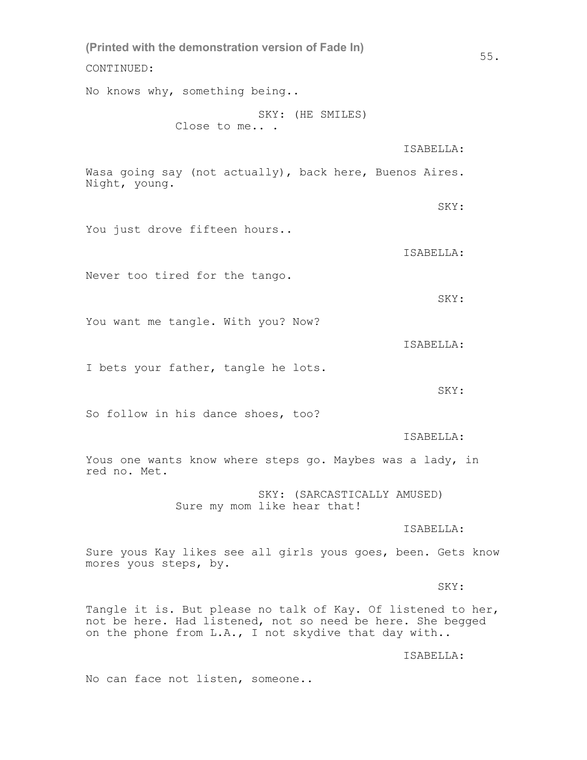No knows why, something being.. SKY: (HE SMILES) Close to me.. . ISABELLA: Wasa going say (not actually), back here, Buenos Aires. Night, young. SKY: You just drove fifteen hours.. ISABELLA: Never too tired for the tango. SKY: You want me tangle. With you? Now? ISABELLA: I bets your father, tangle he lots. SKY: So follow in his dance shoes, too? ISABELLA: Yous one wants know where steps go. Maybes was a lady, in red no. Met. SKY: (SARCASTICALLY AMUSED) Sure my mom like hear that! ISABELLA: Sure yous Kay likes see all girls yous goes, been. Gets know mores yous steps, by. SKY: Tangle it is. But please no talk of Kay. Of listened to her, not be here. Had listened, not so need be here. She begged on the phone from L.A., I not skydive that day with.. CONTINUED: 55. **(Printed with the demonstration version of Fade In)**

ISABELLA:

No can face not listen, someone..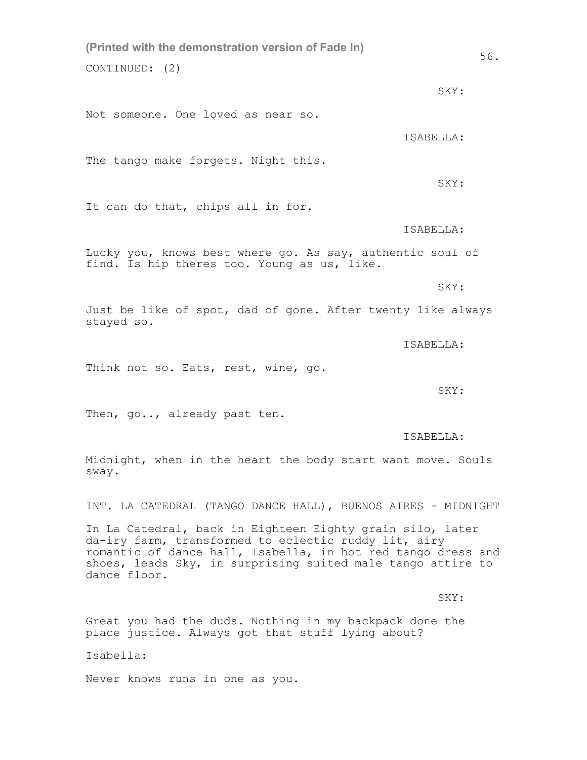SKY: Not someone. One loved as near so. ISABELLA: The tango make forgets. Night this. SKY: It can do that, chips all in for. ISABELLA: Lucky you, knows best where go. As say, authentic soul of find. Is hip theres too. Young as us, like. SKY: Just be like of spot, dad of gone. After twenty like always stayed so. ISABELLA: Think not so. Eats, rest, wine, go. SKY: CONTINUED: (2)

**(Printed with the demonstration version of Fade In)**

Then, go.., already past ten.

ISABELLA:

56.

Midnight, when in the heart the body start want move. Souls sway.

INT. LA CATEDRAL (TANGO DANCE HALL), BUENOS AIRES - MIDNIGHT

In La Catedral, back in Eighteen Eighty grain silo, later da-iry farm, transformed to eclectic ruddy lit, airy romantic of dance hall, Isabella, in hot red tango dress and shoes, leads Sky, in surprising suited male tango attire to dance floor.

SKY:

Great you had the duds. Nothing in my backpack done the place justice. Always got that stuff lying about?

Isabella:

Never knows runs in one as you.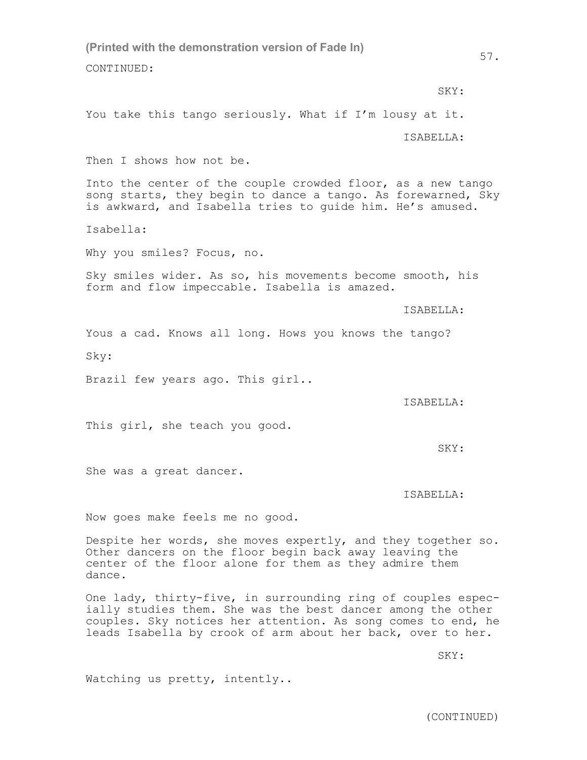SKY: You take this tango seriously. What if I'm lousy at it. ISABELLA: Then I shows how not be. Into the center of the couple crowded floor, as a new tango song starts, they begin to dance a tango. As forewarned, Sky is awkward, and Isabella tries to guide him. He's amused. Isabella: Why you smiles? Focus, no. Sky smiles wider. As so, his movements become smooth, his form and flow impeccable. Isabella is amazed. ISABELLA: Yous a cad. Knows all long. Hows you knows the tango? Sky: Brazil few years ago. This girl.. ISABELLA: This girl, she teach you good. SKY: She was a great dancer. ISABELLA: Now goes make feels me no good. Despite her words, she moves expertly, and they together so. Other dancers on the floor begin back away leaving the center of the floor alone for them as they admire them dance. One lady, thirty-five, in surrounding ring of couples especially studies them. She was the best dancer among the other couples. Sky notices her attention. As song comes to end, he CONTINUED: 57. **(Printed with the demonstration version of Fade In)**

leads Isabella by crook of arm about her back, over to her.

SKY:

Watching us pretty, intently..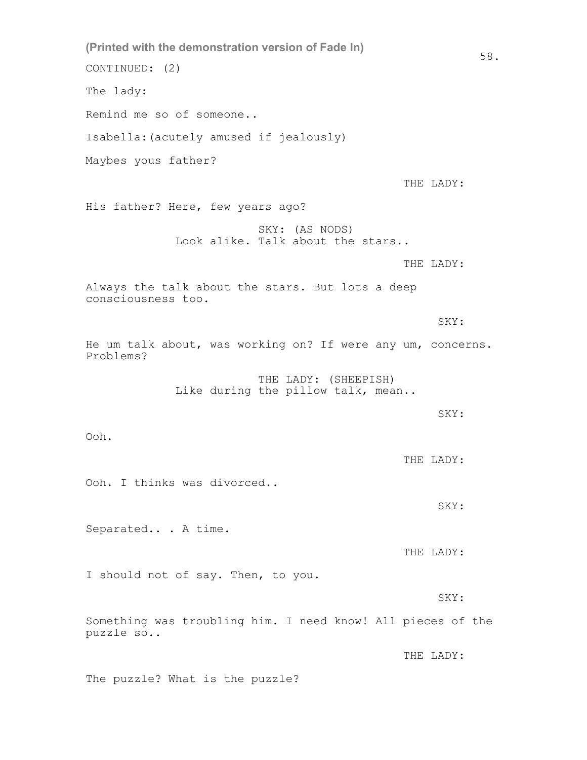The lady: Remind me so of someone.. Isabella:(acutely amused if jealously) Maybes yous father? THE LADY: His father? Here, few years ago? SKY: (AS NODS) Look alike. Talk about the stars.. THE LADY: Always the talk about the stars. But lots a deep consciousness too. SKY: He um talk about, was working on? If were any um, concerns. Problems? THE LADY: (SHEEPISH) Like during the pillow talk, mean.. SKY: Ooh. THE LADY: Ooh. I thinks was divorced.. SKY: Separated.. . A time. THE LADY: I should not of say. Then, to you. SKY: Something was troubling him. I need know! All pieces of the puzzle so.. THE LADY: The puzzle? What is the puzzle? CONTINUED: (2) 58. **(Printed with the demonstration version of Fade In)**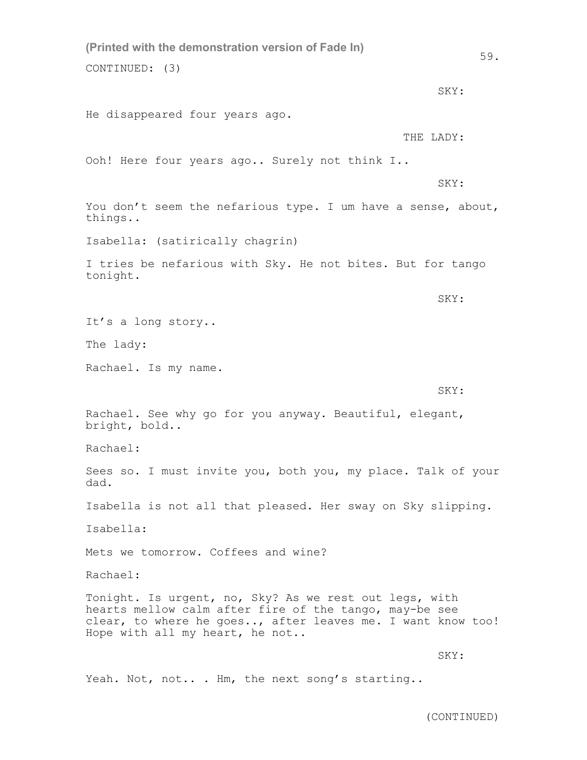SKY: He disappeared four years ago. THE LADY: Ooh! Here four years ago.. Surely not think I.. SKY: You don't seem the nefarious type. I um have a sense, about, things.. Isabella: (satirically chagrin) I tries be nefarious with Sky. He not bites. But for tango tonight. SKY: It's a long story.. The lady: Rachael. Is my name. SKY: Rachael. See why go for you anyway. Beautiful, elegant, bright, bold.. Rachael: Sees so. I must invite you, both you, my place. Talk of your dad. Isabella is not all that pleased. Her sway on Sky slipping. Isabella: Mets we tomorrow. Coffees and wine? Rachael: Tonight. Is urgent, no, Sky? As we rest out legs, with hearts mellow calm after fire of the tango, may-be see clear, to where he goes.., after leaves me. I want know too! Hope with all my heart, he not.. SKY: Yeah. Not, not.. . Hm, the next song's starting.. CONTINUED: (3) 59. **(Printed with the demonstration version of Fade In)**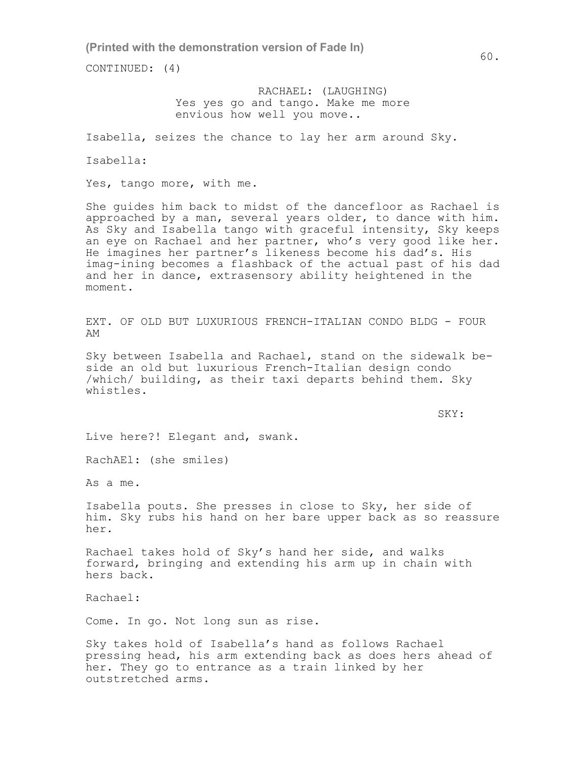CONTINUED: (4)

RACHAEL: (LAUGHING) Yes yes go and tango. Make me more envious how well you move..

Isabella, seizes the chance to lay her arm around Sky.

Isabella:

Yes, tango more, with me.

She guides him back to midst of the dancefloor as Rachael is approached by a man, several years older, to dance with him. As Sky and Isabella tango with graceful intensity, Sky keeps an eye on Rachael and her partner, who's very good like her. He imagines her partner's likeness become his dad's. His imag-ining becomes a flashback of the actual past of his dad and her in dance, extrasensory ability heightened in the moment.

EXT. OF OLD BUT LUXURIOUS FRENCH-ITALIAN CONDO BLDG - FOUR AM

Sky between Isabella and Rachael, stand on the sidewalk beside an old but luxurious French-Italian design condo /which/ building, as their taxi departs behind them. Sky whistles.

SKY:

Live here?! Elegant and, swank.

RachAEl: (she smiles)

As a me.

Isabella pouts. She presses in close to Sky, her side of him. Sky rubs his hand on her bare upper back as so reassure her.

Rachael takes hold of Sky's hand her side, and walks forward, bringing and extending his arm up in chain with hers back.

Rachael:

Come. In go. Not long sun as rise.

Sky takes hold of Isabella's hand as follows Rachael pressing head, his arm extending back as does hers ahead of her. They go to entrance as a train linked by her outstretched arms.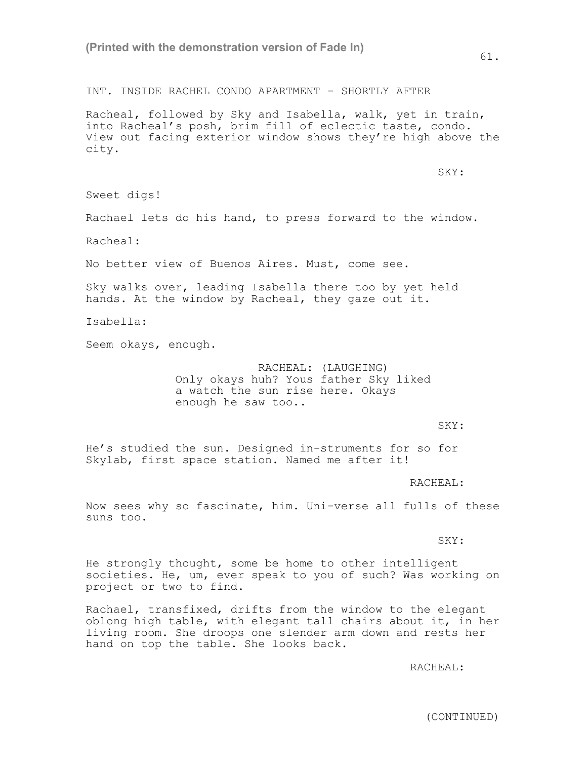INT. INSIDE RACHEL CONDO APARTMENT - SHORTLY AFTER

Racheal, followed by Sky and Isabella, walk, yet in train, into Racheal's posh, brim fill of eclectic taste, condo. View out facing exterior window shows they're high above the city.

SKY:

Sweet digs!

Rachael lets do his hand, to press forward to the window.

Racheal:

No better view of Buenos Aires. Must, come see.

Sky walks over, leading Isabella there too by yet held hands. At the window by Racheal, they gaze out it.

Isabella:

Seem okays, enough.

RACHEAL: (LAUGHING) Only okays huh? Yous father Sky liked a watch the sun rise here. Okays enough he saw too..

## SKY:

He's studied the sun. Designed in-struments for so for Skylab, first space station. Named me after it!

RACHEAL:

Now sees why so fascinate, him. Uni-verse all fulls of these suns too.

SKY:

He strongly thought, some be home to other intelligent societies. He, um, ever speak to you of such? Was working on project or two to find.

Rachael, transfixed, drifts from the window to the elegant oblong high table, with elegant tall chairs about it, in her living room. She droops one slender arm down and rests her hand on top the table. She looks back.

RACHEAL: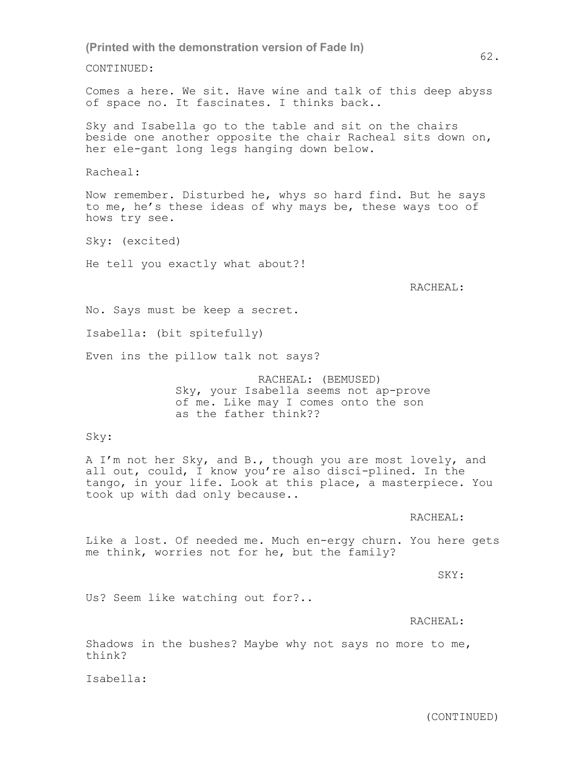CONTINUED:

Comes a here. We sit. Have wine and talk of this deep abyss of space no. It fascinates. I thinks back..

Sky and Isabella go to the table and sit on the chairs beside one another opposite the chair Racheal sits down on, her ele-gant long legs hanging down below.

Racheal:

Now remember. Disturbed he, whys so hard find. But he says to me, he's these ideas of why mays be, these ways too of hows try see.

Sky: (excited)

He tell you exactly what about?!

RACHEAL:

No. Says must be keep a secret.

Isabella: (bit spitefully)

Even ins the pillow talk not says?

RACHEAL: (BEMUSED) Sky, your Isabella seems not ap-prove of me. Like may I comes onto the son as the father think??

Sky:

A I'm not her Sky, and B., though you are most lovely, and all out, could, I know you're also disci-plined. In the tango, in your life. Look at this place, a masterpiece. You took up with dad only because..

RACHEAL:

Like a lost. Of needed me. Much en-ergy churn. You here gets me think, worries not for he, but the family?

SKY:

Us? Seem like watching out for?..

RACHEAL:

Shadows in the bushes? Maybe why not says no more to me, think?

Isabella: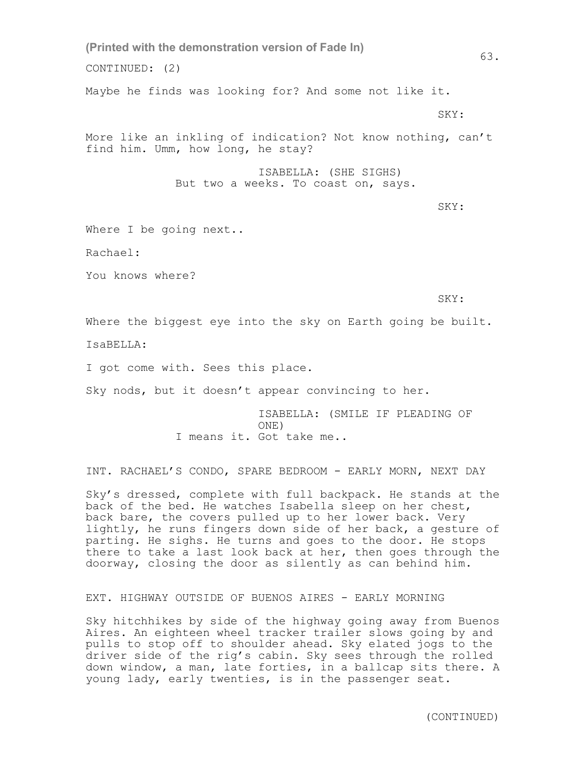Maybe he finds was looking for? And some not like it. SKY: More like an inkling of indication? Not know nothing, can't find him. Umm, how long, he stay? ISABELLA: (SHE SIGHS) But two a weeks. To coast on, says. SKY: Where I be going next.. Rachael: You knows where? SKY: Where the biggest eye into the sky on Earth going be built. IsaBELLA: I got come with. Sees this place. Sky nods, but it doesn't appear convincing to her. ISABELLA: (SMILE IF PLEADING OF ONE) I means it. Got take me.. INT. RACHAEL'S CONDO, SPARE BEDROOM - EARLY MORN, NEXT DAY Sky's dressed, complete with full backpack. He stands at the back of the bed. He watches Isabella sleep on her chest, back bare, the covers pulled up to her lower back. Very CONTINUED: (2) 63. **(Printed with the demonstration version of Fade In)**

lightly, he runs fingers down side of her back, a gesture of parting. He sighs. He turns and goes to the door. He stops there to take a last look back at her, then goes through the doorway, closing the door as silently as can behind him.

EXT. HIGHWAY OUTSIDE OF BUENOS AIRES - EARLY MORNING

Sky hitchhikes by side of the highway going away from Buenos Aires. An eighteen wheel tracker trailer slows going by and pulls to stop off to shoulder ahead. Sky elated jogs to the driver side of the rig's cabin. Sky sees through the rolled down window, a man, late forties, in a ballcap sits there. A young lady, early twenties, is in the passenger seat.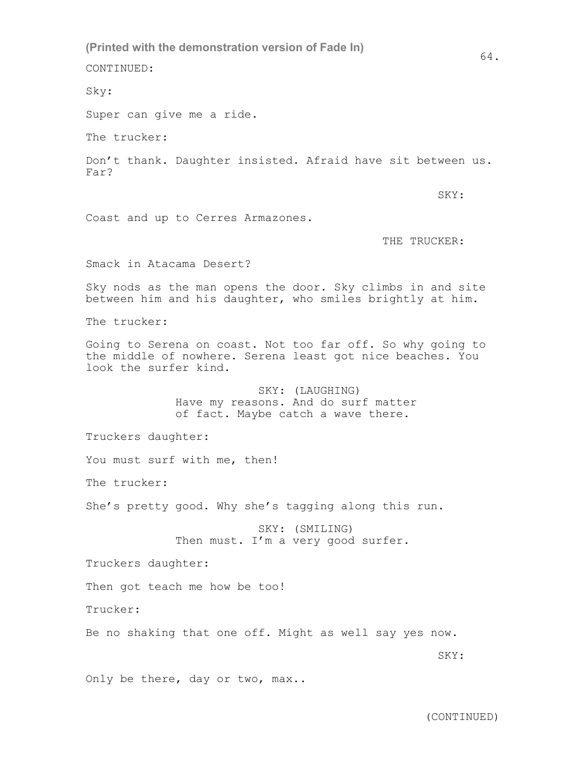Sky: Super can give me a ride. The trucker: Don't thank. Daughter insisted. Afraid have sit between us. Far? SKY: Coast and up to Cerres Armazones. THE TRUCKER: Smack in Atacama Desert? Sky nods as the man opens the door. Sky climbs in and site between him and his daughter, who smiles brightly at him. The trucker: Going to Serena on coast. Not too far off. So why going to the middle of nowhere. Serena least got nice beaches. You look the surfer kind. SKY: (LAUGHING) Have my reasons. And do surf matter of fact. Maybe catch a wave there. Truckers daughter: You must surf with me, then! The trucker: She's pretty good. Why she's tagging along this run. SKY: (SMILING) Then must. I'm a very good surfer. Truckers daughter: Then got teach me how be too! Trucker: Be no shaking that one off. Might as well say yes now. SKY: Only be there, day or two, max.. CONTINUED: 64. **(Printed with the demonstration version of Fade In)**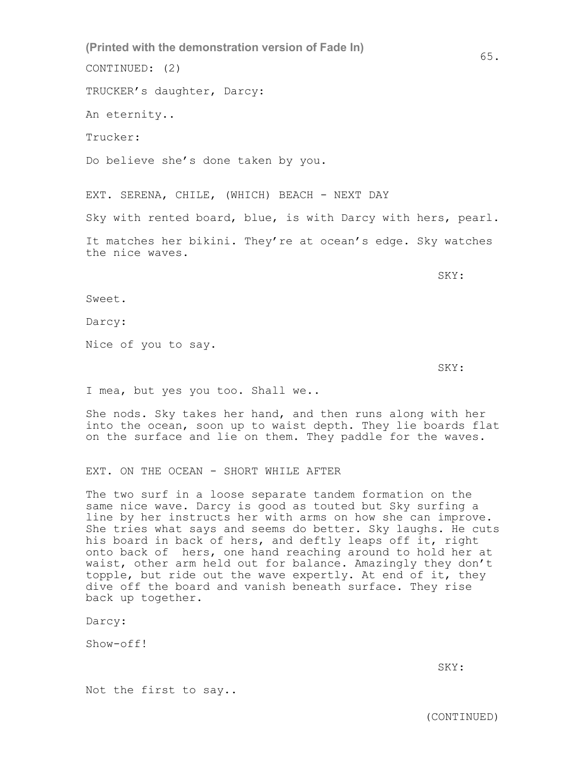CONTINUED: (2)

TRUCKER's daughter, Darcy:

An eternity..

Trucker:

Do believe she's done taken by you.

EXT. SERENA, CHILE, (WHICH) BEACH - NEXT DAY

Sky with rented board, blue, is with Darcy with hers, pearl.

It matches her bikini. They're at ocean's edge. Sky watches the nice waves.

SKY:

Sweet.

Darcy:

Nice of you to say.

SKY:

I mea, but yes you too. Shall we..

She nods. Sky takes her hand, and then runs along with her into the ocean, soon up to waist depth. They lie boards flat on the surface and lie on them. They paddle for the waves.

EXT. ON THE OCEAN - SHORT WHILE AFTER

The two surf in a loose separate tandem formation on the same nice wave. Darcy is good as touted but Sky surfing a line by her instructs her with arms on how she can improve. She tries what says and seems do better. Sky laughs. He cuts his board in back of hers, and deftly leaps off it, right onto back of hers, one hand reaching around to hold her at waist, other arm held out for balance. Amazingly they don't topple, but ride out the wave expertly. At end of it, they dive off the board and vanish beneath surface. They rise back up together.

Darcy:

Show-off!

SKY:

Not the first to say..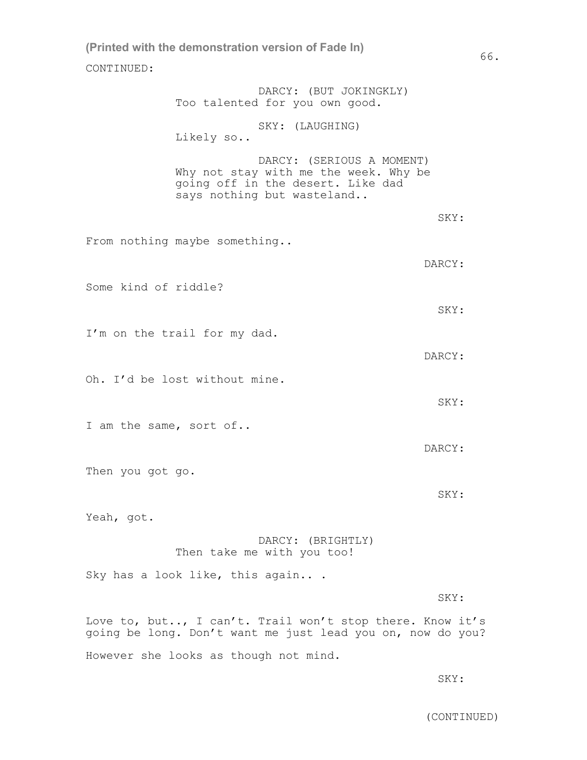DARCY: (BUT JOKINGKLY) Too talented for you own good. SKY: (LAUGHING) Likely so.. DARCY: (SERIOUS A MOMENT) Why not stay with me the week. Why be going off in the desert. Like dad says nothing but wasteland.. SKY: From nothing maybe something.. DARCY: Some kind of riddle? SKY: I'm on the trail for my dad. DARCY: Oh. I'd be lost without mine. SKY: I am the same, sort of.. DARCY: Then you got go. SKY: Yeah, got. DARCY: (BRIGHTLY) Then take me with you too! Sky has a look like, this again... SKY: Love to, but.., I can't. Trail won't stop there. Know it's going be long. Don't want me just lead you on, now do you? However she looks as though not mind. CONTINUED: **(Printed with the demonstration version of Fade In)**

SKY:

(CONTINUED)

66.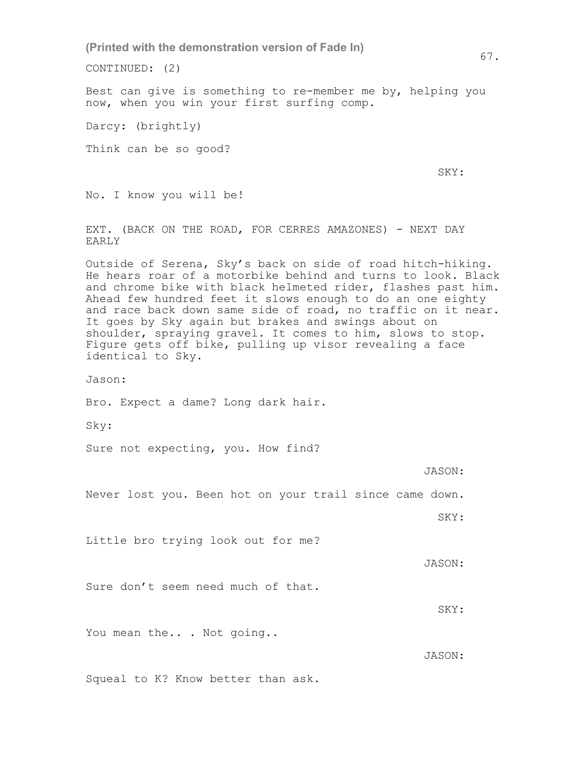CONTINUED: (2)

Best can give is something to re-member me by, helping you now, when you win your first surfing comp.

Darcy: (brightly)

Think can be so good?

SKY:

No. I know you will be!

EXT. (BACK ON THE ROAD, FOR CERRES AMAZONES) - NEXT DAY EARLY

Outside of Serena, Sky's back on side of road hitch-hiking. He hears roar of a motorbike behind and turns to look. Black and chrome bike with black helmeted rider, flashes past him. Ahead few hundred feet it slows enough to do an one eighty and race back down same side of road, no traffic on it near. It goes by Sky again but brakes and swings about on shoulder, spraying gravel. It comes to him, slows to stop. Figure gets off bike, pulling up visor revealing a face identical to Sky.

Jason:

Bro. Expect a dame? Long dark hair.

Sky:

Sure not expecting, you. How find?

JASON:

Never lost you. Been hot on your trail since came down.

SKY:

Little bro trying look out for me?

JASON:

Sure don't seem need much of that.

SKY:

You mean the.. . Not going..

JASON:

Squeal to K? Know better than ask.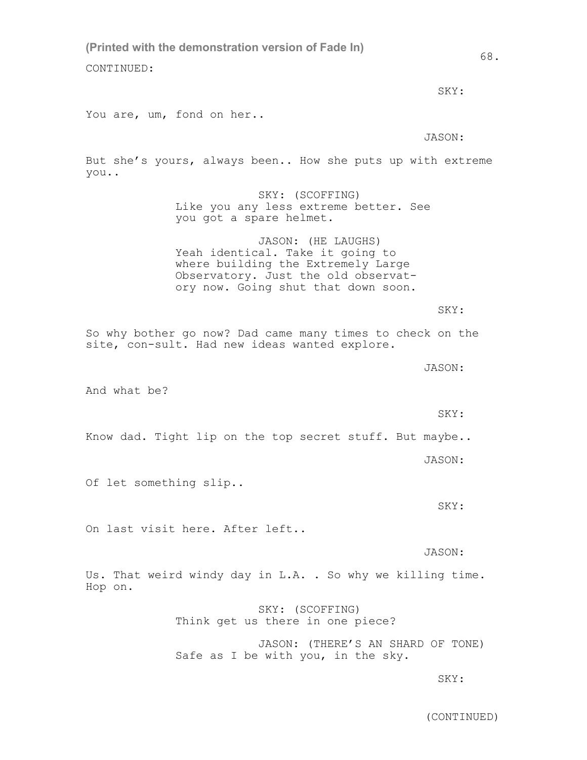SKY: You are, um, fond on her.. JASON: But she's yours, always been.. How she puts up with extreme you.. SKY: (SCOFFING) Like you any less extreme better. See you got a spare helmet. JASON: (HE LAUGHS) Yeah identical. Take it going to where building the Extremely Large Observatory. Just the old observatory now. Going shut that down soon. SKY: So why bother go now? Dad came many times to check on the site, con-sult. Had new ideas wanted explore. JASON: And what be? SKY: Know dad. Tight lip on the top secret stuff. But maybe.. JASON: Of let something slip.. SKY: On last visit here. After left.. JASON: Us. That weird windy day in L.A. . So why we killing time. Hop on. SKY: (SCOFFING) Think get us there in one piece? JASON: (THERE'S AN SHARD OF TONE) Safe as I be with you, in the sky. CONTINUED: 68.

**(Printed with the demonstration version of Fade In)**

SKY: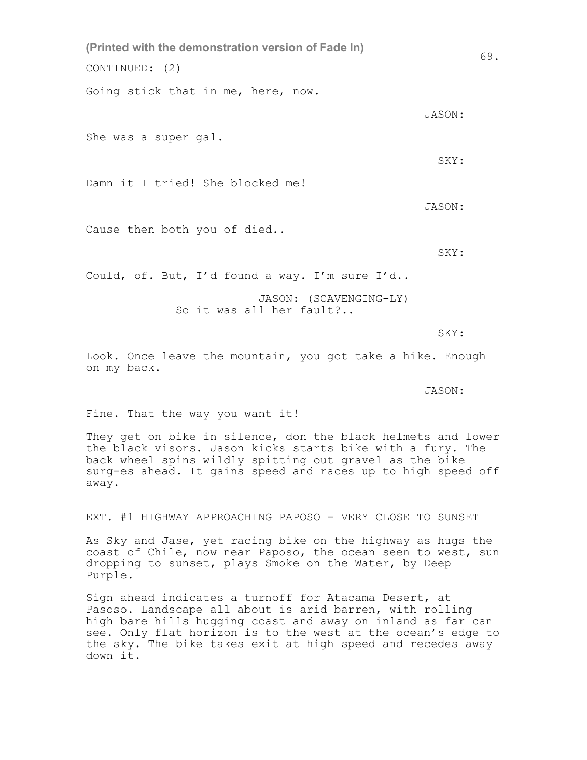Going stick that in me, here, now. JASON: She was a super gal. SKY: Damn it I tried! She blocked me! JASON: Cause then both you of died.. SKY: Could, of. But, I'd found a way. I'm sure I'd.. JASON: (SCAVENGING-LY) CONTINUED: (2) **(Printed with the demonstration version of Fade In)**

SKY:

69.

Look. Once leave the mountain, you got take a hike. Enough on my back.

So it was all her fault?..

JASON:

Fine. That the way you want it!

They get on bike in silence, don the black helmets and lower the black visors. Jason kicks starts bike with a fury. The back wheel spins wildly spitting out gravel as the bike surg-es ahead. It gains speed and races up to high speed off away.

EXT. #1 HIGHWAY APPROACHING PAPOSO - VERY CLOSE TO SUNSET

As Sky and Jase, yet racing bike on the highway as hugs the coast of Chile, now near Paposo, the ocean seen to west, sun dropping to sunset, plays Smoke on the Water, by Deep Purple.

Sign ahead indicates a turnoff for Atacama Desert, at Pasoso. Landscape all about is arid barren, with rolling high bare hills hugging coast and away on inland as far can see. Only flat horizon is to the west at the ocean's edge to the sky. The bike takes exit at high speed and recedes away down it.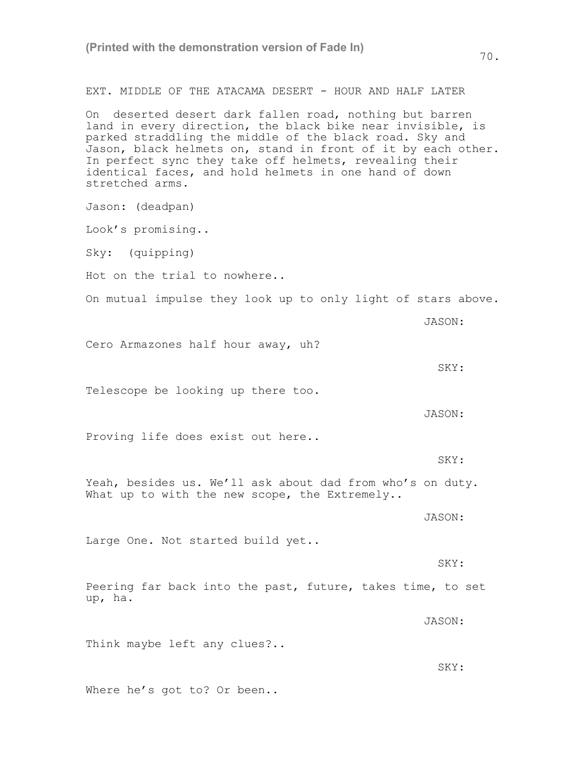EXT. MIDDLE OF THE ATACAMA DESERT - HOUR AND HALF LATER On deserted desert dark fallen road, nothing but barren land in every direction, the black bike near invisible, is parked straddling the middle of the black road. Sky and Jason, black helmets on, stand in front of it by each other. In perfect sync they take off helmets, revealing their identical faces, and hold helmets in one hand of down stretched arms. Jason: (deadpan) Look's promising.. Sky: (quipping) Hot on the trial to nowhere.. On mutual impulse they look up to only light of stars above. JASON: Cero Armazones half hour away, uh? SKY: Telescope be looking up there too. JASON: Proving life does exist out here.. SKY: Yeah, besides us. We'll ask about dad from who's on duty. What up to with the new scope, the Extremely.. JASON: Large One. Not started build yet.. SKY: Peering far back into the past, future, takes time, to set up, ha. JASON: Think maybe left any clues?.. SKY: Where he's got to? Or been..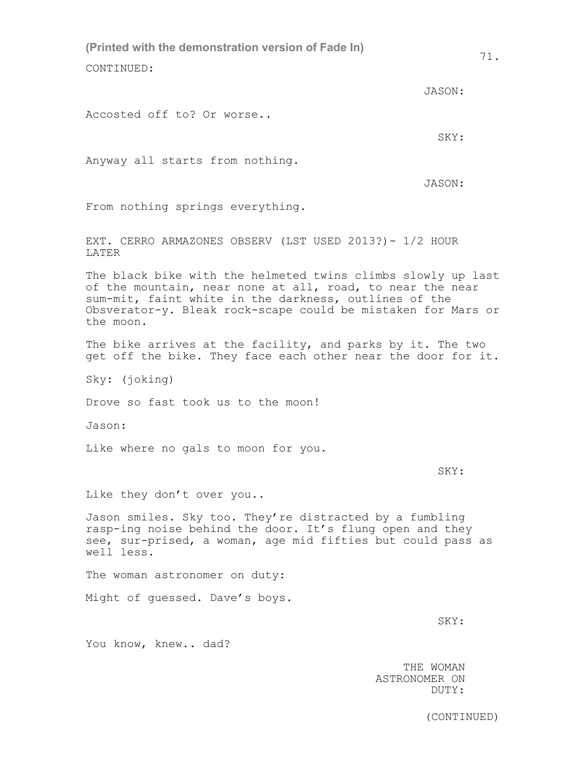JASON: Accosted off to? Or worse.. SKY: Anyway all starts from nothing. JASON: From nothing springs everything. EXT. CERRO ARMAZONES OBSERV (LST USED 2013?)- 1/2 HOUR LATER The black bike with the helmeted twins climbs slowly up last of the mountain, near none at all, road, to near the near sum-mit, faint white in the darkness, outlines of the Obsverator-y. Bleak rock-scape could be mistaken for Mars or the moon. The bike arrives at the facility, and parks by it. The two get off the bike. They face each other near the door for it. Sky: (joking) Drove so fast took us to the moon! Jason: Like where no gals to moon for you. SKY: Like they don't over you.. Jason smiles. Sky too. They're distracted by a fumbling CONTINUED: 71. **(Printed with the demonstration version of Fade In)**

rasp-ing noise behind the door. It's flung open and they see, sur-prised, a woman, age mid fifties but could pass as well less.

The woman astronomer on duty:

Might of guessed. Dave's boys.

SKY:

You know, knew.. dad?

THE WOMAN ASTRONOMER ON DUTY: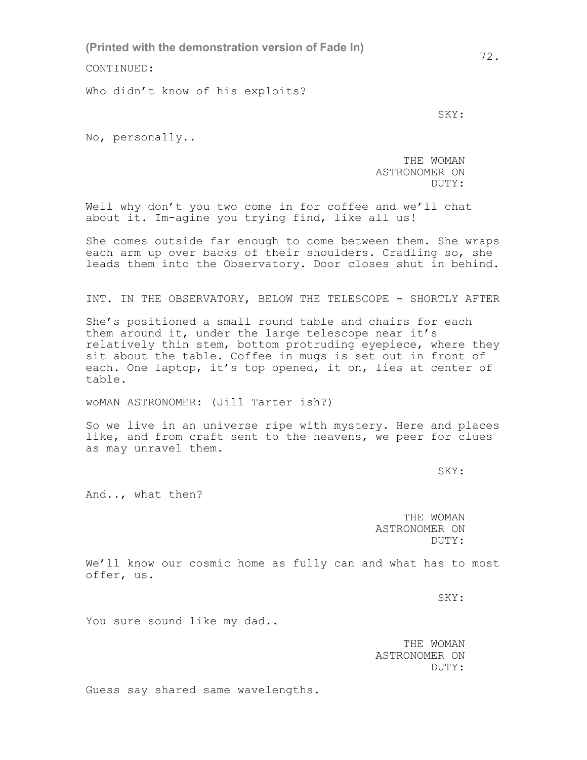CONTINUED:

Who didn't know of his exploits?

SKY:

No, personally..

THE WOMAN ASTRONOMER ON DUTY:

Well why don't you two come in for coffee and we'll chat about it. Im-agine you trying find, like all us!

She comes outside far enough to come between them. She wraps each arm up over backs of their shoulders. Cradling so, she leads them into the Observatory. Door closes shut in behind.

INT. IN THE OBSERVATORY, BELOW THE TELESCOPE - SHORTLY AFTER

She's positioned a small round table and chairs for each them around it, under the large telescope near it's relatively thin stem, bottom protruding eyepiece, where they sit about the table. Coffee in mugs is set out in front of each. One laptop, it's top opened, it on, lies at center of table.

woMAN ASTRONOMER: (Jill Tarter ish?)

So we live in an universe ripe with mystery. Here and places like, and from craft sent to the heavens, we peer for clues as may unravel them.

SKY:

And.., what then?

THE WOMAN ASTRONOMER ON DUTY:

We'll know our cosmic home as fully can and what has to most offer, us.

SKY:

You sure sound like my dad..

THE WOMAN ASTRONOMER ON DUTY:

Guess say shared same wavelengths.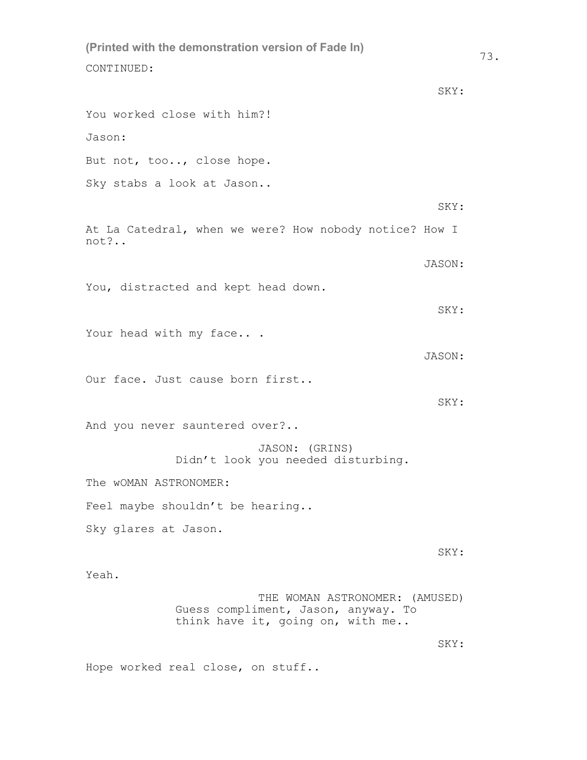| (Printed with the demonstration version of Fade In)                                                       |
|-----------------------------------------------------------------------------------------------------------|
| CONTINUED:                                                                                                |
| SKY:                                                                                                      |
| You worked close with him?!                                                                               |
| Jason:                                                                                                    |
| But not, too, close hope.                                                                                 |
| Sky stabs a look at Jason                                                                                 |
| SKY:                                                                                                      |
| At La Catedral, when we were? How nobody notice? How I<br>not?                                            |
| JASON:                                                                                                    |
| You, distracted and kept head down.                                                                       |
| SKY:                                                                                                      |
| Your head with my face                                                                                    |
| JASON:                                                                                                    |
| Our face. Just cause born first                                                                           |
| SKY:                                                                                                      |
| And you never sauntered over?                                                                             |
| JASON: (GRINS)<br>Didn't look you needed disturbing.                                                      |
| The WOMAN ASTRONOMER:                                                                                     |
| Feel maybe shouldn't be hearing                                                                           |
| Sky glares at Jason.                                                                                      |
| SKY:                                                                                                      |
| Yeah.                                                                                                     |
| THE WOMAN ASTRONOMER: (AMUSED)<br>Guess compliment, Jason, anyway. To<br>think have it, going on, with me |
| SKY:                                                                                                      |

73.

Hope worked real close, on stuff..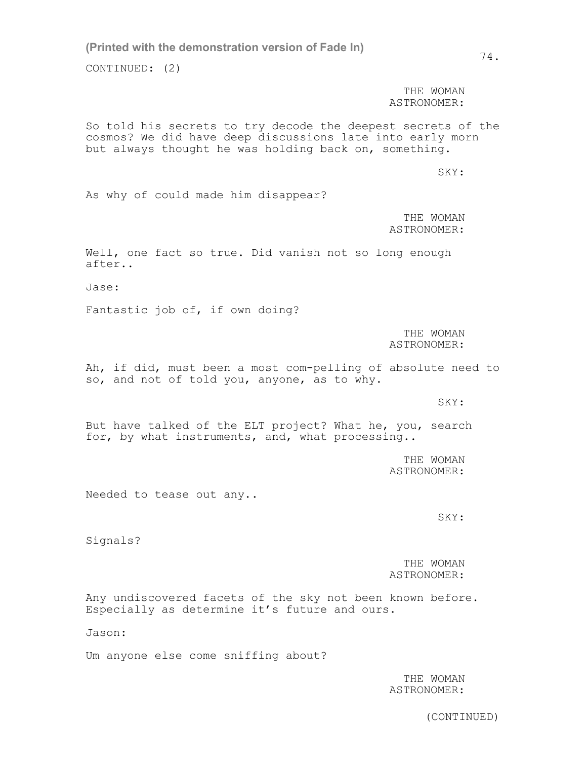THE WOMAN ASTRONOMER: So told his secrets to try decode the deepest secrets of the cosmos? We did have deep discussions late into early morn but always thought he was holding back on, something. SKY: As why of could made him disappear? THE WOMAN ASTRONOMER: Well, one fact so true. Did vanish not so long enough after.. Jase: Fantastic job of, if own doing? THE WOMAN ASTRONOMER: Ah, if did, must been a most com-pelling of absolute need to so, and not of told you, anyone, as to why. SKY: But have talked of the ELT project? What he, you, search for, by what instruments, and, what processing.. THE WOMAN ASTRONOMER: Needed to tease out any.. SKY: Signals? THE WOMAN ASTRONOMER: Any undiscovered facets of the sky not been known before. Especially as determine it's future and ours. Jason: Um anyone else come sniffing about? CONTINUED: (2) 74.

**(Printed with the demonstration version of Fade In)**

THE WOMAN ASTRONOMER: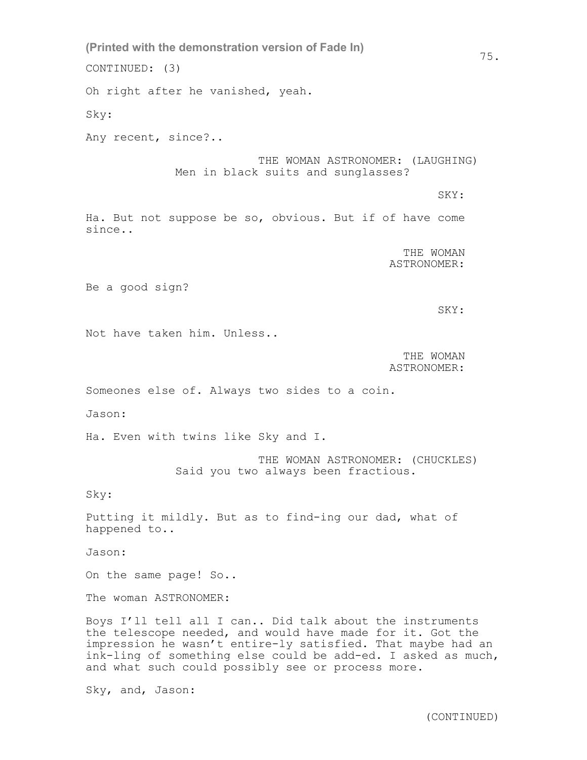Oh right after he vanished, yeah. Sky: Any recent, since?.. THE WOMAN ASTRONOMER: (LAUGHING) Men in black suits and sunglasses? SKY: Ha. But not suppose be so, obvious. But if of have come since.. THE WOMAN ASTRONOMER: Be a good sign? SKY: Not have taken him. Unless.. THE WOMAN ASTRONOMER: Someones else of. Always two sides to a coin. Jason: Ha. Even with twins like Sky and I. THE WOMAN ASTRONOMER: (CHUCKLES) Said you two always been fractious. Sky: Putting it mildly. But as to find-ing our dad, what of happened to.. Jason: On the same page! So.. The woman ASTRONOMER: Boys I'll tell all I can.. Did talk about the instruments the telescope needed, and would have made for it. Got the impression he wasn't entire-ly satisfied. That maybe had an ink-ling of something else could be add-ed. I asked as much, and what such could possibly see or process more. Sky, and, Jason: CONTINUED: (3) 75. **(Printed with the demonstration version of Fade In)**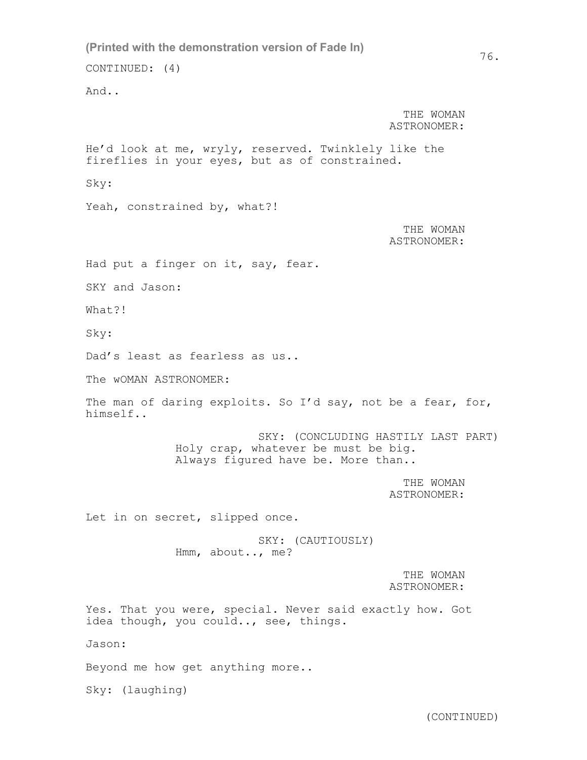And.. THE WOMAN ASTRONOMER: He'd look at me, wryly, reserved. Twinklely like the fireflies in your eyes, but as of constrained. Sky: Yeah, constrained by, what?! THE WOMAN ASTRONOMER: Had put a finger on it, say, fear. SKY and Jason: What?! Sky: Dad's least as fearless as us.. The wOMAN ASTRONOMER: The man of daring exploits. So I'd say, not be a fear, for, himself.. SKY: (CONCLUDING HASTILY LAST PART) Holy crap, whatever be must be big. Always figured have be. More than.. THE WOMAN ASTRONOMER: Let in on secret, slipped once. SKY: (CAUTIOUSLY) Hmm, about.., me? THE WOMAN ASTRONOMER: Yes. That you were, special. Never said exactly how. Got idea though, you could.., see, things. Jason: Beyond me how get anything more.. Sky: (laughing) CONTINUED: (4) 76. **(Printed with the demonstration version of Fade In)**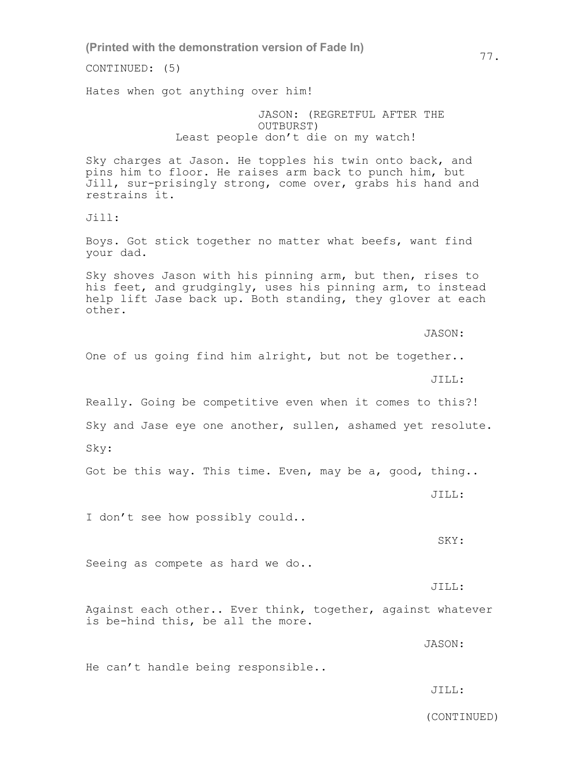CONTINUED: (5)

Hates when got anything over him!

JASON: (REGRETFUL AFTER THE OUTBURST) Least people don't die on my watch!

Sky charges at Jason. He topples his twin onto back, and pins him to floor. He raises arm back to punch him, but Jill, sur-prisingly strong, come over, grabs his hand and restrains it.

Jill:

Boys. Got stick together no matter what beefs, want find your dad.

Sky shoves Jason with his pinning arm, but then, rises to his feet, and grudgingly, uses his pinning arm, to instead help lift Jase back up. Both standing, they glover at each other.

JASON:

One of us going find him alright, but not be together..

JILL:

Really. Going be competitive even when it comes to this?!

Sky and Jase eye one another, sullen, ashamed yet resolute.

Sky:

Got be this way. This time. Even, may be a, good, thing..

JILL:

I don't see how possibly could..

SKY:

Seeing as compete as hard we do..

JILL:

Against each other.. Ever think, together, against whatever is be-hind this, be all the more.

JASON:

He can't handle being responsible..

JILL: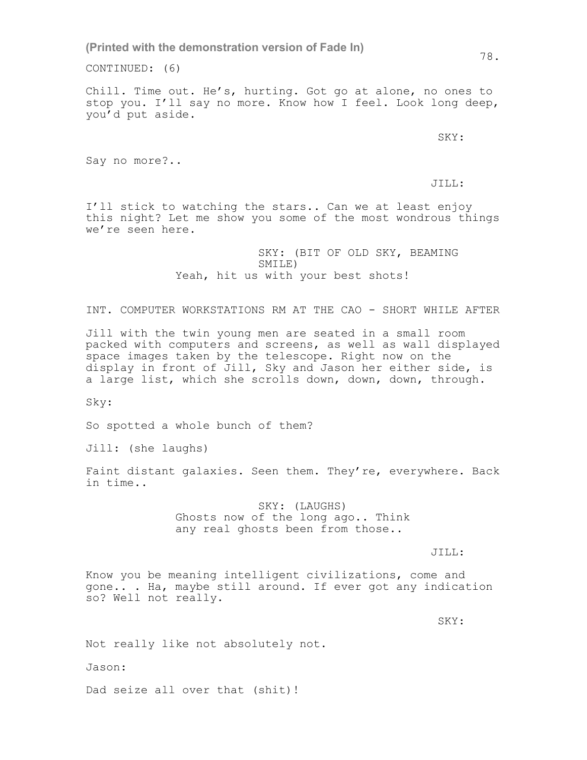CONTINUED: (6)

Chill. Time out. He's, hurting. Got go at alone, no ones to stop you. I'll say no more. Know how I feel. Look long deep, you'd put aside.

SKY:

Say no more?..

JILL:

I'll stick to watching the stars.. Can we at least enjoy this night? Let me show you some of the most wondrous things we're seen here.

> SKY: (BIT OF OLD SKY, BEAMING SMILE) Yeah, hit us with your best shots!

INT. COMPUTER WORKSTATIONS RM AT THE CAO - SHORT WHILE AFTER

Jill with the twin young men are seated in a small room packed with computers and screens, as well as wall displayed space images taken by the telescope. Right now on the display in front of Jill, Sky and Jason her either side, is a large list, which she scrolls down, down, down, through.

Sky:

So spotted a whole bunch of them?

Jill: (she laughs)

Faint distant galaxies. Seen them. They're, everywhere. Back in time..

> SKY: (LAUGHS) Ghosts now of the long ago.. Think any real ghosts been from those..

### JILL:

Know you be meaning intelligent civilizations, come and gone.. . Ha, maybe still around. If ever got any indication so? Well not really.

SKY:

Not really like not absolutely not.

Jason:

Dad seize all over that (shit)!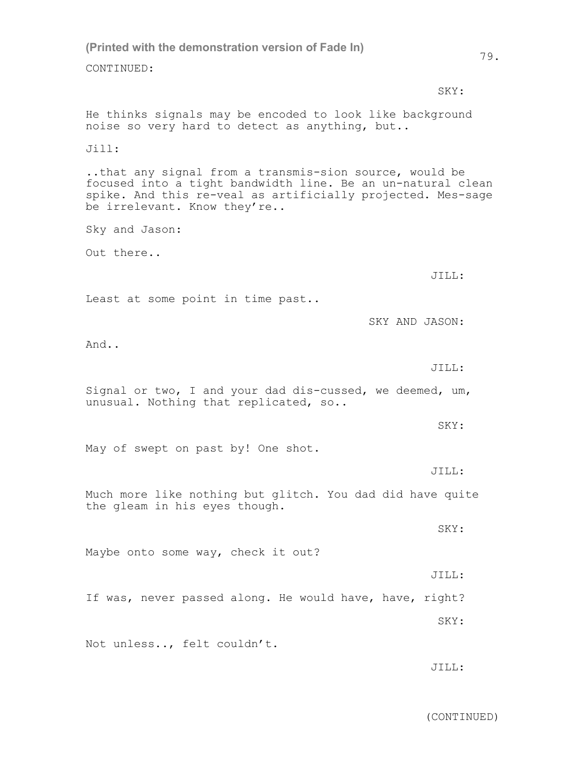| (Printed with the demonstration version of Fade In)<br>79.                                                                                                                                                         |  |
|--------------------------------------------------------------------------------------------------------------------------------------------------------------------------------------------------------------------|--|
| CONTINUED:                                                                                                                                                                                                         |  |
| SKY:                                                                                                                                                                                                               |  |
| He thinks signals may be encoded to look like background<br>noise so very hard to detect as anything, but                                                                                                          |  |
| Jill:                                                                                                                                                                                                              |  |
| that any signal from a transmis-sion source, would be<br>focused into a tight bandwidth line. Be an un-natural clean<br>spike. And this re-veal as artificially projected. Mes-sage<br>be irrelevant. Know they're |  |
| Sky and Jason:                                                                                                                                                                                                     |  |
| Out there                                                                                                                                                                                                          |  |
| JILL:                                                                                                                                                                                                              |  |
| Least at some point in time past                                                                                                                                                                                   |  |
| SKY AND JASON:                                                                                                                                                                                                     |  |
| And                                                                                                                                                                                                                |  |
| JILL:                                                                                                                                                                                                              |  |
| Signal or two, I and your dad dis-cussed, we deemed, um,<br>unusual. Nothing that replicated, so                                                                                                                   |  |
| SKY:                                                                                                                                                                                                               |  |
| May of swept on past by! One shot.                                                                                                                                                                                 |  |
| JILL:                                                                                                                                                                                                              |  |
| Much more like nothing but glitch. You dad did have quite<br>the gleam in his eyes though.                                                                                                                         |  |
| SKY:                                                                                                                                                                                                               |  |
| Maybe onto some way, check it out?                                                                                                                                                                                 |  |
| JILL:                                                                                                                                                                                                              |  |
| If was, never passed along. He would have, have, right?                                                                                                                                                            |  |
| SKY:                                                                                                                                                                                                               |  |
| Not unless, felt couldn't.                                                                                                                                                                                         |  |
| JILL:                                                                                                                                                                                                              |  |
|                                                                                                                                                                                                                    |  |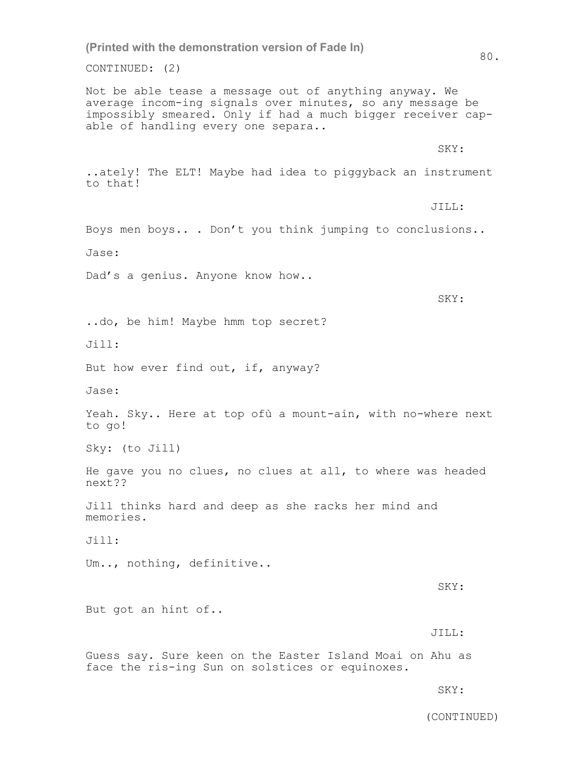Not be able tease a message out of anything anyway. We average incom-ing signals over minutes, so any message be impossibly smeared. Only if had a much bigger receiver capable of handling every one separa.. SKY: ..ately! The ELT! Maybe had idea to piggyback an instrument to that! JILL: Boys men boys.. . Don't you think jumping to conclusions.. Jase: Dad's a genius. Anyone know how.. SKY: ..do, be him! Maybe hmm top secret? Jill: But how ever find out, if, anyway? Jase: Yeah. Sky.. Here at top ofù a mount-ain, with no-where next to go! Sky: (to Jill) He gave you no clues, no clues at all, to where was headed next?? Jill thinks hard and deep as she racks her mind and memories. Jill: Um.., nothing, definitive.. SKY: But got an hint of.. JILL: Guess say. Sure keen on the Easter Island Moai on Ahu as face the ris-ing Sun on solstices or equinoxes. CONTINUED: (2) 80.

**(Printed with the demonstration version of Fade In)**

SKY: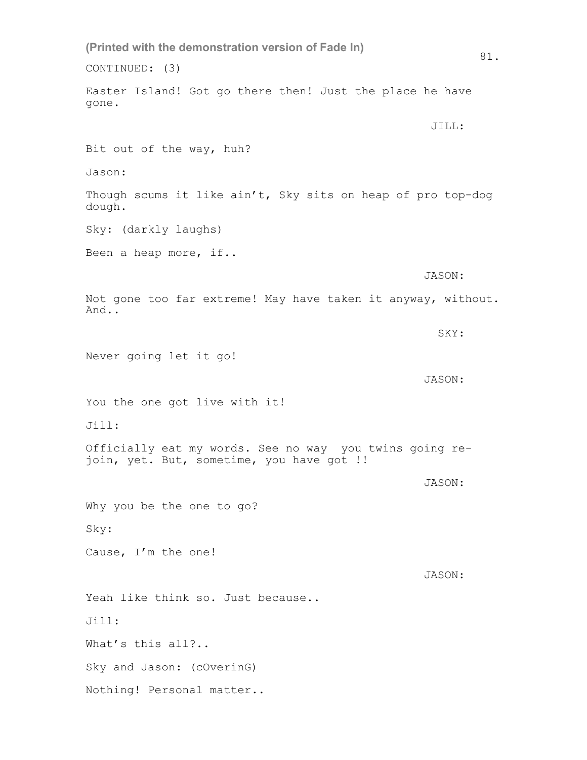Easter Island! Got go there then! Just the place he have gone. JILL: Bit out of the way, huh? Jason: Though scums it like ain't, Sky sits on heap of pro top-dog dough. Sky: (darkly laughs) Been a heap more, if.. JASON: Not gone too far extreme! May have taken it anyway, without. And.. SKY: Never going let it go! JASON: You the one got live with it! Jill: Officially eat my words. See no way you twins going rejoin, yet. But, sometime, you have got !! JASON: Why you be the one to go? Sky: Cause, I'm the one! JASON: Yeah like think so. Just because.. Jill: What's this all?.. Sky and Jason: (cOverinG) Nothing! Personal matter.. CONTINUED: (3) 81. **(Printed with the demonstration version of Fade In)**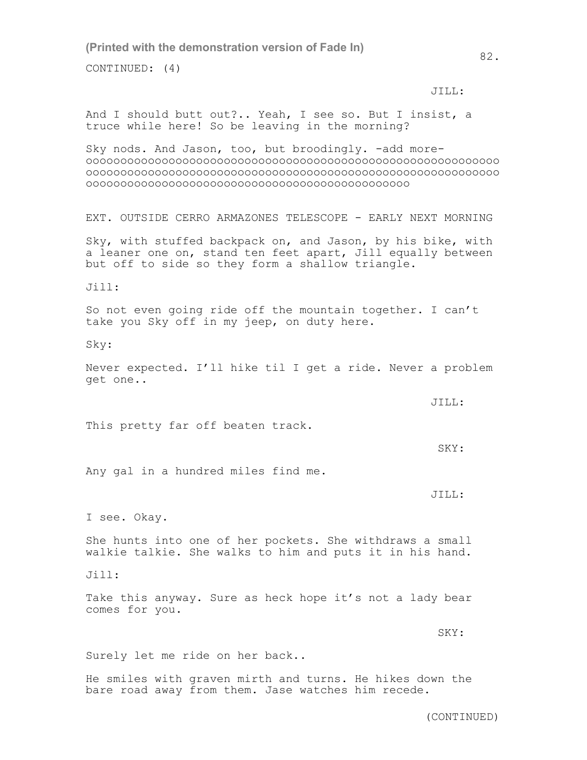CONTINUED: (4)

JILL:

And I should butt out?.. Yeah, I see so. But I insist, a truce while here! So be leaving in the morning?

Sky nods. And Jason, too, but broodingly. -add moreoooooooooooooooooooooooooooooooooooooooooooooooooooooooooooo oooooooooooooooooooooooooooooooooooooooooooooooooooooooooooo ooooooooooooooooooooooooooooooooooooooooooooooo

EXT. OUTSIDE CERRO ARMAZONES TELESCOPE - EARLY NEXT MORNING

Sky, with stuffed backpack on, and Jason, by his bike, with a leaner one on, stand ten feet apart, Jill equally between but off to side so they form a shallow triangle.

Jill:

So not even going ride off the mountain together. I can't take you Sky off in my jeep, on duty here.

Sky:

Never expected. I'll hike til I get a ride. Never a problem get one..

JILL:

This pretty far off beaten track.

SKY:

Any gal in a hundred miles find me.

JILL:

I see. Okay.

She hunts into one of her pockets. She withdraws a small walkie talkie. She walks to him and puts it in his hand.

Jill:

Take this anyway. Sure as heck hope it's not a lady bear comes for you.

SKY:

Surely let me ride on her back..

He smiles with graven mirth and turns. He hikes down the bare road away from them. Jase watches him recede.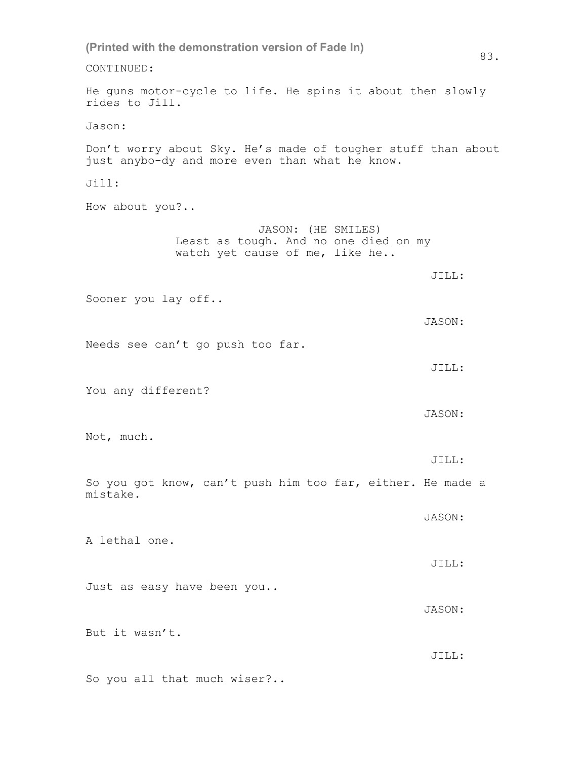He guns motor-cycle to life. He spins it about then slowly rides to Jill. Jason: Don't worry about Sky. He's made of tougher stuff than about just anybo-dy and more even than what he know. Jill: How about you?.. JASON: (HE SMILES) Least as tough. And no one died on my watch yet cause of me, like he.. JILL: Sooner you lay off.. JASON: Needs see can't go push too far. JILL: You any different? JASON: Not, much. JILL: So you got know, can't push him too far, either. He made a mistake. JASON: A lethal one. JILL: Just as easy have been you.. JASON: But it wasn't. JILL: So you all that much wiser?.. CONTINUED: 83. **(Printed with the demonstration version of Fade In)**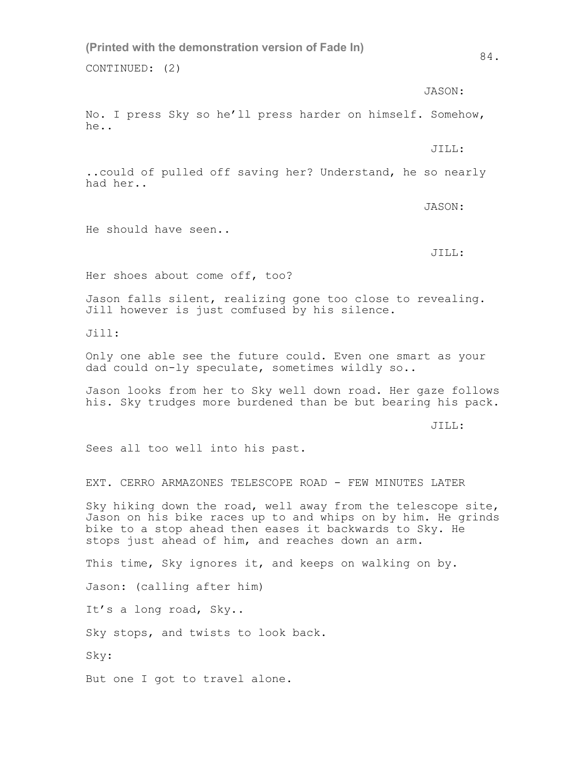CONTINUED: (2)

JASON:

No. I press Sky so he'll press harder on himself. Somehow, he..

JILL:

..could of pulled off saving her? Understand, he so nearly had her..

JASON:

He should have seen..

JILL:

Her shoes about come off, too?

Jason falls silent, realizing gone too close to revealing. Jill however is just comfused by his silence.

Jill:

Only one able see the future could. Even one smart as your dad could on-ly speculate, sometimes wildly so..

Jason looks from her to Sky well down road. Her gaze follows his. Sky trudges more burdened than be but bearing his pack.

JILL:

Sees all too well into his past.

EXT. CERRO ARMAZONES TELESCOPE ROAD - FEW MINUTES LATER

Sky hiking down the road, well away from the telescope site, Jason on his bike races up to and whips on by him. He grinds bike to a stop ahead then eases it backwards to Sky. He stops just ahead of him, and reaches down an arm.

This time, Sky ignores it, and keeps on walking on by.

Jason: (calling after him)

It's a long road, Sky..

Sky stops, and twists to look back.

Sky:

But one I got to travel alone.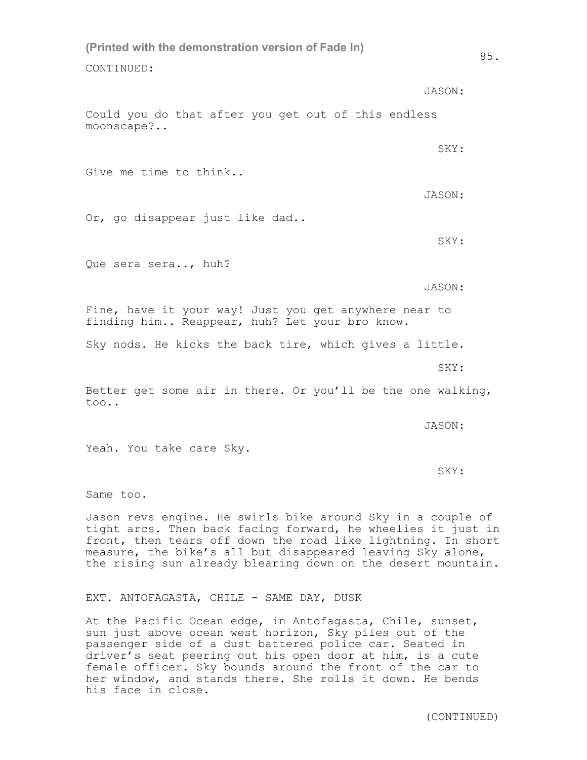(CONTINUED)

# **(Printed with the demonstration version of Fade In)**

CONTINUED:

Could you do that after you get out of this endless

moonscape?..

Give me time to think..

JASON:

JASON:

SKY:

Or, go disappear just like dad..

Que sera sera.., huh?

JASON:

SKY:

Fine, have it your way! Just you get anywhere near to finding him.. Reappear, huh? Let your bro know.

Sky nods. He kicks the back tire, which gives a little.

SKY:

Better get some air in there. Or you'll be the one walking, too..

JASON:

Yeah. You take care Sky.

SKY:

Same too.

Jason revs engine. He swirls bike around Sky in a couple of tight arcs. Then back facing forward, he wheelies it just in front, then tears off down the road like lightning. In short measure, the bike's all but disappeared leaving Sky alone, the rising sun already blearing down on the desert mountain.

EXT. ANTOFAGASTA, CHILE - SAME DAY, DUSK

At the Pacific Ocean edge, in Antofagasta, Chile, sunset, sun just above ocean west horizon, Sky piles out of the passenger side of a dust battered police car. Seated in driver's seat peering out his open door at him, is a cute female officer. Sky bounds around the front of the car to her window, and stands there. She rolls it down. He bends his face in close.

85.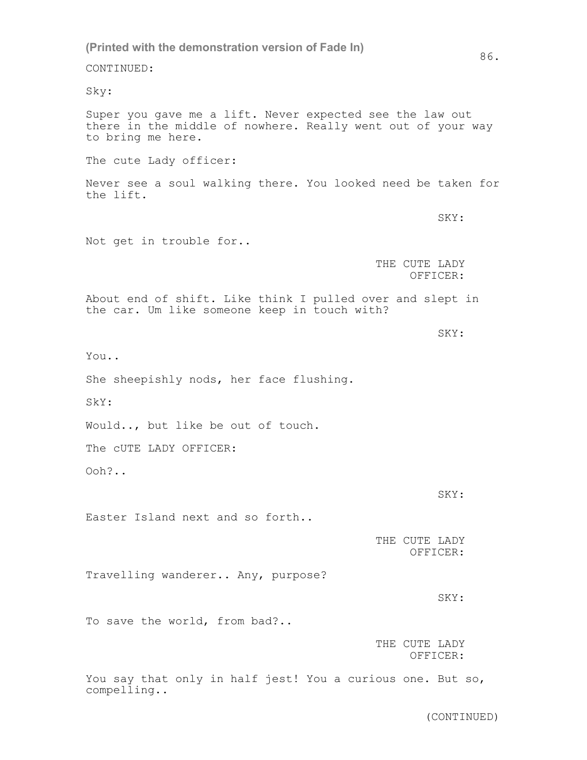Sky: Super you gave me a lift. Never expected see the law out there in the middle of nowhere. Really went out of your way to bring me here. The cute Lady officer: Never see a soul walking there. You looked need be taken for the lift. SKY: Not get in trouble for.. THE CUTE LADY OFFICER: About end of shift. Like think I pulled over and slept in the car. Um like someone keep in touch with? SKY: You.. She sheepishly nods, her face flushing. SkY: Would.., but like be out of touch. The cUTE LADY OFFICER: Ooh?.. SKY: Easter Island next and so forth.. THE CUTE LADY OFFICER: Travelling wanderer.. Any, purpose? SKY: To save the world, from bad?.. THE CUTE LADY OFFICER: You say that only in half jest! You a curious one. But so, compelling.. CONTINUED: 86. **(Printed with the demonstration version of Fade In)**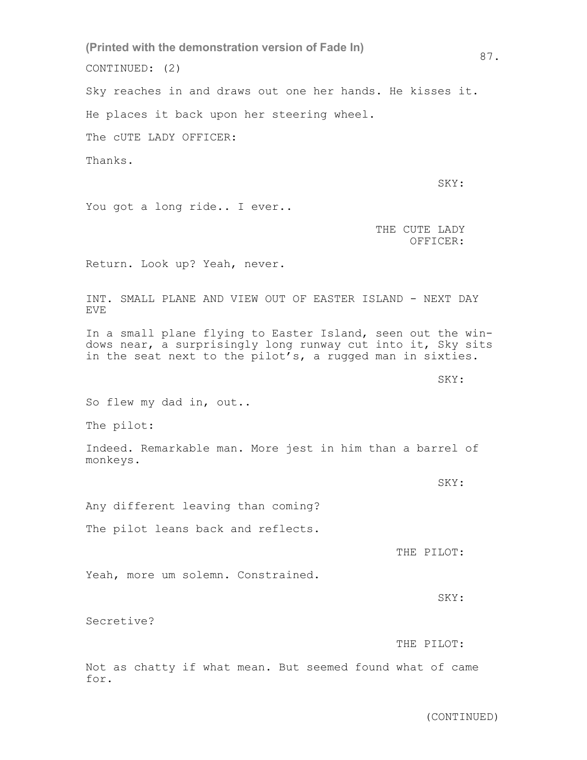Sky reaches in and draws out one her hands. He kisses it. He places it back upon her steering wheel. The cUTE LADY OFFICER: Thanks. SKY: You got a long ride.. I ever.. THE CUTE LADY OFFICER: Return. Look up? Yeah, never. INT. SMALL PLANE AND VIEW OUT OF EASTER ISLAND - NEXT DAY EVE In a small plane flying to Easter Island, seen out the windows near, a surprisingly long runway cut into it, Sky sits in the seat next to the pilot's, a rugged man in sixties. SKY: So flew my dad in, out.. The pilot: Indeed. Remarkable man. More jest in him than a barrel of monkeys. SKY: Any different leaving than coming? The pilot leans back and reflects. THE PILOT: Yeah, more um solemn. Constrained. SKY: Secretive? THE PILOT: Not as chatty if what mean. But seemed found what of came for. CONTINUED: (2) 87. **(Printed with the demonstration version of Fade In)**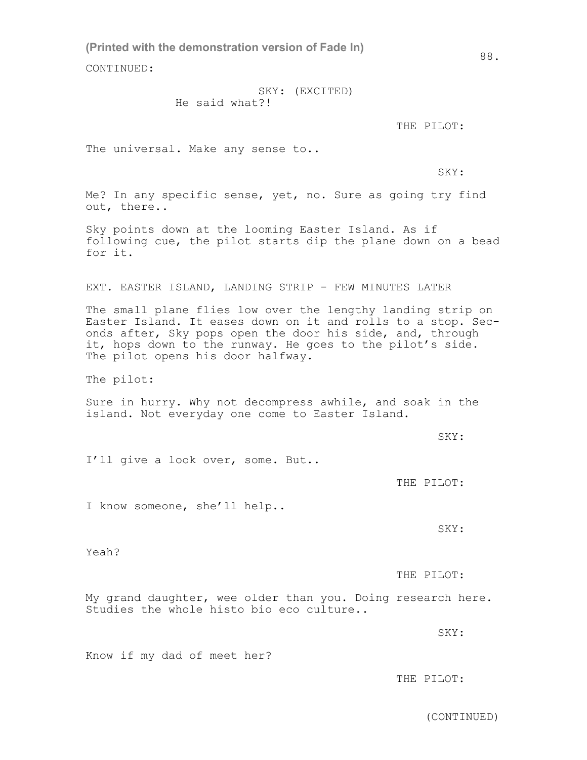CONTINUED:

SKY: (EXCITED) He said what?!

THE PILOT:

The universal. Make any sense to..

SKY:

Me? In any specific sense, yet, no. Sure as going try find out, there..

Sky points down at the looming Easter Island. As if following cue, the pilot starts dip the plane down on a bead for it.

EXT. EASTER ISLAND, LANDING STRIP - FEW MINUTES LATER

The small plane flies low over the lengthy landing strip on Easter Island. It eases down on it and rolls to a stop. Seconds after, Sky pops open the door his side, and, through it, hops down to the runway. He goes to the pilot's side. The pilot opens his door halfway.

The pilot:

Sure in hurry. Why not decompress awhile, and soak in the island. Not everyday one come to Easter Island.

SKY:

I'll give a look over, some. But..

THE PILOT:

I know someone, she'll help..

SKY:

Yeah?

THE PILOT:

My grand daughter, wee older than you. Doing research here. Studies the whole histo bio eco culture..

SKY:

Know if my dad of meet her?

THE PILOT:

88.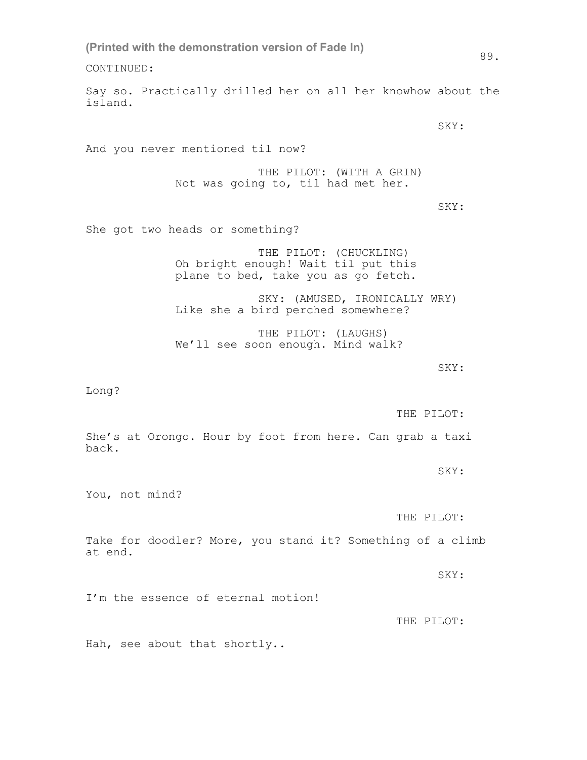Say so. Practically drilled her on all her knowhow about the island. SKY: And you never mentioned til now? THE PILOT: (WITH A GRIN) Not was going to, til had met her. SKY: She got two heads or something? THE PILOT: (CHUCKLING) Oh bright enough! Wait til put this plane to bed, take you as go fetch. SKY: (AMUSED, IRONICALLY WRY) Like she a bird perched somewhere? THE PILOT: (LAUGHS) We'll see soon enough. Mind walk? SKY: Long? THE PILOT: She's at Orongo. Hour by foot from here. Can grab a taxi back. SKY: You, not mind? THE PILOT: Take for doodler? More, you stand it? Something of a climb at end. SKY: I'm the essence of eternal motion! THE PILOT: Hah, see about that shortly.. CONTINUED: 89. **(Printed with the demonstration version of Fade In)**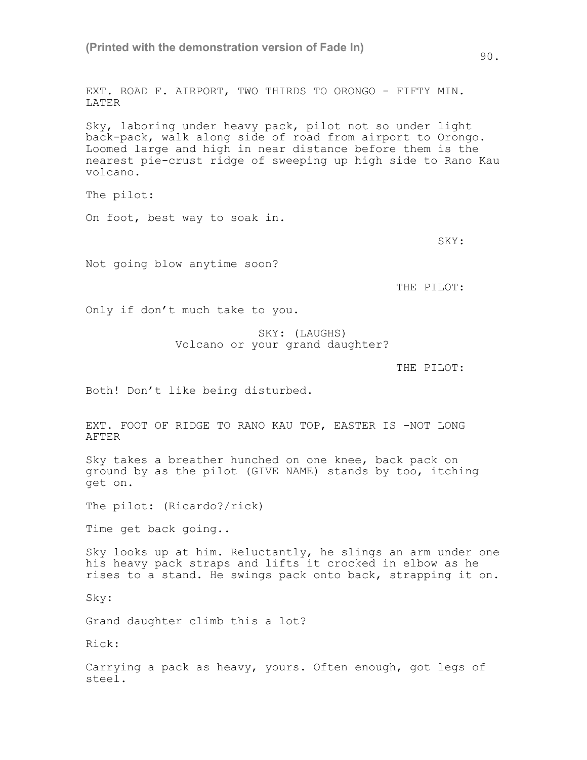EXT. ROAD F. AIRPORT, TWO THIRDS TO ORONGO - FIFTY MIN. LATER

Sky, laboring under heavy pack, pilot not so under light back-pack, walk along side of road from airport to Orongo. Loomed large and high in near distance before them is the nearest pie-crust ridge of sweeping up high side to Rano Kau volcano.

The pilot:

On foot, best way to soak in.

SKY:

Not going blow anytime soon?

THE PILOT:

Only if don't much take to you.

# SKY: (LAUGHS) Volcano or your grand daughter?

THE PILOT:

Both! Don't like being disturbed.

EXT. FOOT OF RIDGE TO RANO KAU TOP, EASTER IS -NOT LONG AFTER

Sky takes a breather hunched on one knee, back pack on ground by as the pilot (GIVE NAME) stands by too, itching get on.

The pilot: (Ricardo?/rick)

Time get back going..

Sky looks up at him. Reluctantly, he slings an arm under one his heavy pack straps and lifts it crocked in elbow as he rises to a stand. He swings pack onto back, strapping it on.

Sky:

Grand daughter climb this a lot?

Rick:

Carrying a pack as heavy, yours. Often enough, got legs of steel.

90.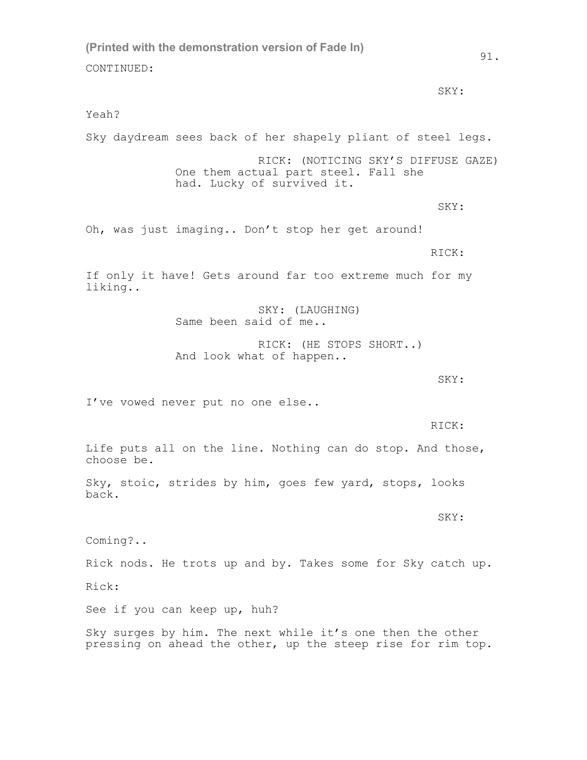SKY: Yeah? Sky daydream sees back of her shapely pliant of steel legs. RICK: (NOTICING SKY'S DIFFUSE GAZE) One them actual part steel. Fall she had. Lucky of survived it. SKY: Oh, was just imaging.. Don't stop her get around! RICK: If only it have! Gets around far too extreme much for my liking.. SKY: (LAUGHING) Same been said of me.. RICK: (HE STOPS SHORT..) And look what of happen.. SKY: I've vowed never put no one else.. RICK: Life puts all on the line. Nothing can do stop. And those, choose be. Sky, stoic, strides by him, goes few yard, stops, looks back. SKY: Coming?.. Rick nods. He trots up and by. Takes some for Sky catch up. Rick: See if you can keep up, huh? Sky surges by him. The next while it's one then the other pressing on ahead the other, up the steep rise for rim top. CONTINUED: 91. **(Printed with the demonstration version of Fade In)**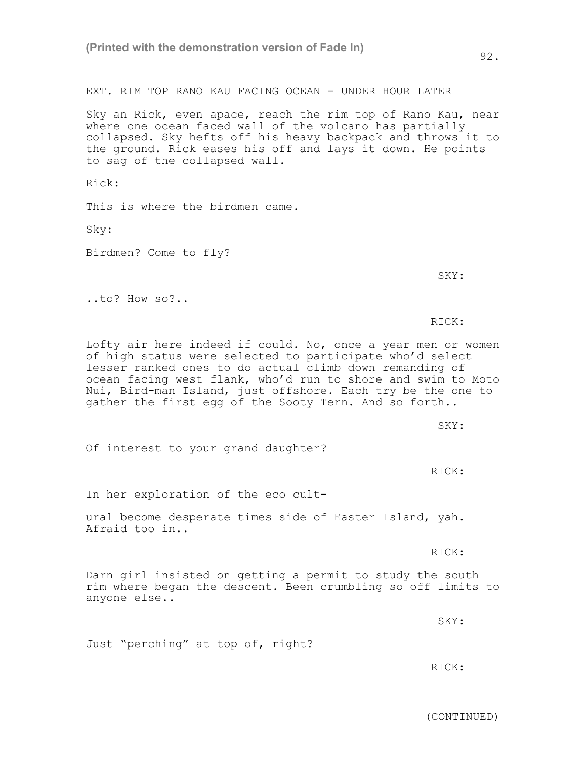EXT. RIM TOP RANO KAU FACING OCEAN - UNDER HOUR LATER

Sky an Rick, even apace, reach the rim top of Rano Kau, near where one ocean faced wall of the volcano has partially collapsed. Sky hefts off his heavy backpack and throws it to the ground. Rick eases his off and lays it down. He points to sag of the collapsed wall.

Rick:

This is where the birdmen came.

Sky:

Birdmen? Come to fly?

SKY:

..to? How so?..

RICK:

Lofty air here indeed if could. No, once a year men or women of high status were selected to participate who'd select lesser ranked ones to do actual climb down remanding of ocean facing west flank, who'd run to shore and swim to Moto Nui, Bird-man Island, just offshore. Each try be the one to gather the first egg of the Sooty Tern. And so forth..

SKY:

Of interest to your grand daughter?

RICK:

In her exploration of the eco cult-

ural become desperate times side of Easter Island, yah. Afraid too in..

RICK:

Darn girl insisted on getting a permit to study the south rim where began the descent. Been crumbling so off limits to anyone else..

SKY:

Just "perching" at top of, right?

RICK:

92.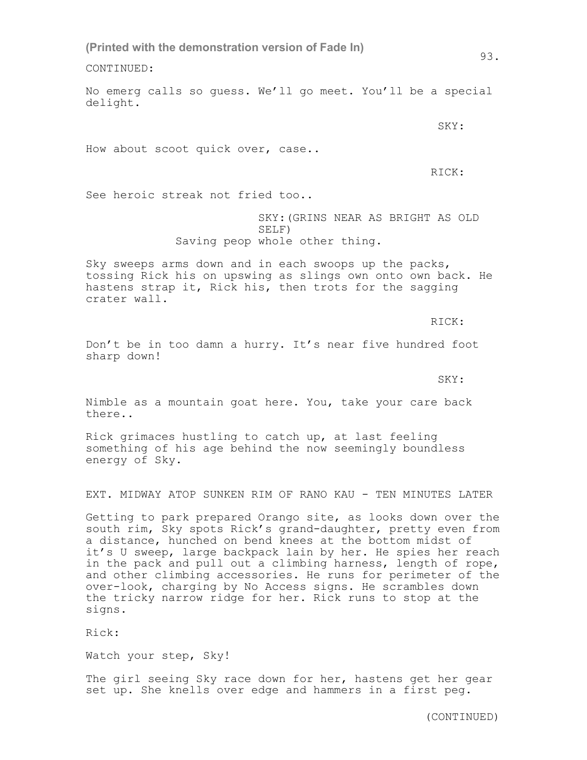CONTINUED:

No emerg calls so guess. We'll go meet. You'll be a special delight.

SKY:

How about scoot quick over, case..

RICK:

See heroic streak not fried too..

SKY:(GRINS NEAR AS BRIGHT AS OLD SELF) Saving peop whole other thing.

Sky sweeps arms down and in each swoops up the packs, tossing Rick his on upswing as slings own onto own back. He hastens strap it, Rick his, then trots for the sagging crater wall.

RICK:

Don't be in too damn a hurry. It's near five hundred foot sharp down!

SKY:

Nimble as a mountain goat here. You, take your care back there..

Rick grimaces hustling to catch up, at last feeling something of his age behind the now seemingly boundless energy of Sky.

EXT. MIDWAY ATOP SUNKEN RIM OF RANO KAU - TEN MINUTES LATER

Getting to park prepared Orango site, as looks down over the south rim, Sky spots Rick's grand-daughter, pretty even from a distance, hunched on bend knees at the bottom midst of it's U sweep, large backpack lain by her. He spies her reach in the pack and pull out a climbing harness, length of rope, and other climbing accessories. He runs for perimeter of the over-look, charging by No Access signs. He scrambles down the tricky narrow ridge for her. Rick runs to stop at the signs.

Rick:

Watch your step, Sky!

The girl seeing Sky race down for her, hastens get her gear set up. She knells over edge and hammers in a first peg.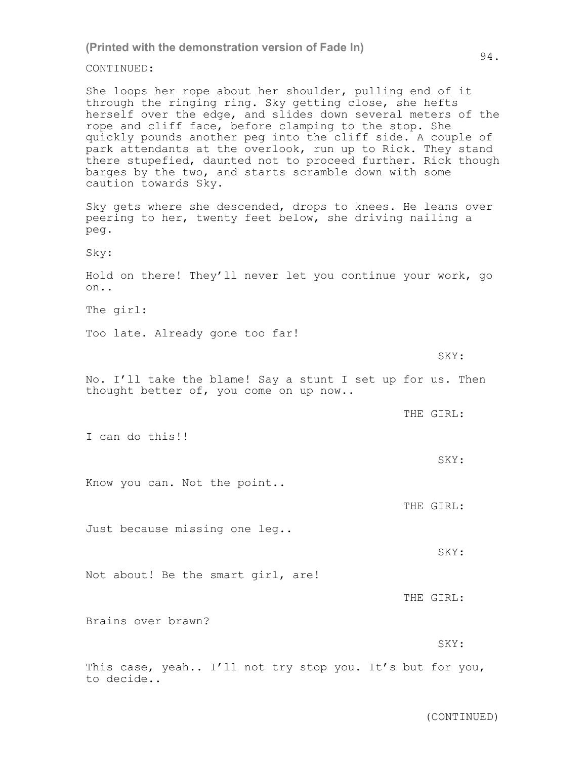CONTINUED:

She loops her rope about her shoulder, pulling end of it through the ringing ring. Sky getting close, she hefts herself over the edge, and slides down several meters of the rope and cliff face, before clamping to the stop. She quickly pounds another peg into the cliff side. A couple of park attendants at the overlook, run up to Rick. They stand there stupefied, daunted not to proceed further. Rick though barges by the two, and starts scramble down with some caution towards Sky.

Sky gets where she descended, drops to knees. He leans over peering to her, twenty feet below, she driving nailing a peg.

Sky:

Hold on there! They'll never let you continue your work, go on..

The girl:

Too late. Already gone too far!

SKY:

No. I'll take the blame! Say a stunt I set up for us. Then thought better of, you come on up now..

THE GIRL:

I can do this!!

Know you can. Not the point..

THE GIRL:

Just because missing one leg..

SKY:

SKY:

Not about! Be the smart girl, are!

THE GIRL:

Brains over brawn?

SKY:

This case, yeah.. I'll not try stop you. It's but for you, to decide..

94.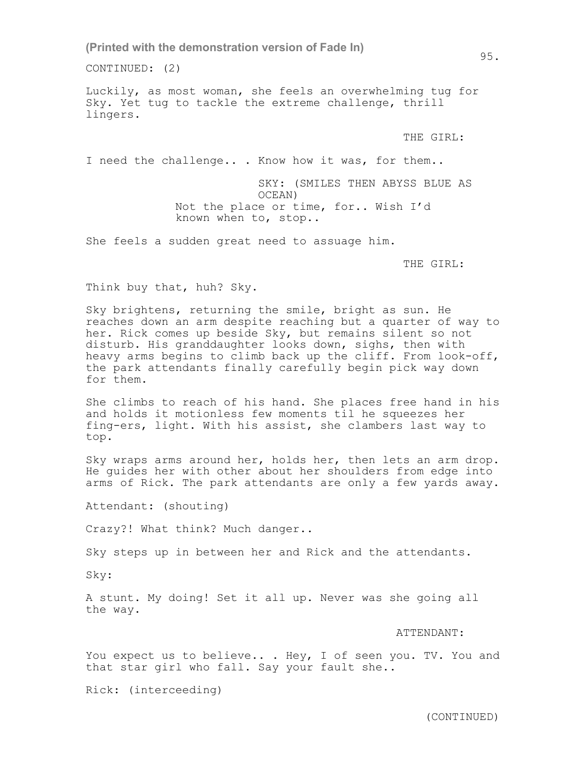CONTINUED: (2)

Luckily, as most woman, she feels an overwhelming tug for Sky. Yet tug to tackle the extreme challenge, thrill lingers.

THE GIRL:

I need the challenge.. . Know how it was, for them..

SKY: (SMILES THEN ABYSS BLUE AS OCEAN) Not the place or time, for.. Wish I'd known when to, stop..

She feels a sudden great need to assuage him.

THE GIRL:

Think buy that, huh? Sky.

Sky brightens, returning the smile, bright as sun. He reaches down an arm despite reaching but a quarter of way to her. Rick comes up beside Sky, but remains silent so not disturb. His granddaughter looks down, sighs, then with heavy arms begins to climb back up the cliff. From look-off, the park attendants finally carefully begin pick way down for them.

She climbs to reach of his hand. She places free hand in his and holds it motionless few moments til he squeezes her fing-ers, light. With his assist, she clambers last way to top.

Sky wraps arms around her, holds her, then lets an arm drop. He guides her with other about her shoulders from edge into arms of Rick. The park attendants are only a few yards away.

Attendant: (shouting)

Crazy?! What think? Much danger..

Sky steps up in between her and Rick and the attendants.

Sky:

A stunt. My doing! Set it all up. Never was she going all the way.

ATTENDANT:

You expect us to believe.. . Hey, I of seen you. TV. You and that star girl who fall. Say your fault she..

Rick: (interceeding)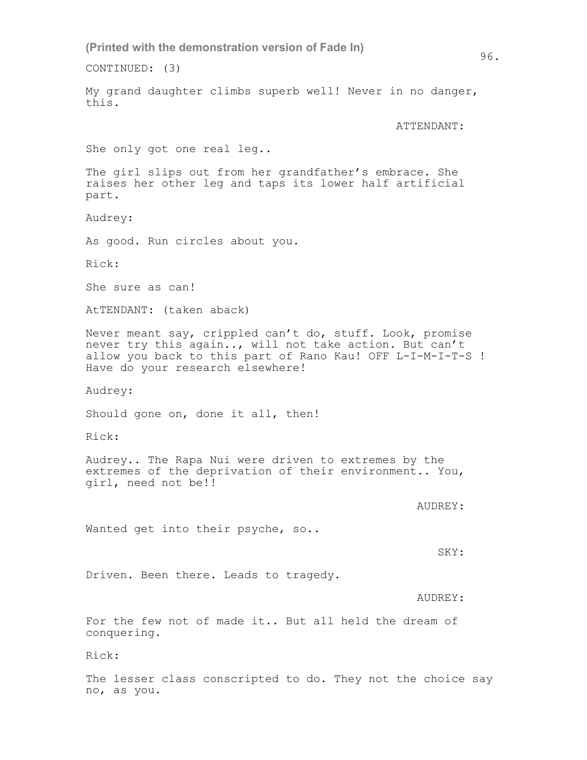My grand daughter climbs superb well! Never in no danger, this. ATTENDANT: She only got one real leg.. The girl slips out from her grandfather's embrace. She raises her other leg and taps its lower half artificial part. Audrey: As good. Run circles about you. Rick: She sure as can! AtTENDANT: (taken aback) Never meant say, crippled can't do, stuff. Look, promise never try this again.., will not take action. But can't allow you back to this part of Rano Kau! OFF L-I-M-I-T-S ! Have do your research elsewhere! Audrey: Should gone on, done it all, then! Rick: Audrey.. The Rapa Nui were driven to extremes by the extremes of the deprivation of their environment.. You, girl, need not be!! AUDREY: Wanted get into their psyche, so.. SKY: Driven. Been there. Leads to tragedy. AUDREY: For the few not of made it.. But all held the dream of conquering. Rick: The lesser class conscripted to do. They not the choice say no, as you. CONTINUED: (3) 96. **(Printed with the demonstration version of Fade In)**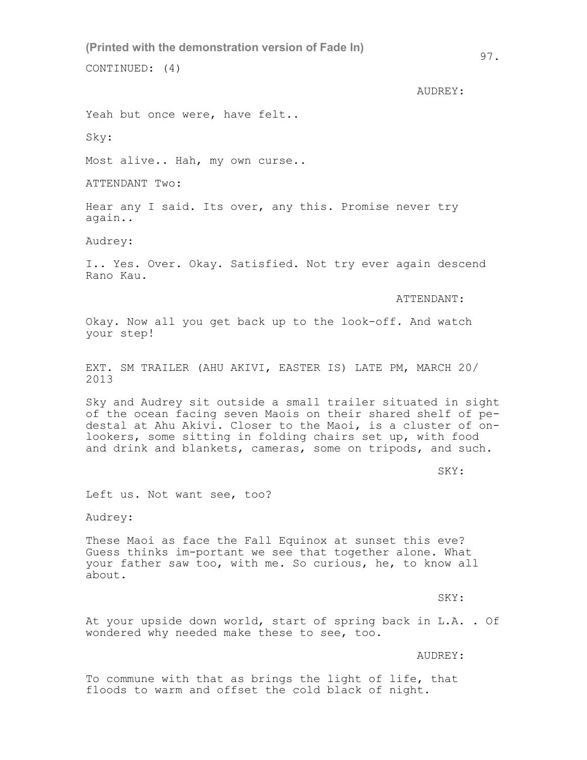CONTINUED: (4)

#### AUDREY:

Yeah but once were, have felt..

Sky:

Most alive.. Hah, my own curse..

ATTENDANT Two:

Hear any I said. Its over, any this. Promise never try again..

Audrey:

I.. Yes. Over. Okay. Satisfied. Not try ever again descend Rano Kau.

ATTENDANT:

Okay. Now all you get back up to the look-off. And watch your step!

EXT. SM TRAILER (AHU AKIVI, EASTER IS) LATE PM, MARCH 20/ 2013

Sky and Audrey sit outside a small trailer situated in sight of the ocean facing seven Maois on their shared shelf of pedestal at Ahu Akivi. Closer to the Maoi, is a cluster of onlookers, some sitting in folding chairs set up, with food and drink and blankets, cameras, some on tripods, and such.

SKY:

Left us. Not want see, too?

Audrey:

These Maoi as face the Fall Equinox at sunset this eve? Guess thinks im-portant we see that together alone. What your father saw too, with me. So curious, he, to know all about.

SKY:

At your upside down world, start of spring back in L.A. . Of wondered why needed make these to see, too.

AUDREY:

To commune with that as brings the light of life, that floods to warm and offset the cold black of night.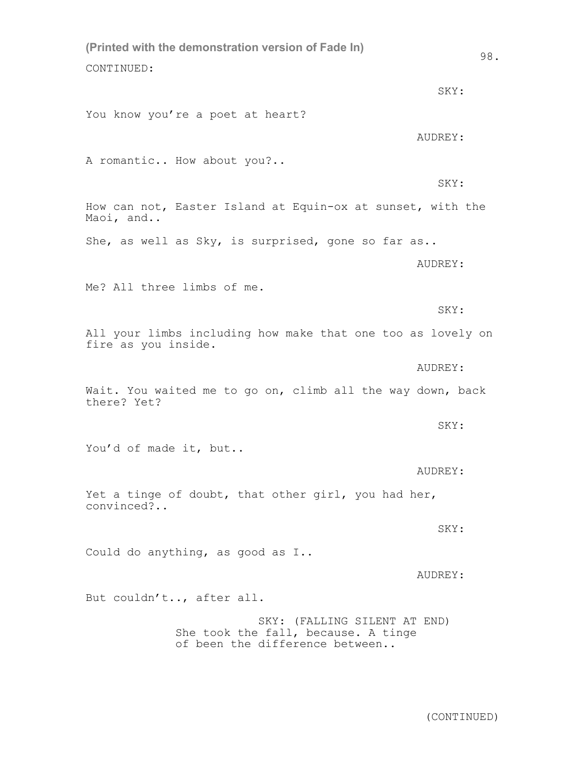SKY: You know you're a poet at heart? AUDREY: A romantic.. How about you?.. SKY: How can not, Easter Island at Equin-ox at sunset, with the Maoi, and.. She, as well as Sky, is surprised, gone so far as.. AUDREY: Me? All three limbs of me. SKY: All your limbs including how make that one too as lovely on fire as you inside. AUDREY: Wait. You waited me to go on, climb all the way down, back there? Yet? SKY: You'd of made it, but.. AUDREY: Yet a tinge of doubt, that other girl, you had her, convinced?.. SKY: Could do anything, as good as I.. AUDREY: But couldn't.., after all. SKY: (FALLING SILENT AT END) She took the fall, because. A tinge of been the difference between.. CONTINUED: 98. **(Printed with the demonstration version of Fade In)**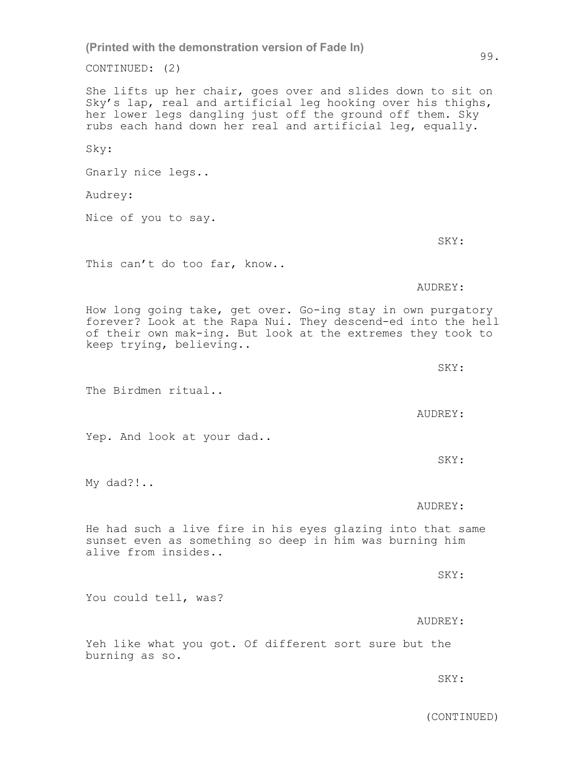She lifts up her chair, goes over and slides down to sit on Sky's lap, real and artificial leg hooking over his thighs, her lower legs dangling just off the ground off them. Sky rubs each hand down her real and artificial leg, equally. Sky: Gnarly nice legs.. Audrey: Nice of you to say. SKY: This can't do too far, know... AUDREY: How long going take, get over. Go-ing stay in own purgatory forever? Look at the Rapa Nui. They descend-ed into the hell of their own mak-ing. But look at the extremes they took to keep trying, believing.. SKY: The Birdmen ritual.. AUDREY: Yep. And look at your dad.. SKY: My dad?!.. AUDREY: He had such a live fire in his eyes glazing into that same sunset even as something so deep in him was burning him alive from insides.. SKY: You could tell, was? AUDREY: Yeh like what you got. Of different sort sure but the burning as so. SKY: CONTINUED: (2) 99. **(Printed with the demonstration version of Fade In)**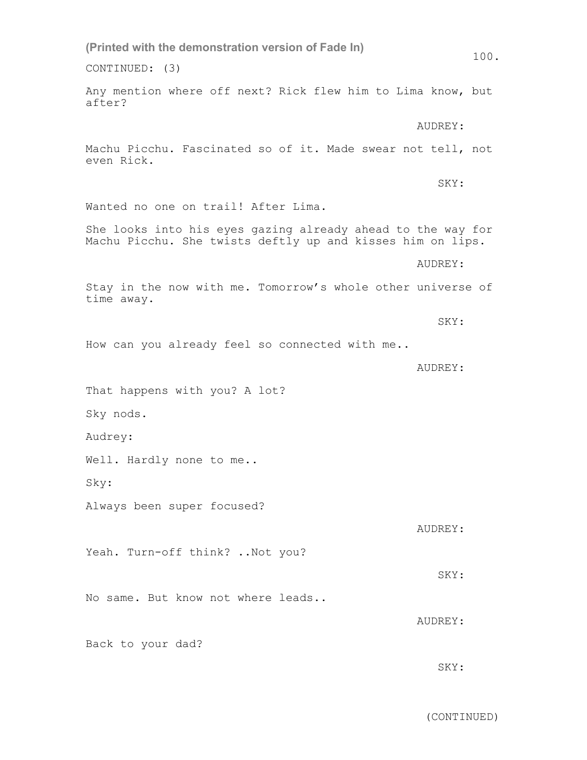Any mention where off next? Rick flew him to Lima know, but after? AUDREY: Machu Picchu. Fascinated so of it. Made swear not tell, not even Rick. SKY: Wanted no one on trail! After Lima. She looks into his eyes gazing already ahead to the way for Machu Picchu. She twists deftly up and kisses him on lips. AUDREY: Stay in the now with me. Tomorrow's whole other universe of time away. SKY: How can you already feel so connected with me.. AUDREY: That happens with you? A lot? Sky nods. Audrey: Well. Hardly none to me.. Sky: Always been super focused? AUDREY: Yeah. Turn-off think? ..Not you? SKY: No same. But know not where leads.. AUDREY: Back to your dad? SKY: CONTINUED: (3)

**(Printed with the demonstration version of Fade In)**

100.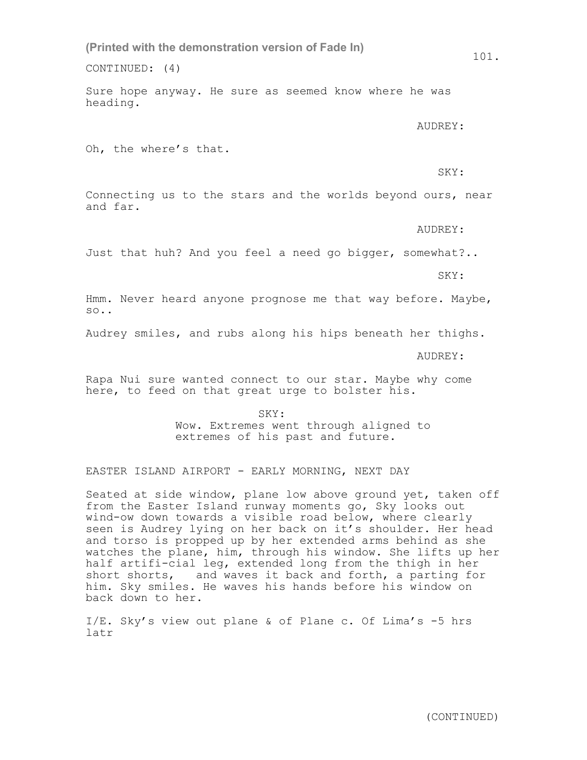CONTINUED: (4)

Sure hope anyway. He sure as seemed know where he was heading.

AUDREY:

Oh, the where's that.

SKY:

Connecting us to the stars and the worlds beyond ours, near and far.

AUDREY:

Just that huh? And you feel a need go bigger, somewhat?..

SKY:

Hmm. Never heard anyone prognose me that way before. Maybe, so..

Audrey smiles, and rubs along his hips beneath her thighs.

AUDREY:

Rapa Nui sure wanted connect to our star. Maybe why come here, to feed on that great urge to bolster his.

> SKY: Wow. Extremes went through aligned to extremes of his past and future.

EASTER ISLAND AIRPORT - EARLY MORNING, NEXT DAY

Seated at side window, plane low above ground yet, taken off from the Easter Island runway moments go, Sky looks out wind-ow down towards a visible road below, where clearly seen is Audrey lying on her back on it's shoulder. Her head and torso is propped up by her extended arms behind as she watches the plane, him, through his window. She lifts up her half artifi-cial leg, extended long from the thigh in her short shorts, and waves it back and forth, a parting for him. Sky smiles. He waves his hands before his window on back down to her.

I/E. Sky's view out plane & of Plane c. Of Lima's -5 hrs latr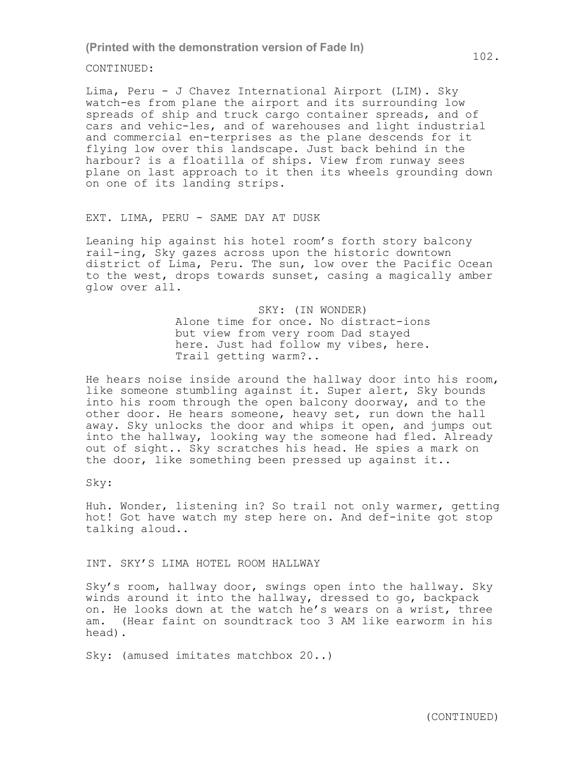CONTINUED:

Lima, Peru - J Chavez International Airport (LIM). Sky watch-es from plane the airport and its surrounding low spreads of ship and truck cargo container spreads, and of cars and vehic-les, and of warehouses and light industrial and commercial en-terprises as the plane descends for it flying low over this landscape. Just back behind in the harbour? is a floatilla of ships. View from runway sees plane on last approach to it then its wheels grounding down on one of its landing strips.

## EXT. LIMA, PERU - SAME DAY AT DUSK

Leaning hip against his hotel room's forth story balcony rail-ing, Sky gazes across upon the historic downtown district of Lima, Peru. The sun, low over the Pacific Ocean to the west, drops towards sunset, casing a magically amber glow over all.

> SKY: (IN WONDER) Alone time for once. No distract-ions but view from very room Dad stayed here. Just had follow my vibes, here. Trail getting warm?..

He hears noise inside around the hallway door into his room, like someone stumbling against it. Super alert, Sky bounds into his room through the open balcony doorway, and to the other door. He hears someone, heavy set, run down the hall away. Sky unlocks the door and whips it open, and jumps out into the hallway, looking way the someone had fled. Already out of sight.. Sky scratches his head. He spies a mark on the door, like something been pressed up against it..

# Sky:

Huh. Wonder, listening in? So trail not only warmer, getting hot! Got have watch my step here on. And def-inite got stop talking aloud..

INT. SKY'S LIMA HOTEL ROOM HALLWAY

Sky's room, hallway door, swings open into the hallway. Sky winds around it into the hallway, dressed to go, backpack on. He looks down at the watch he's wears on a wrist, three am. (Hear faint on soundtrack too 3 AM like earworm in his head).

Sky: (amused imitates matchbox 20..)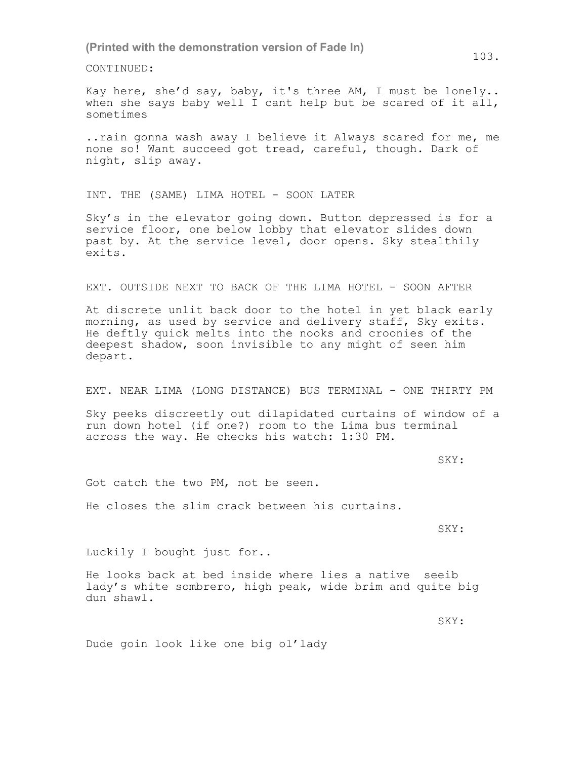CONTINUED:

Kay here, she'd say, baby, it's three AM, I must be lonely.. when she says baby well I cant help but be scared of it all, sometimes

..rain gonna wash away I believe it Always scared for me, me none so! Want succeed got tread, careful, though. Dark of night, slip away.

INT. THE (SAME) LIMA HOTEL - SOON LATER

Sky's in the elevator going down. Button depressed is for a service floor, one below lobby that elevator slides down past by. At the service level, door opens. Sky stealthily exits.

EXT. OUTSIDE NEXT TO BACK OF THE LIMA HOTEL - SOON AFTER

At discrete unlit back door to the hotel in yet black early morning, as used by service and delivery staff, Sky exits. He deftly quick melts into the nooks and croonies of the deepest shadow, soon invisible to any might of seen him depart.

EXT. NEAR LIMA (LONG DISTANCE) BUS TERMINAL - ONE THIRTY PM

Sky peeks discreetly out dilapidated curtains of window of a run down hotel (if one?) room to the Lima bus terminal across the way. He checks his watch: 1:30 PM.

SKY:

Got catch the two PM, not be seen.

He closes the slim crack between his curtains.

SKY:

Luckily I bought just for..

He looks back at bed inside where lies a native seeib lady's white sombrero, high peak, wide brim and quite big dun shawl.

SKY:

Dude goin look like one big ol'lady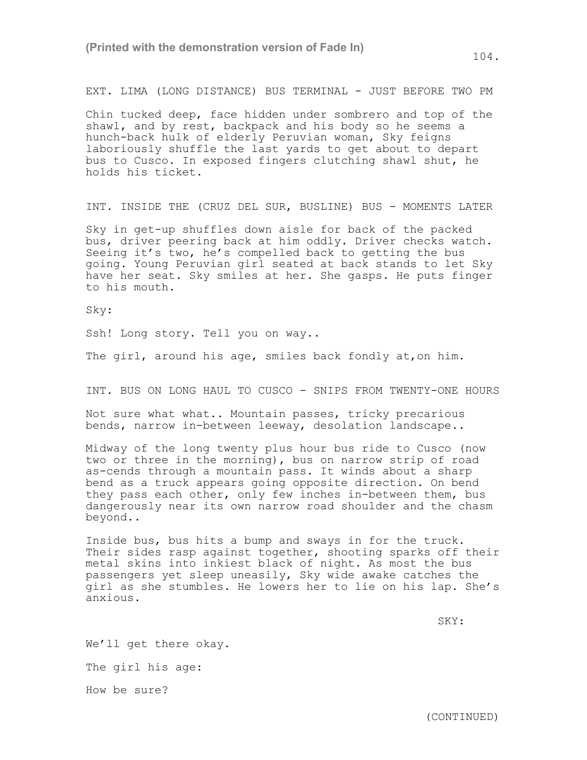EXT. LIMA (LONG DISTANCE) BUS TERMINAL - JUST BEFORE TWO PM

Chin tucked deep, face hidden under sombrero and top of the shawl, and by rest, backpack and his body so he seems a hunch-back hulk of elderly Peruvian woman, Sky feigns laboriously shuffle the last yards to get about to depart bus to Cusco. In exposed fingers clutching shawl shut, he holds his ticket.

INT. INSIDE THE (CRUZ DEL SUR, BUSLINE) BUS - MOMENTS LATER

Sky in get-up shuffles down aisle for back of the packed bus, driver peering back at him oddly. Driver checks watch. Seeing it's two, he's compelled back to getting the bus going. Young Peruvian girl seated at back stands to let Sky have her seat. Sky smiles at her. She gasps. He puts finger to his mouth.

Sky:

Ssh! Long story. Tell you on way..

The girl, around his age, smiles back fondly at,on him.

INT. BUS ON LONG HAUL TO CUSCO - SNIPS FROM TWENTY-ONE HOURS

Not sure what what.. Mountain passes, tricky precarious bends, narrow in-between leeway, desolation landscape..

Midway of the long twenty plus hour bus ride to Cusco (now two or three in the morning), bus on narrow strip of road as-cends through a mountain pass. It winds about a sharp bend as a truck appears going opposite direction. On bend they pass each other, only few inches in-between them, bus dangerously near its own narrow road shoulder and the chasm beyond..

Inside bus, bus hits a bump and sways in for the truck. Their sides rasp against together, shooting sparks off their metal skins into inkiest black of night. As most the bus passengers yet sleep uneasily, Sky wide awake catches the girl as she stumbles. He lowers her to lie on his lap. She's anxious.

SKY:

We'll get there okay. The girl his age: How be sure?

104.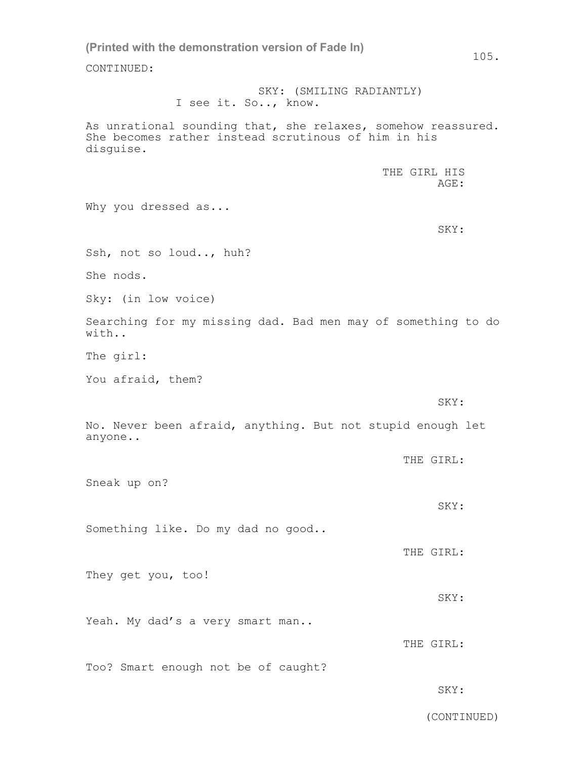SKY: (SMILING RADIANTLY) I see it. So.., know. As unrational sounding that, she relaxes, somehow reassured. She becomes rather instead scrutinous of him in his disguise. THE GIRL HIS AGE: Why you dressed as... SKY: Ssh, not so loud.., huh? She nods. Sky: (in low voice) Searching for my missing dad. Bad men may of something to do with.. The girl: You afraid, them? SKY: No. Never been afraid, anything. But not stupid enough let anyone.. THE GIRL: Sneak up on? SKY: Something like. Do my dad no good.. THE GIRL: They get you, too! SKY: Yeah. My dad's a very smart man.. THE GIRL: Too? Smart enough not be of caught? SKY: CONTINUED: 105. **(Printed with the demonstration version of Fade In)**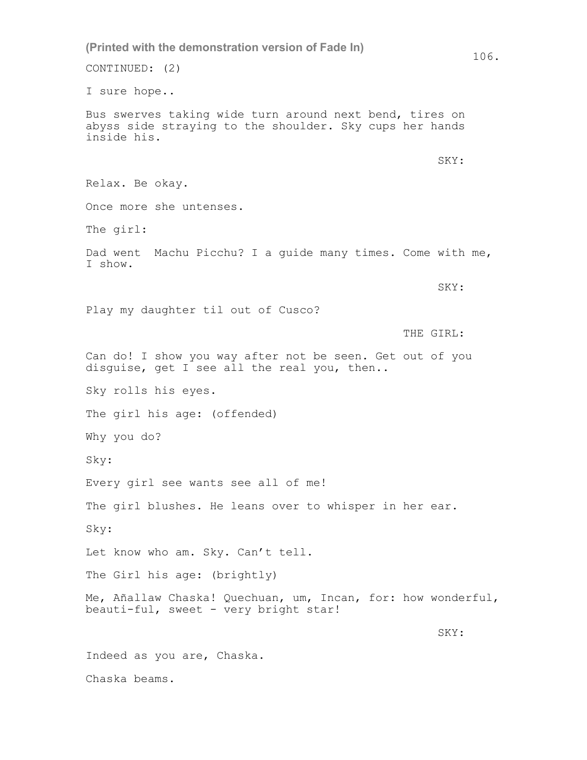I sure hope.. Bus swerves taking wide turn around next bend, tires on abyss side straying to the shoulder. Sky cups her hands inside his. SKY: Relax. Be okay. Once more she untenses. The girl: Dad went Machu Picchu? I a guide many times. Come with me, I show. SKY: Play my daughter til out of Cusco? THE GIRL: Can do! I show you way after not be seen. Get out of you disguise, get I see all the real you, then.. Sky rolls his eyes. The girl his age: (offended) Why you do? Sky: Every girl see wants see all of me! The girl blushes. He leans over to whisper in her ear. Sky: Let know who am. Sky. Can't tell. The Girl his age: (brightly) Me, Añallaw Chaska! Quechuan, um, Incan, for: how wonderful, beauti-ful, sweet - very bright star! SKY: Indeed as you are, Chaska. Chaska beams. CONTINUED: (2) 106. **(Printed with the demonstration version of Fade In)**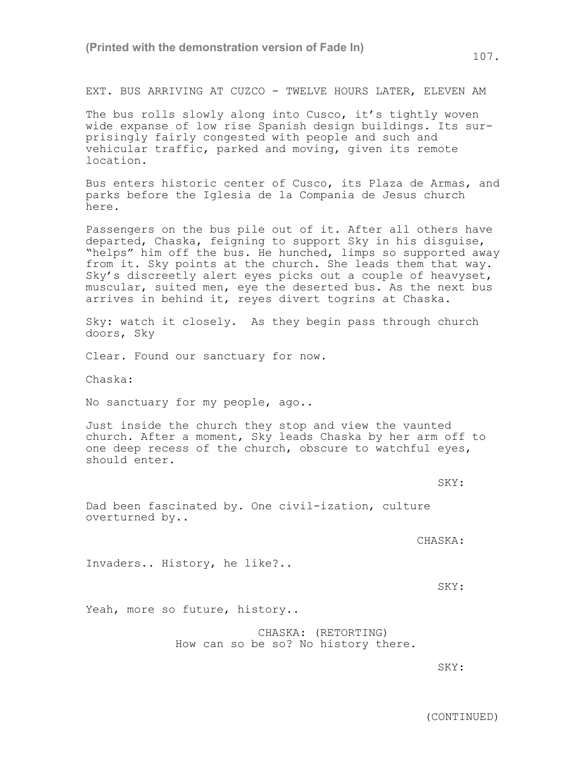EXT. BUS ARRIVING AT CUZCO - TWELVE HOURS LATER, ELEVEN AM

The bus rolls slowly along into Cusco, it's tightly woven wide expanse of low rise Spanish design buildings. Its surprisingly fairly congested with people and such and vehicular traffic, parked and moving, given its remote location.

Bus enters historic center of Cusco, its Plaza de Armas, and parks before the Iglesia de la Compania de Jesus church here.

Passengers on the bus pile out of it. After all others have departed, Chaska, feigning to support Sky in his disguise, "helps" him off the bus. He hunched, limps so supported away from it. Sky points at the church. She leads them that way. Sky's discreetly alert eyes picks out a couple of heavyset, muscular, suited men, eye the deserted bus. As the next bus arrives in behind it, reyes divert togrins at Chaska.

Sky: watch it closely. As they begin pass through church doors, Sky

Clear. Found our sanctuary for now.

Chaska:

No sanctuary for my people, ago..

Just inside the church they stop and view the vaunted church. After a moment, Sky leads Chaska by her arm off to one deep recess of the church, obscure to watchful eyes, should enter.

SKY:

Dad been fascinated by. One civil-ization, culture overturned by..

CHASKA:

Invaders.. History, he like?..

SKY:

Yeah, more so future, history..

CHASKA: (RETORTING) How can so be so? No history there.

SKY:

107.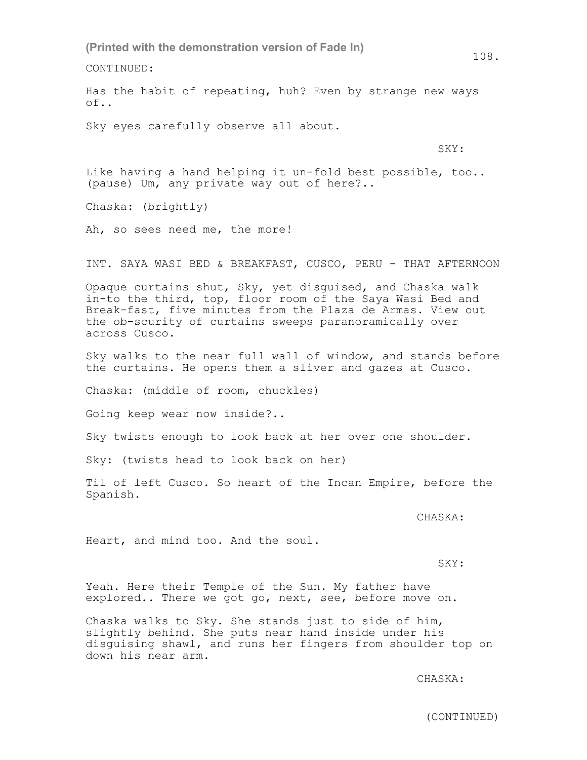CONTINUED:

Has the habit of repeating, huh? Even by strange new ways of..

Sky eyes carefully observe all about.

SKY:

Like having a hand helping it un-fold best possible, too.. (pause) Um, any private way out of here?..

Chaska: (brightly)

Ah, so sees need me, the more!

INT. SAYA WASI BED & BREAKFAST, CUSCO, PERU - THAT AFTERNOON

Opaque curtains shut, Sky, yet disguised, and Chaska walk in-to the third, top, floor room of the Saya Wasi Bed and Break-fast, five minutes from the Plaza de Armas. View out the ob-scurity of curtains sweeps paranoramically over across Cusco.

Sky walks to the near full wall of window, and stands before the curtains. He opens them a sliver and gazes at Cusco.

Chaska: (middle of room, chuckles)

Going keep wear now inside?..

Sky twists enough to look back at her over one shoulder.

Sky: (twists head to look back on her)

Til of left Cusco. So heart of the Incan Empire, before the Spanish.

CHASKA:

Heart, and mind too. And the soul.

SKY:

Yeah. Here their Temple of the Sun. My father have explored.. There we got go, next, see, before move on.

Chaska walks to Sky. She stands just to side of him, slightly behind. She puts near hand inside under his disguising shawl, and runs her fingers from shoulder top on down his near arm.

CHASKA:

(CONTINUED)

108.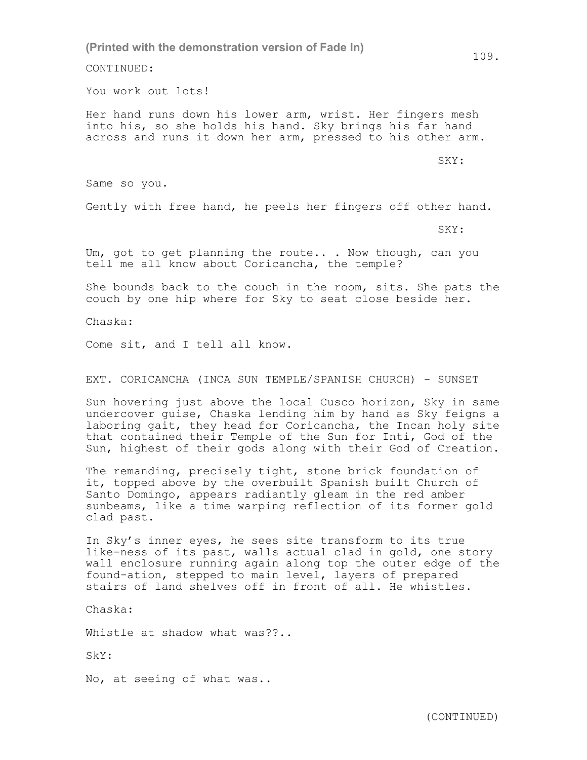CONTINUED:

You work out lots!

Her hand runs down his lower arm, wrist. Her fingers mesh into his, so she holds his hand. Sky brings his far hand across and runs it down her arm, pressed to his other arm.

SKY:

Same so you.

Gently with free hand, he peels her fingers off other hand.

SKY:

Um, got to get planning the route.. . Now though, can you tell me all know about Coricancha, the temple?

She bounds back to the couch in the room, sits. She pats the couch by one hip where for Sky to seat close beside her.

Chaska:

Come sit, and I tell all know.

EXT. CORICANCHA (INCA SUN TEMPLE/SPANISH CHURCH) - SUNSET

Sun hovering just above the local Cusco horizon, Sky in same undercover guise, Chaska lending him by hand as Sky feigns a laboring gait, they head for Coricancha, the Incan holy site that contained their Temple of the Sun for Inti, God of the Sun, highest of their gods along with their God of Creation.

The remanding, precisely tight, stone brick foundation of it, topped above by the overbuilt Spanish built Church of Santo Domingo, appears radiantly gleam in the red amber sunbeams, like a time warping reflection of its former gold clad past.

In Sky's inner eyes, he sees site transform to its true like-ness of its past, walls actual clad in gold, one story wall enclosure running again along top the outer edge of the found-ation, stepped to main level, layers of prepared stairs of land shelves off in front of all. He whistles.

Chaska:

Whistle at shadow what was??..

SkY:

No, at seeing of what was..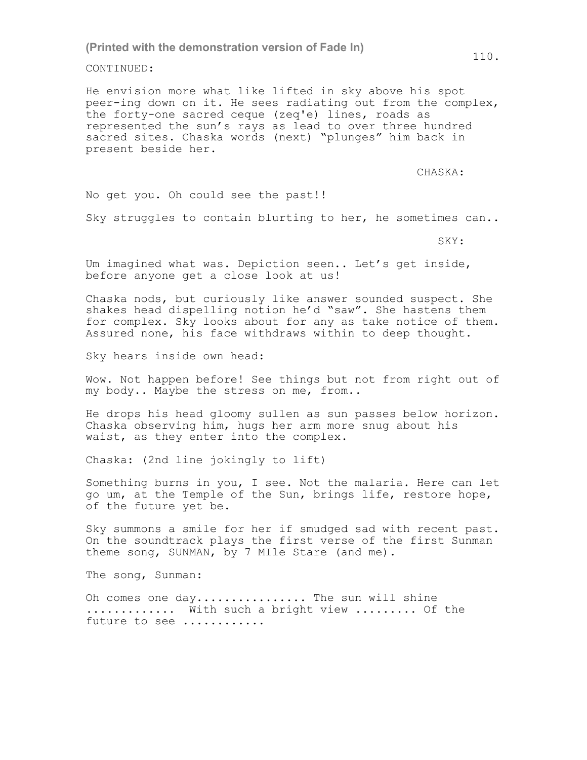CONTINUED:

He envision more what like lifted in sky above his spot peer-ing down on it. He sees radiating out from the complex, the forty-one sacred ceque (zeq'e) lines, roads as represented the sun's rays as lead to over three hundred sacred sites. Chaska words (next) "plunges" him back in present beside her.

#### CHASKA:

No get you. Oh could see the past!!

Sky struggles to contain blurting to her, he sometimes can..

SKY:

Um imagined what was. Depiction seen.. Let's get inside, before anyone get a close look at us!

Chaska nods, but curiously like answer sounded suspect. She shakes head dispelling notion he'd "saw". She hastens them for complex. Sky looks about for any as take notice of them. Assured none, his face withdraws within to deep thought.

Sky hears inside own head:

Wow. Not happen before! See things but not from right out of my body.. Maybe the stress on me, from..

He drops his head gloomy sullen as sun passes below horizon. Chaska observing him, hugs her arm more snug about his waist, as they enter into the complex.

Chaska: (2nd line jokingly to lift)

Something burns in you, I see. Not the malaria. Here can let go um, at the Temple of the Sun, brings life, restore hope, of the future yet be.

Sky summons a smile for her if smudged sad with recent past. On the soundtrack plays the first verse of the first Sunman theme song, SUNMAN, by 7 MIle Stare (and me).

The song, Sunman:

Oh comes one day................. The sun will shine ............. With such a bright view ......... Of the future to see ............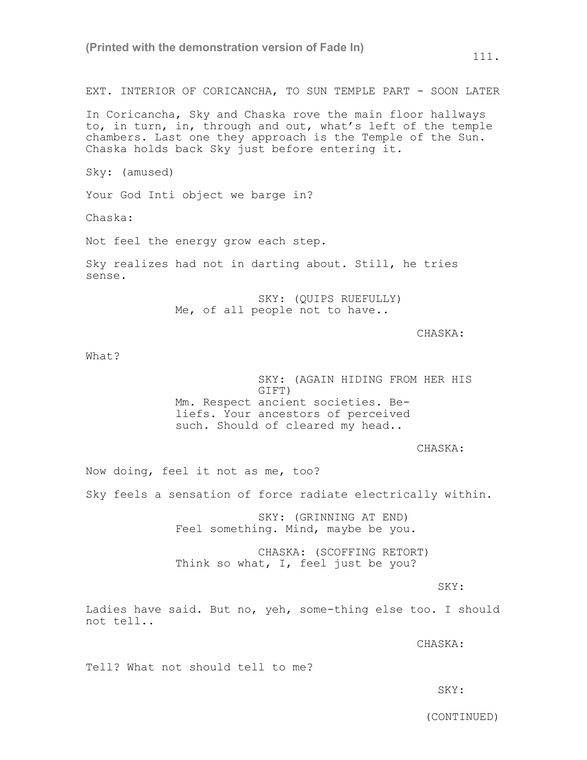EXT. INTERIOR OF CORICANCHA, TO SUN TEMPLE PART - SOON LATER In Coricancha, Sky and Chaska rove the main floor hallways to, in turn, in, through and out, what's left of the temple chambers. Last one they approach is the Temple of the Sun. Chaska holds back Sky just before entering it. Sky: (amused) Your God Inti object we barge in? Chaska: Not feel the energy grow each step. Sky realizes had not in darting about. Still, he tries sense. SKY: (QUIPS RUEFULLY) Me, of all people not to have.. CHASKA: What? SKY: (AGAIN HIDING FROM HER HIS GIFT) Mm. Respect ancient societies. Beliefs. Your ancestors of perceived such. Should of cleared my head.. CHASKA: Now doing, feel it not as me, too? Sky feels a sensation of force radiate electrically within. SKY: (GRINNING AT END) Feel something. Mind, maybe be you. CHASKA: (SCOFFING RETORT) Think so what, I, feel just be you? SKY:

Ladies have said. But no, yeh, some-thing else too. I should

CHASKA:

Tell? What not should tell to me?

not tell..

SKY: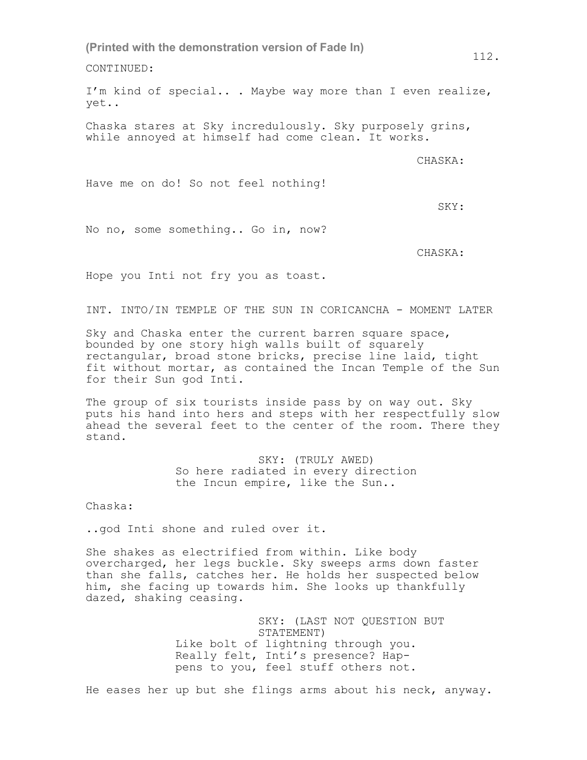CONTINUED:

I'm kind of special.. . Maybe way more than I even realize, yet..

Chaska stares at Sky incredulously. Sky purposely grins, while annoyed at himself had come clean. It works.

CHASKA:

Have me on do! So not feel nothing!

SKY:

No no, some something.. Go in, now?

CHASKA:

Hope you Inti not fry you as toast.

INT. INTO/IN TEMPLE OF THE SUN IN CORICANCHA - MOMENT LATER

Sky and Chaska enter the current barren square space, bounded by one story high walls built of squarely rectangular, broad stone bricks, precise line laid, tight fit without mortar, as contained the Incan Temple of the Sun for their Sun god Inti.

The group of six tourists inside pass by on way out. Sky puts his hand into hers and steps with her respectfully slow ahead the several feet to the center of the room. There they stand.

> SKY: (TRULY AWED) So here radiated in every direction the Incun empire, like the Sun..

Chaska:

..god Inti shone and ruled over it.

She shakes as electrified from within. Like body overcharged, her legs buckle. Sky sweeps arms down faster than she falls, catches her. He holds her suspected below him, she facing up towards him. She looks up thankfully dazed, shaking ceasing.

> SKY: (LAST NOT QUESTION BUT STATEMENT) Like bolt of lightning through you. Really felt, Inti's presence? Happens to you, feel stuff others not.

He eases her up but she flings arms about his neck, anyway.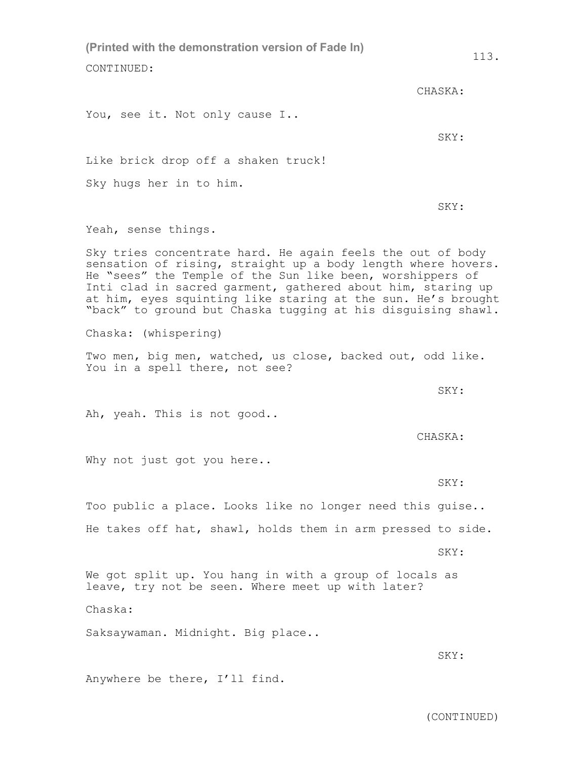CHASKA: You, see it. Not only cause I.. SKY: Like brick drop off a shaken truck! Sky hugs her in to him. SKY: Yeah, sense things. Sky tries concentrate hard. He again feels the out of body sensation of rising, straight up a body length where hovers. He "sees" the Temple of the Sun like been, worshippers of Inti clad in sacred garment, gathered about him, staring up at him, eyes squinting like staring at the sun. He's brought "back" to ground but Chaska tugging at his disguising shawl. Chaska: (whispering) Two men, big men, watched, us close, backed out, odd like. You in a spell there, not see? SKY: Ah, yeah. This is not good.. CHASKA: Why not just got you here.. SKY: Too public a place. Looks like no longer need this guise.. He takes off hat, shawl, holds them in arm pressed to side. SKY: We got split up. You hang in with a group of locals as leave, try not be seen. Where meet up with later? Chaska: Saksaywaman. Midnight. Big place.. SKY: Anywhere be there, I'll find. CONTINUED: 113. **(Printed with the demonstration version of Fade In)**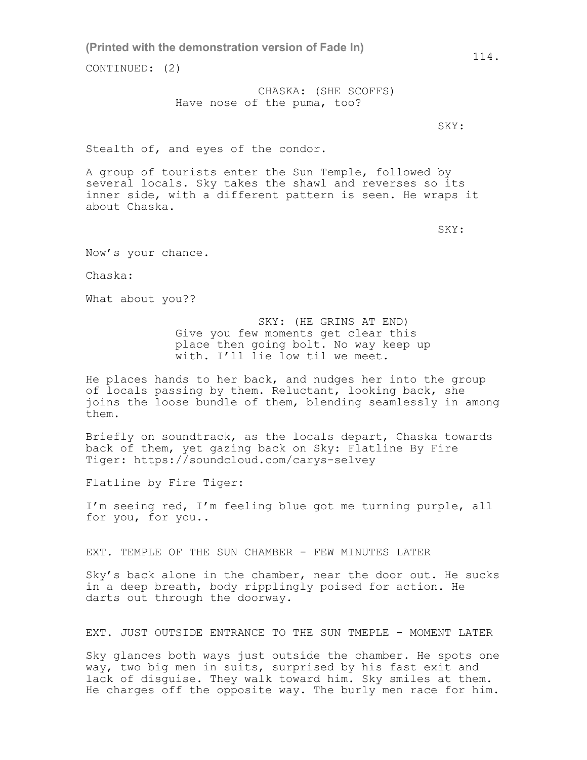CONTINUED: (2)

CHASKA: (SHE SCOFFS) Have nose of the puma, too?

SKY:

Stealth of, and eyes of the condor.

A group of tourists enter the Sun Temple, followed by several locals. Sky takes the shawl and reverses so its inner side, with a different pattern is seen. He wraps it about Chaska.

SKY:

Now's your chance.

Chaska:

What about you??

SKY: (HE GRINS AT END) Give you few moments get clear this place then going bolt. No way keep up with. I'll lie low til we meet.

He places hands to her back, and nudges her into the group of locals passing by them. Reluctant, looking back, she joins the loose bundle of them, blending seamlessly in among them.

Briefly on soundtrack, as the locals depart, Chaska towards back of them, yet gazing back on Sky: Flatline By Fire Tiger: https://soundcloud.com/carys-selvey

Flatline by Fire Tiger:

I'm seeing red, I'm feeling blue got me turning purple, all for you, for you..

EXT. TEMPLE OF THE SUN CHAMBER - FEW MINUTES LATER

Sky's back alone in the chamber, near the door out. He sucks in a deep breath, body ripplingly poised for action. He darts out through the doorway.

EXT. JUST OUTSIDE ENTRANCE TO THE SUN TMEPLE - MOMENT LATER

Sky glances both ways just outside the chamber. He spots one way, two big men in suits, surprised by his fast exit and lack of disguise. They walk toward him. Sky smiles at them. He charges off the opposite way. The burly men race for him.

114.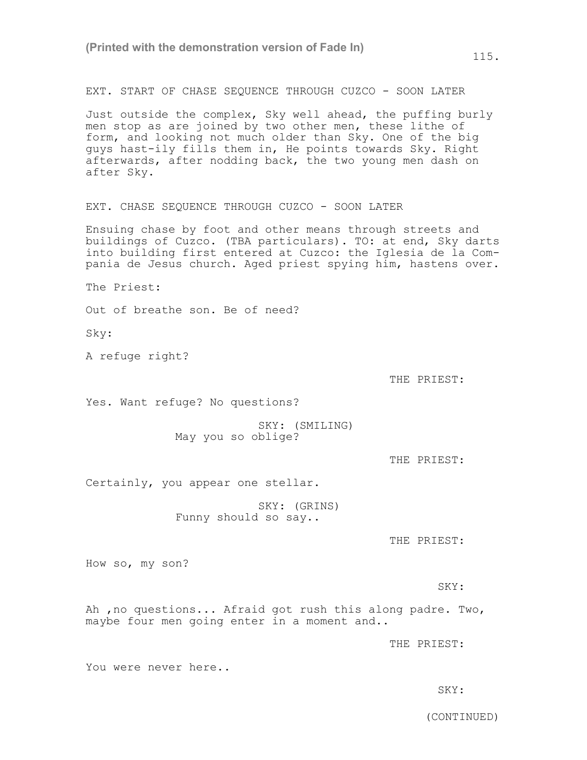EXT. START OF CHASE SEQUENCE THROUGH CUZCO - SOON LATER

Just outside the complex, Sky well ahead, the puffing burly men stop as are joined by two other men, these lithe of form, and looking not much older than Sky. One of the big guys hast-ily fills them in, He points towards Sky. Right afterwards, after nodding back, the two young men dash on after Sky.

EXT. CHASE SEQUENCE THROUGH CUZCO - SOON LATER

Ensuing chase by foot and other means through streets and buildings of Cuzco. (TBA particulars). TO: at end, Sky darts into building first entered at Cuzco: the Iglesia de la Compania de Jesus church. Aged priest spying him, hastens over.

The Priest:

Out of breathe son. Be of need?

Sky:

A refuge right?

THE PRIEST:

Yes. Want refuge? No questions?

SKY: (SMILING) May you so oblige?

THE PRIEST:

Certainly, you appear one stellar.

SKY: (GRINS) Funny should so say..

THE PRIEST:

How so, my son?

SKY:

Ah ,no questions... Afraid got rush this along padre. Two, maybe four men going enter in a moment and..

THE PRIEST:

You were never here..

SKY: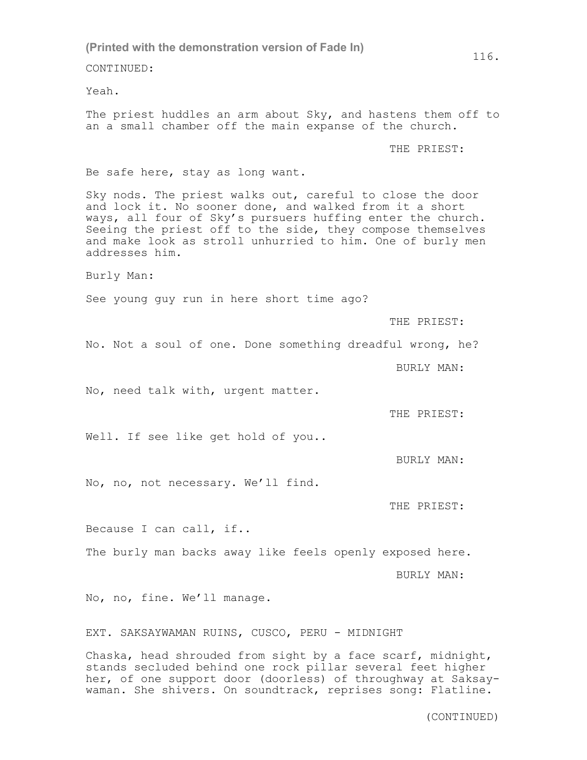CONTINUED:

Yeah.

The priest huddles an arm about Sky, and hastens them off to an a small chamber off the main expanse of the church.

THE PRIEST:

Be safe here, stay as long want.

Sky nods. The priest walks out, careful to close the door and lock it. No sooner done, and walked from it a short ways, all four of Sky's pursuers huffing enter the church. Seeing the priest off to the side, they compose themselves and make look as stroll unhurried to him. One of burly men addresses him.

Burly Man:

See young guy run in here short time ago?

THE PRIEST:

No. Not a soul of one. Done something dreadful wrong, he?

BURLY MAN:

No, need talk with, urgent matter.

THE PRIEST:

Well. If see like get hold of you..

BURLY MAN:

No, no, not necessary. We'll find.

THE PRIEST:

Because I can call, if..

The burly man backs away like feels openly exposed here.

BURLY MAN:

No, no, fine. We'll manage.

EXT. SAKSAYWAMAN RUINS, CUSCO, PERU - MIDNIGHT

Chaska, head shrouded from sight by a face scarf, midnight, stands secluded behind one rock pillar several feet higher her, of one support door (doorless) of throughway at Saksaywaman. She shivers. On soundtrack, reprises song: Flatline.

(CONTINUED)

116.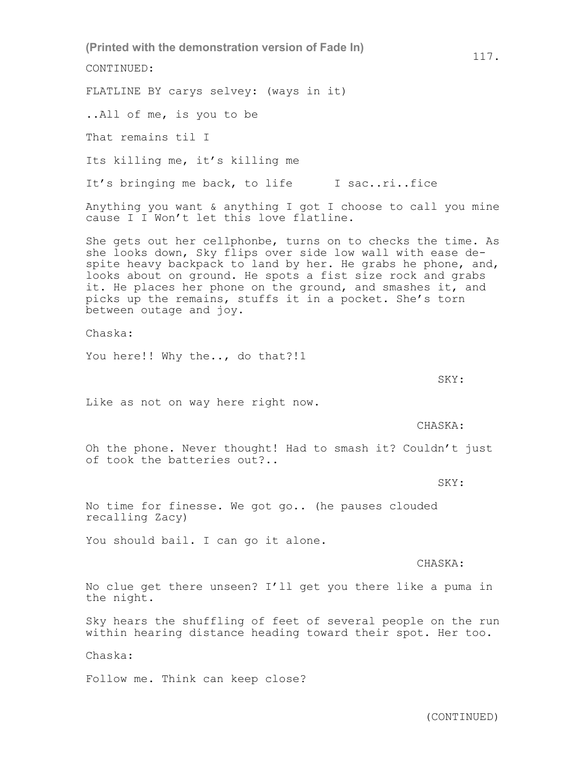FLATLINE BY carys selvey: (ways in it) ..All of me, is you to be That remains til I Its killing me, it's killing me It's bringing me back, to life I sac..ri..fice Anything you want & anything I got I choose to call you mine cause I I Won't let this love flatline. She gets out her cellphonbe, turns on to checks the time. As she looks down, Sky flips over side low wall with ease despite heavy backpack to land by her. He grabs he phone, and, looks about on ground. He spots a fist size rock and grabs it. He places her phone on the ground, and smashes it, and picks up the remains, stuffs it in a pocket. She's torn between outage and joy. Chaska: You here!! Why the.., do that?!1 SKY: Like as not on way here right now. CHASKA: Oh the phone. Never thought! Had to smash it? Couldn't just of took the batteries out?.. SKY: No time for finesse. We got go.. (he pauses clouded recalling Zacy) You should bail. I can go it alone. CHASKA: No clue get there unseen? I'll get you there like a puma in the night. Sky hears the shuffling of feet of several people on the run within hearing distance heading toward their spot. Her too. Chaska: Follow me. Think can keep close? CONTINUED: 117. **(Printed with the demonstration version of Fade In)**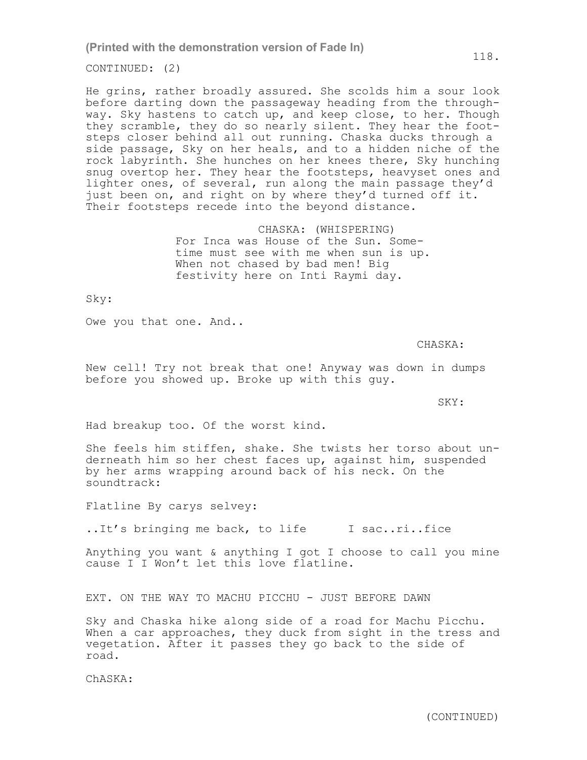CONTINUED: (2)

He grins, rather broadly assured. She scolds him a sour look before darting down the passageway heading from the throughway. Sky hastens to catch up, and keep close, to her. Though they scramble, they do so nearly silent. They hear the footsteps closer behind all out running. Chaska ducks through a side passage, Sky on her heals, and to a hidden niche of the rock labyrinth. She hunches on her knees there, Sky hunching snug overtop her. They hear the footsteps, heavyset ones and lighter ones, of several, run along the main passage they'd just been on, and right on by where they'd turned off it. Their footsteps recede into the beyond distance.

> CHASKA: (WHISPERING) For Inca was House of the Sun. Sometime must see with me when sun is up. When not chased by bad men! Big festivity here on Inti Raymi day.

Sky:

Owe you that one. And..

CHASKA:

New cell! Try not break that one! Anyway was down in dumps before you showed up. Broke up with this guy.

SKY:

Had breakup too. Of the worst kind.

She feels him stiffen, shake. She twists her torso about underneath him so her chest faces up, against him, suspended by her arms wrapping around back of his neck. On the soundtrack:

Flatline By carys selvey:

..It's bringing me back, to life I sac..ri..fice

Anything you want & anything I got I choose to call you mine cause I I Won't let this love flatline.

EXT. ON THE WAY TO MACHU PICCHU - JUST BEFORE DAWN

Sky and Chaska hike along side of a road for Machu Picchu. When a car approaches, they duck from sight in the tress and vegetation. After it passes they go back to the side of road.

ChASKA: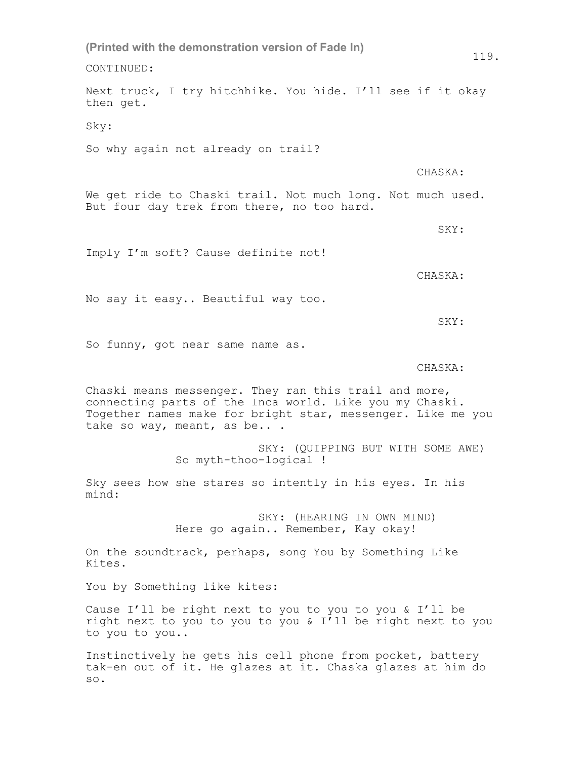Next truck, I try hitchhike. You hide. I'll see if it okay then get. Sky: So why again not already on trail? CHASKA: We get ride to Chaski trail. Not much long. Not much used. But four day trek from there, no too hard. SKY: Imply I'm soft? Cause definite not! CHASKA: No say it easy.. Beautiful way too. SKY: So funny, got near same name as. CHASKA: Chaski means messenger. They ran this trail and more, connecting parts of the Inca world. Like you my Chaski. Together names make for bright star, messenger. Like me you take so way, meant, as be.. . SKY: (QUIPPING BUT WITH SOME AWE) So myth-thoo-logical ! Sky sees how she stares so intently in his eyes. In his mind: SKY: (HEARING IN OWN MIND) Here go again.. Remember, Kay okay! On the soundtrack, perhaps, song You by Something Like Kites. You by Something like kites: Cause I'll be right next to you to you to you & I'll be right next to you to you to you & I'll be right next to you to you to you.. Instinctively he gets his cell phone from pocket, battery tak-en out of it. He glazes at it. Chaska glazes at him do so. CONTINUED: 119. **(Printed with the demonstration version of Fade In)**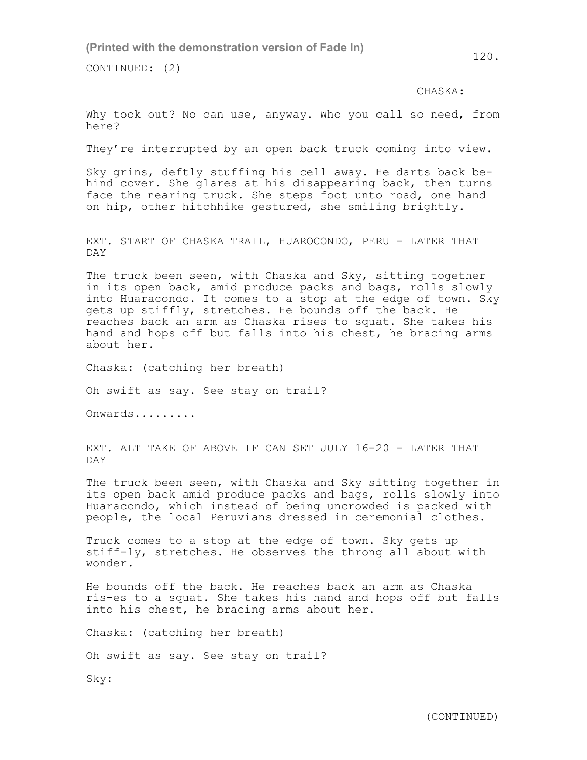CONTINUED: (2)

CHASKA:

Why took out? No can use, anyway. Who you call so need, from here?

They're interrupted by an open back truck coming into view.

Sky grins, deftly stuffing his cell away. He darts back behind cover. She glares at his disappearing back, then turns face the nearing truck. She steps foot unto road, one hand on hip, other hitchhike gestured, she smiling brightly.

EXT. START OF CHASKA TRAIL, HUAROCONDO, PERU - LATER THAT DAY

The truck been seen, with Chaska and Sky, sitting together in its open back, amid produce packs and bags, rolls slowly into Huaracondo. It comes to a stop at the edge of town. Sky gets up stiffly, stretches. He bounds off the back. He reaches back an arm as Chaska rises to squat. She takes his hand and hops off but falls into his chest, he bracing arms about her.

Chaska: (catching her breath)

Oh swift as say. See stay on trail?

Onwards.........

EXT. ALT TAKE OF ABOVE IF CAN SET JULY 16-20 - LATER THAT DAY

The truck been seen, with Chaska and Sky sitting together in its open back amid produce packs and bags, rolls slowly into Huaracondo, which instead of being uncrowded is packed with people, the local Peruvians dressed in ceremonial clothes.

Truck comes to a stop at the edge of town. Sky gets up stiff-ly, stretches. He observes the throng all about with wonder.

He bounds off the back. He reaches back an arm as Chaska ris-es to a squat. She takes his hand and hops off but falls into his chest, he bracing arms about her.

Chaska: (catching her breath)

Oh swift as say. See stay on trail?

Sky: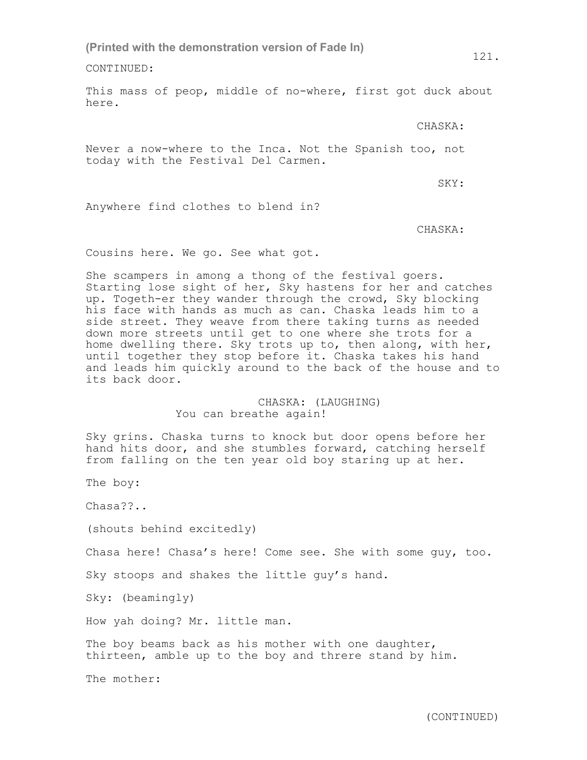CONTINUED:

This mass of peop, middle of no-where, first got duck about here.

CHASKA:

Never a now-where to the Inca. Not the Spanish too, not today with the Festival Del Carmen.

SKY:

Anywhere find clothes to blend in?

CHASKA:

Cousins here. We go. See what got.

She scampers in among a thong of the festival goers. Starting lose sight of her, Sky hastens for her and catches up. Togeth-er they wander through the crowd, Sky blocking his face with hands as much as can. Chaska leads him to a side street. They weave from there taking turns as needed down more streets until get to one where she trots for a home dwelling there. Sky trots up to, then along, with her, until together they stop before it. Chaska takes his hand and leads him quickly around to the back of the house and to its back door.

## CHASKA: (LAUGHING) You can breathe again!

Sky grins. Chaska turns to knock but door opens before her hand hits door, and she stumbles forward, catching herself from falling on the ten year old boy staring up at her.

The boy:

Chasa??..

(shouts behind excitedly)

Chasa here! Chasa's here! Come see. She with some guy, too.

Sky stoops and shakes the little guy's hand.

Sky: (beamingly)

How yah doing? Mr. little man.

The boy beams back as his mother with one daughter, thirteen, amble up to the boy and threre stand by him.

The mother: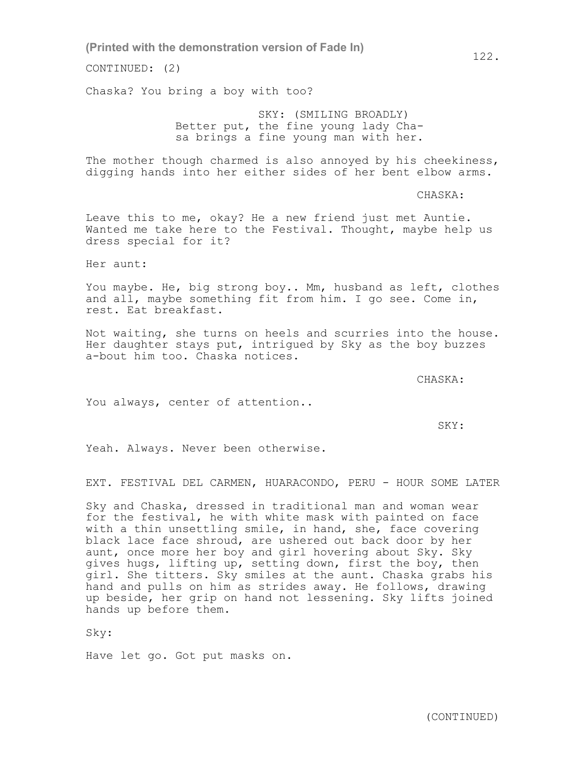CONTINUED: (2)

Chaska? You bring a boy with too?

SKY: (SMILING BROADLY) Better put, the fine young lady Chasa brings a fine young man with her.

The mother though charmed is also annoyed by his cheekiness, digging hands into her either sides of her bent elbow arms.

CHASKA:

Leave this to me, okay? He a new friend just met Auntie. Wanted me take here to the Festival. Thought, maybe help us dress special for it?

Her aunt:

You maybe. He, big strong boy.. Mm, husband as left, clothes and all, maybe something fit from him. I go see. Come in, rest. Eat breakfast.

Not waiting, she turns on heels and scurries into the house. Her daughter stays put, intrigued by Sky as the boy buzzes a-bout him too. Chaska notices.

CHASKA:

You always, center of attention..

SKY:

Yeah. Always. Never been otherwise.

EXT. FESTIVAL DEL CARMEN, HUARACONDO, PERU - HOUR SOME LATER

Sky and Chaska, dressed in traditional man and woman wear for the festival, he with white mask with painted on face with a thin unsettling smile, in hand, she, face covering black lace face shroud, are ushered out back door by her aunt, once more her boy and girl hovering about Sky. Sky gives hugs, lifting up, setting down, first the boy, then girl. She titters. Sky smiles at the aunt. Chaska grabs his hand and pulls on him as strides away. He follows, drawing up beside, her grip on hand not lessening. Sky lifts joined hands up before them.

Sky:

Have let go. Got put masks on.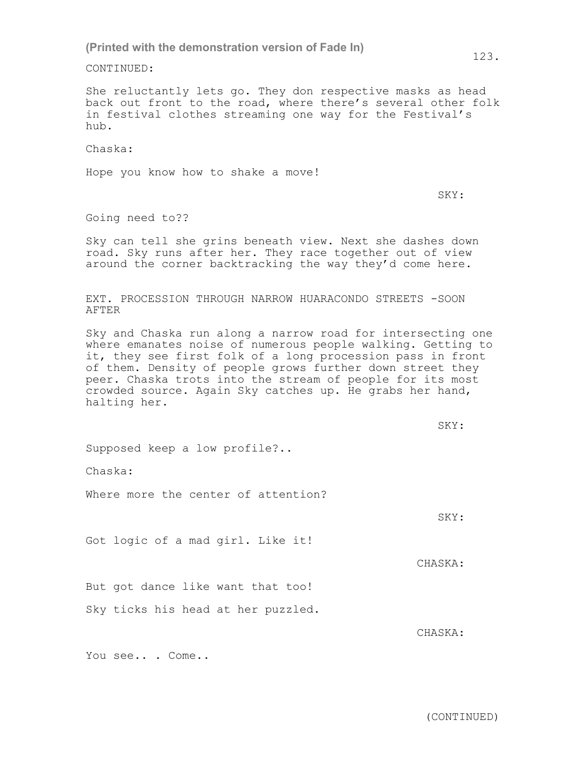CONTINUED:

She reluctantly lets go. They don respective masks as head back out front to the road, where there's several other folk in festival clothes streaming one way for the Festival's hub.

Chaska:

Hope you know how to shake a move!

SKY:

Going need to??

Sky can tell she grins beneath view. Next she dashes down road. Sky runs after her. They race together out of view around the corner backtracking the way they'd come here.

EXT. PROCESSION THROUGH NARROW HUARACONDO STREETS -SOON AFTER

Sky and Chaska run along a narrow road for intersecting one where emanates noise of numerous people walking. Getting to it, they see first folk of a long procession pass in front of them. Density of people grows further down street they peer. Chaska trots into the stream of people for its most crowded source. Again Sky catches up. He grabs her hand, halting her.

SKY:

Supposed keep a low profile?..

Chaska:

Where more the center of attention?

SKY:

Got logic of a mad girl. Like it!

CHASKA:

But got dance like want that too!

Sky ticks his head at her puzzled.

CHASKA:

You see.. . Come..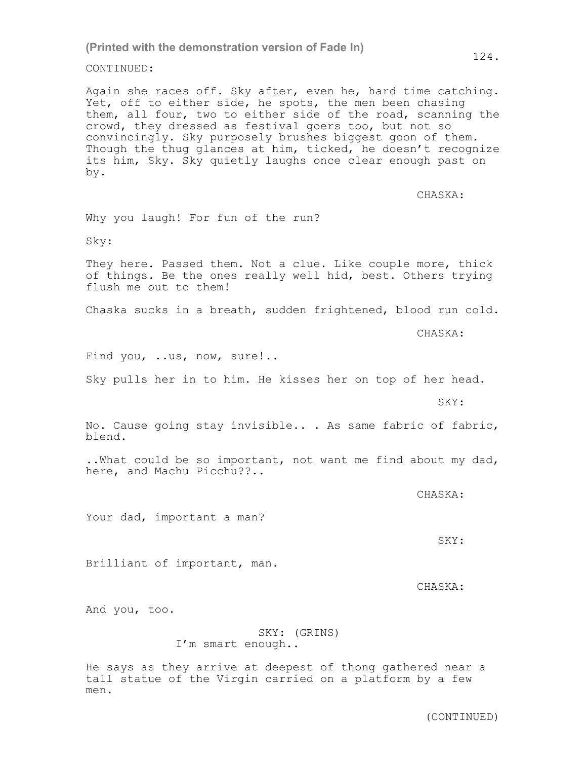CONTINUED:

Again she races off. Sky after, even he, hard time catching. Yet, off to either side, he spots, the men been chasing them, all four, two to either side of the road, scanning the crowd, they dressed as festival goers too, but not so convincingly. Sky purposely brushes biggest goon of them. Though the thug glances at him, ticked, he doesn't recognize its him, Sky. Sky quietly laughs once clear enough past on by.

CHASKA:

Why you laugh! For fun of the run?

Sky:

They here. Passed them. Not a clue. Like couple more, thick of things. Be the ones really well hid, best. Others trying flush me out to them!

Chaska sucks in a breath, sudden frightened, blood run cold.

CHASKA:

Find you, ..us, now, sure!..

Sky pulls her in to him. He kisses her on top of her head.

SKY:

No. Cause going stay invisible.. . As same fabric of fabric, blend.

..What could be so important, not want me find about my dad, here, and Machu Picchu??..

CHASKA:

Your dad, important a man?

SKY:

Brilliant of important, man.

CHASKA:

And you, too.

SKY: (GRINS) I'm smart enough..

He says as they arrive at deepest of thong gathered near a tall statue of the Virgin carried on a platform by a few men.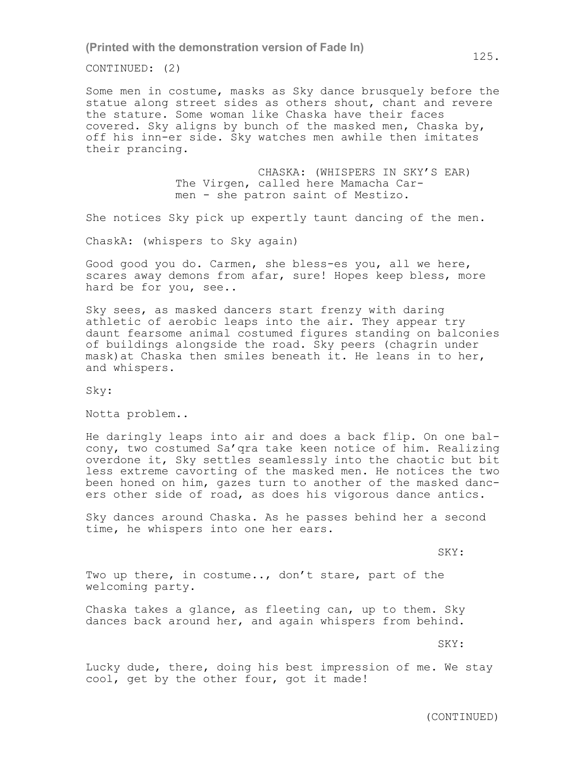CONTINUED: (2)

Some men in costume, masks as Sky dance brusquely before the statue along street sides as others shout, chant and revere the stature. Some woman like Chaska have their faces covered. Sky aligns by bunch of the masked men, Chaska by, off his inn-er side. Sky watches men awhile then imitates their prancing.

> CHASKA: (WHISPERS IN SKY'S EAR) The Virgen, called here Mamacha Carmen - she patron saint of Mestizo.

She notices Sky pick up expertly taunt dancing of the men.

ChaskA: (whispers to Sky again)

Good good you do. Carmen, she bless-es you, all we here, scares away demons from afar, sure! Hopes keep bless, more hard be for you, see..

Sky sees, as masked dancers start frenzy with daring athletic of aerobic leaps into the air. They appear try daunt fearsome animal costumed figures standing on balconies of buildings alongside the road. Sky peers (chagrin under mask)at Chaska then smiles beneath it. He leans in to her, and whispers.

Sky:

Notta problem..

He daringly leaps into air and does a back flip. On one balcony, two costumed Sa'qra take keen notice of him. Realizing overdone it, Sky settles seamlessly into the chaotic but bit less extreme cavorting of the masked men. He notices the two been honed on him, gazes turn to another of the masked dancers other side of road, as does his vigorous dance antics.

Sky dances around Chaska. As he passes behind her a second time, he whispers into one her ears.

SKY:

Two up there, in costume.., don't stare, part of the welcoming party.

Chaska takes a glance, as fleeting can, up to them. Sky dances back around her, and again whispers from behind.

SKY:

Lucky dude, there, doing his best impression of me. We stay cool, get by the other four, got it made!

125.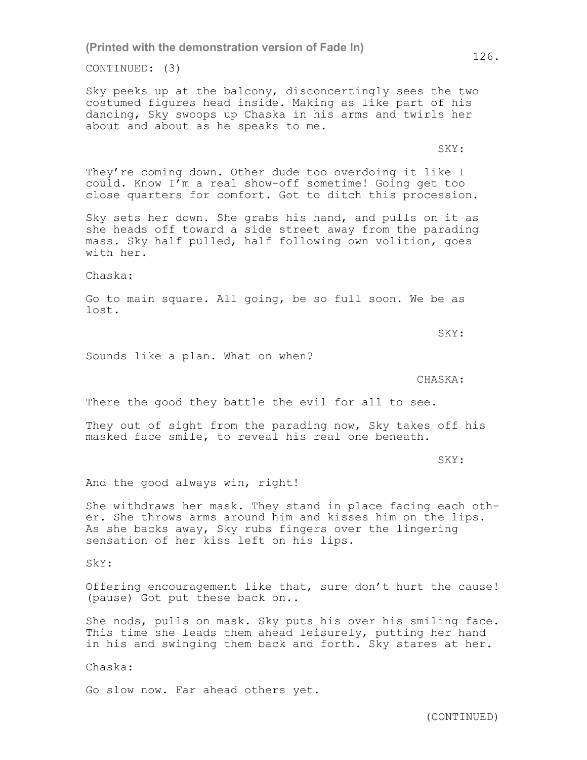CONTINUED: (3)

Sky peeks up at the balcony, disconcertingly sees the two costumed figures head inside. Making as like part of his dancing, Sky swoops up Chaska in his arms and twirls her about and about as he speaks to me.

SKY:

They're coming down. Other dude too overdoing it like I could. Know I'm a real show-off sometime! Going get too close quarters for comfort. Got to ditch this procession.

Sky sets her down. She grabs his hand, and pulls on it as she heads off toward a side street away from the parading mass. Sky half pulled, half following own volition, goes with her.

Chaska:

Go to main square. All going, be so full soon. We be as lost.

SKY:

Sounds like a plan. What on when?

CHASKA:

There the good they battle the evil for all to see.

They out of sight from the parading now, Sky takes off his masked face smile, to reveal his real one beneath.

SKY:

And the good always win, right!

She withdraws her mask. They stand in place facing each other. She throws arms around him and kisses him on the lips. As she backs away, Sky rubs fingers over the lingering sensation of her kiss left on his lips.

SkY:

Offering encouragement like that, sure don't hurt the cause! (pause) Got put these back on..

She nods, pulls on mask. Sky puts his over his smiling face. This time she leads them ahead leisurely, putting her hand in his and swinging them back and forth. Sky stares at her.

Chaska:

Go slow now. Far ahead others yet.

126.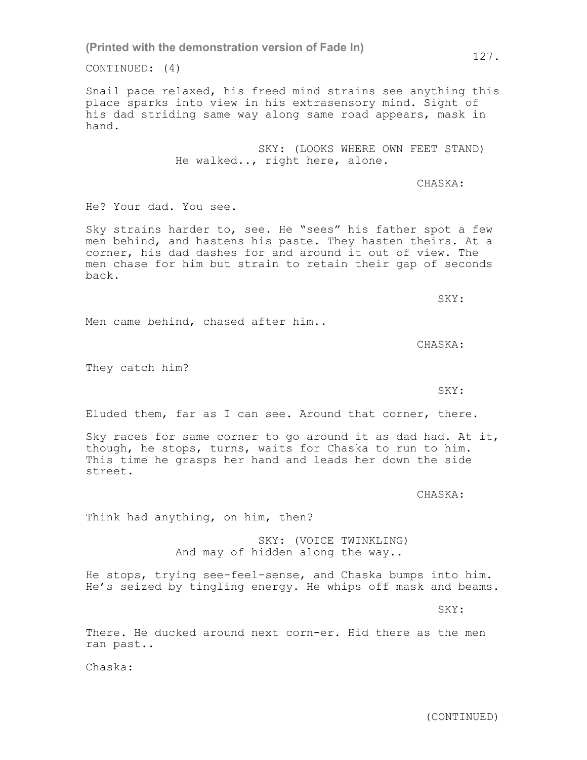CHASKA:

He? Your dad. You see.

Sky strains harder to, see. He "sees" his father spot a few men behind, and hastens his paste. They hasten theirs. At a corner, his dad dashes for and around it out of view. The men chase for him but strain to retain their gap of seconds back.

Men came behind, chased after him..

CHASKA:

They catch him?

SKY:

SKY:

Eluded them, far as I can see. Around that corner, there.

Sky races for same corner to go around it as dad had. At it, though, he stops, turns, waits for Chaska to run to him. This time he grasps her hand and leads her down the side street.

CHASKA:

Think had anything, on him, then?

SKY: (VOICE TWINKLING) And may of hidden along the way..

He stops, trying see-feel-sense, and Chaska bumps into him. He's seized by tingling energy. He whips off mask and beams.

SKY:

There. He ducked around next corn-er. Hid there as the men ran past..

Chaska:

**(Printed with the demonstration version of Fade In)**

CONTINUED: (4)

Snail pace relaxed, his freed mind strains see anything this place sparks into view in his extrasensory mind. Sight of his dad striding same way along same road appears, mask in hand.

> SKY: (LOOKS WHERE OWN FEET STAND) He walked.., right here, alone.

127.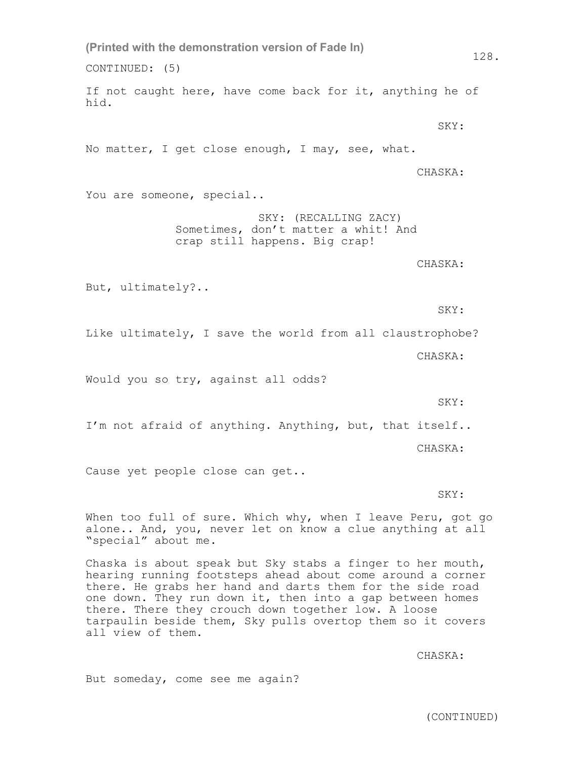If not caught here, have come back for it, anything he of hid. SKY: No matter, I get close enough, I may, see, what. CHASKA: You are someone, special.. SKY: (RECALLING ZACY) Sometimes, don't matter a whit! And crap still happens. Big crap! CHASKA: But, ultimately?.. SKY: Like ultimately, I save the world from all claustrophobe? CHASKA: Would you so try, against all odds? SKY: I'm not afraid of anything. Anything, but, that itself.. CHASKA: Cause yet people close can get.. SKY: When too full of sure. Which why, when I leave Peru, got go alone.. And, you, never let on know a clue anything at all "special" about me. Chaska is about speak but Sky stabs a finger to her mouth, hearing running footsteps ahead about come around a corner there. He grabs her hand and darts them for the side road one down. They run down it, then into a gap between homes there. There they crouch down together low. A loose tarpaulin beside them, Sky pulls overtop them so it covers all view of them. CONTINUED: (5) 128. **(Printed with the demonstration version of Fade In)**

CHASKA:

But someday, come see me again?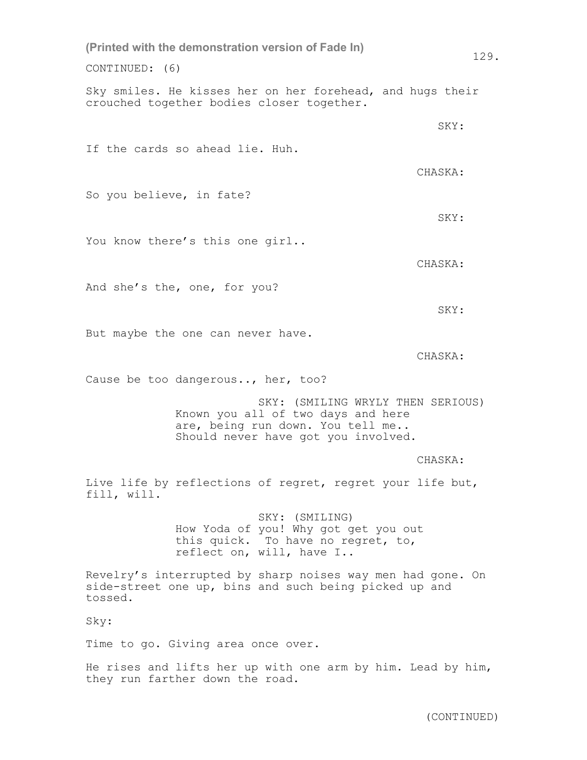Sky smiles. He kisses her on her forehead, and hugs their crouched together bodies closer together. SKY: If the cards so ahead lie. Huh. CHASKA: So you believe, in fate? SKY: You know there's this one girl.. CHASKA: And she's the, one, for you? SKY: But maybe the one can never have. CHASKA: Cause be too dangerous.., her, too? SKY: (SMILING WRYLY THEN SERIOUS) Known you all of two days and here are, being run down. You tell me.. Should never have got you involved. CHASKA: Live life by reflections of regret, regret your life but, fill, will. SKY: (SMILING) How Yoda of you! Why got get you out this quick. To have no regret, to, reflect on, will, have I.. Revelry's interrupted by sharp noises way men had gone. On side-street one up, bins and such being picked up and tossed. Sky: Time to go. Giving area once over. He rises and lifts her up with one arm by him. Lead by him, they run farther down the road. CONTINUED: (6) 129. **(Printed with the demonstration version of Fade In)**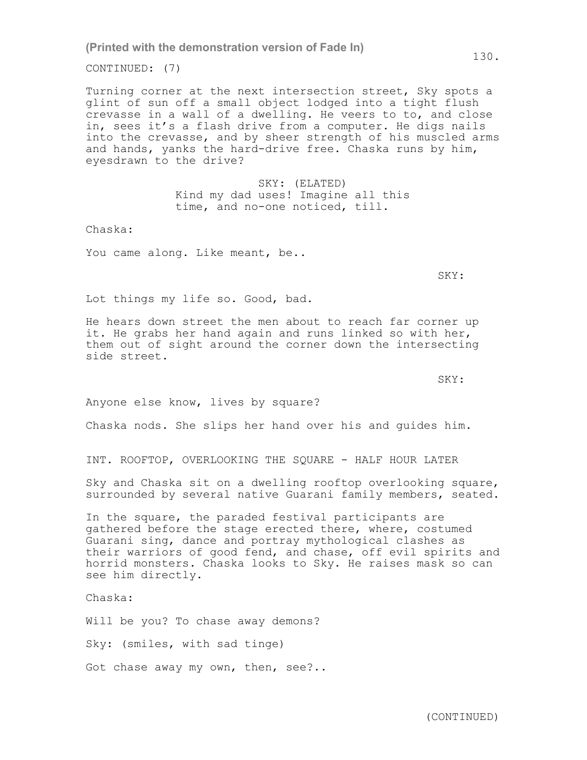CONTINUED: (7)

Turning corner at the next intersection street, Sky spots a glint of sun off a small object lodged into a tight flush crevasse in a wall of a dwelling. He veers to to, and close in, sees it's a flash drive from a computer. He digs nails into the crevasse, and by sheer strength of his muscled arms and hands, yanks the hard-drive free. Chaska runs by him, eyesdrawn to the drive?

> SKY: (ELATED) Kind my dad uses! Imagine all this time, and no-one noticed, till.

Chaska:

You came along. Like meant, be..

SKY:

Lot things my life so. Good, bad.

He hears down street the men about to reach far corner up it. He grabs her hand again and runs linked so with her, them out of sight around the corner down the intersecting side street.

SKY:

Anyone else know, lives by square?

Chaska nods. She slips her hand over his and guides him.

INT. ROOFTOP, OVERLOOKING THE SQUARE - HALF HOUR LATER

Sky and Chaska sit on a dwelling rooftop overlooking square, surrounded by several native Guarani family members, seated.

In the square, the paraded festival participants are gathered before the stage erected there, where, costumed Guarani sing, dance and portray mythological clashes as their warriors of good fend, and chase, off evil spirits and horrid monsters. Chaska looks to Sky. He raises mask so can see him directly.

Chaska:

Will be you? To chase away demons?

Sky: (smiles, with sad tinge)

Got chase away my own, then, see ?...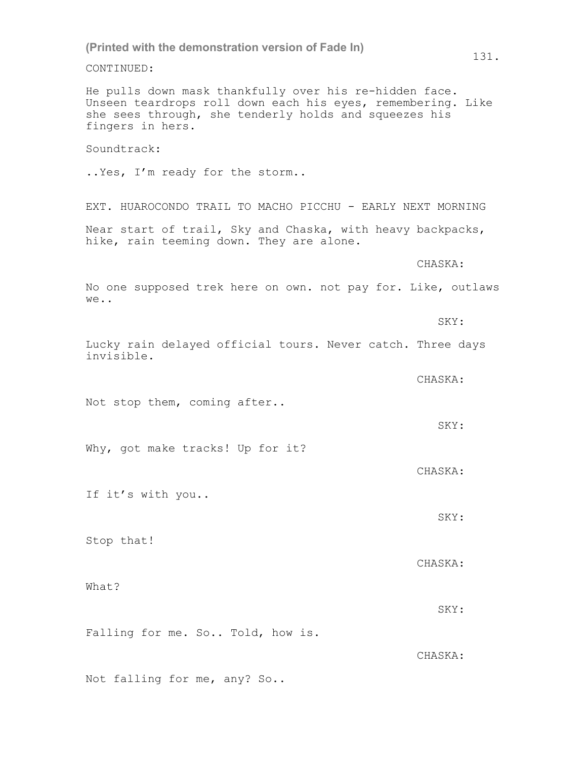He pulls down mask thankfully over his re-hidden face. Unseen teardrops roll down each his eyes, remembering. Like she sees through, she tenderly holds and squeezes his fingers in hers. Soundtrack: ..Yes, I'm ready for the storm.. EXT. HUAROCONDO TRAIL TO MACHO PICCHU - EARLY NEXT MORNING Near start of trail, Sky and Chaska, with heavy backpacks, hike, rain teeming down. They are alone. CHASKA: No one supposed trek here on own. not pay for. Like, outlaws we.. SKY: Lucky rain delayed official tours. Never catch. Three days invisible. CHASKA: Not stop them, coming after.. SKY: Why, got make tracks! Up for it? CHASKA: If it's with you.. SKY: Stop that! CHASKA: What? SKY: Falling for me. So.. Told, how is. CHASKA: Not falling for me, any? So.. CONTINUED: 131. **(Printed with the demonstration version of Fade In)**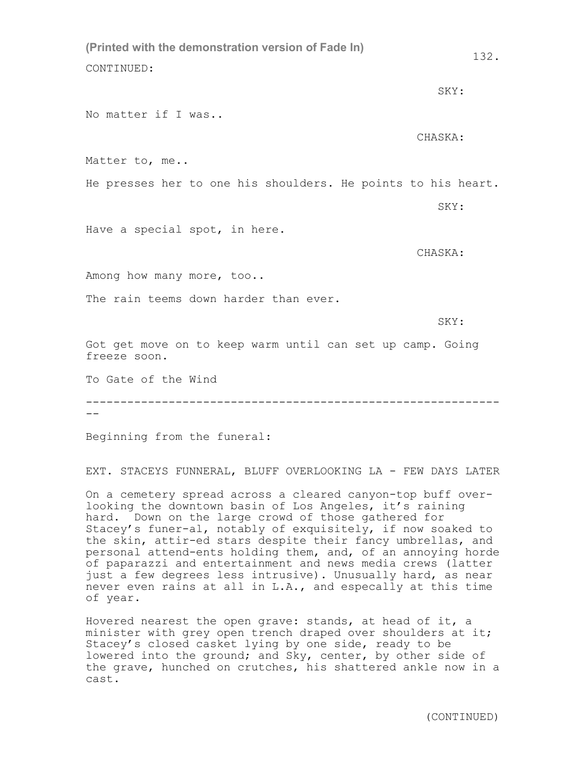SKY: No matter if I was.. CHASKA: Matter to, me.. He presses her to one his shoulders. He points to his heart. SKY: Have a special spot, in here. CHASKA: Among how many more, too.. The rain teems down harder than ever. SKY: Got get move on to keep warm until can set up camp. Going freeze soon. To Gate of the Wind ------------------------------------------------------------ -- Beginning from the funeral: CONTINUED: 132. **(Printed with the demonstration version of Fade In)**

EXT. STACEYS FUNNERAL, BLUFF OVERLOOKING LA - FEW DAYS LATER

On a cemetery spread across a cleared canyon-top buff overlooking the downtown basin of Los Angeles, it's raining hard. Down on the large crowd of those gathered for Stacey's funer-al, notably of exquisitely, if now soaked to the skin, attir-ed stars despite their fancy umbrellas, and personal attend-ents holding them, and, of an annoying horde of paparazzi and entertainment and news media crews (latter just a few degrees less intrusive). Unusually hard, as near never even rains at all in L.A., and especally at this time of year.

Hovered nearest the open grave: stands, at head of it, a minister with grey open trench draped over shoulders at it; Stacey's closed casket lying by one side, ready to be lowered into the ground; and Sky, center, by other side of the grave, hunched on crutches, his shattered ankle now in a cast.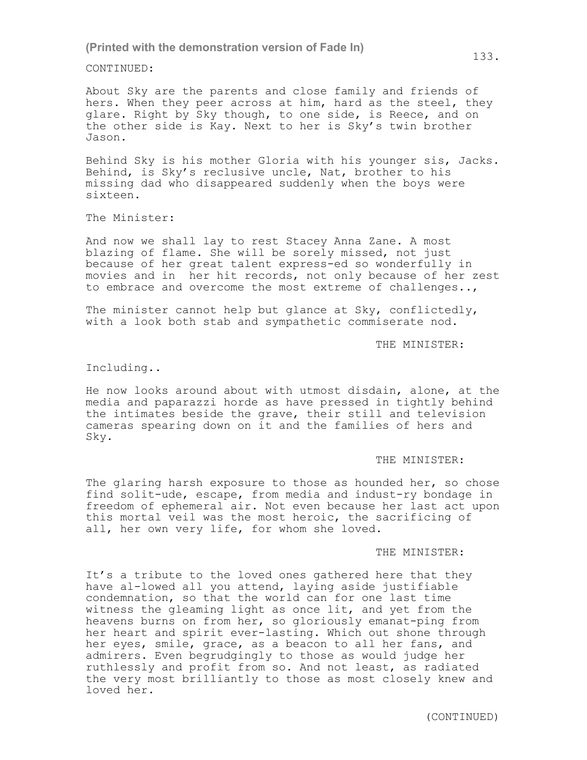CONTINUED:

About Sky are the parents and close family and friends of hers. When they peer across at him, hard as the steel, they glare. Right by Sky though, to one side, is Reece, and on the other side is Kay. Next to her is Sky's twin brother Jason.

Behind Sky is his mother Gloria with his younger sis, Jacks. Behind, is Sky's reclusive uncle, Nat, brother to his missing dad who disappeared suddenly when the boys were sixteen.

The Minister:

And now we shall lay to rest Stacey Anna Zane. A most blazing of flame. She will be sorely missed, not just because of her great talent express-ed so wonderfully in movies and in her hit records, not only because of her zest to embrace and overcome the most extreme of challenges..,

The minister cannot help but glance at Sky, conflictedly, with a look both stab and sympathetic commiserate nod.

THE MINISTER:

Including..

He now looks around about with utmost disdain, alone, at the media and paparazzi horde as have pressed in tightly behind the intimates beside the grave, their still and television cameras spearing down on it and the families of hers and Sky.

#### THE MINISTER:

The glaring harsh exposure to those as hounded her, so chose find solit-ude, escape, from media and indust-ry bondage in freedom of ephemeral air. Not even because her last act upon this mortal veil was the most heroic, the sacrificing of all, her own very life, for whom she loved.

#### THE MINISTER:

It's a tribute to the loved ones gathered here that they have al-lowed all you attend, laying aside justifiable condemnation, so that the world can for one last time witness the gleaming light as once lit, and yet from the heavens burns on from her, so gloriously emanat-ping from her heart and spirit ever-lasting. Which out shone through her eyes, smile, grace, as a beacon to all her fans, and admirers. Even begrudgingly to those as would judge her ruthlessly and profit from so. And not least, as radiated the very most brilliantly to those as most closely knew and loved her.

133.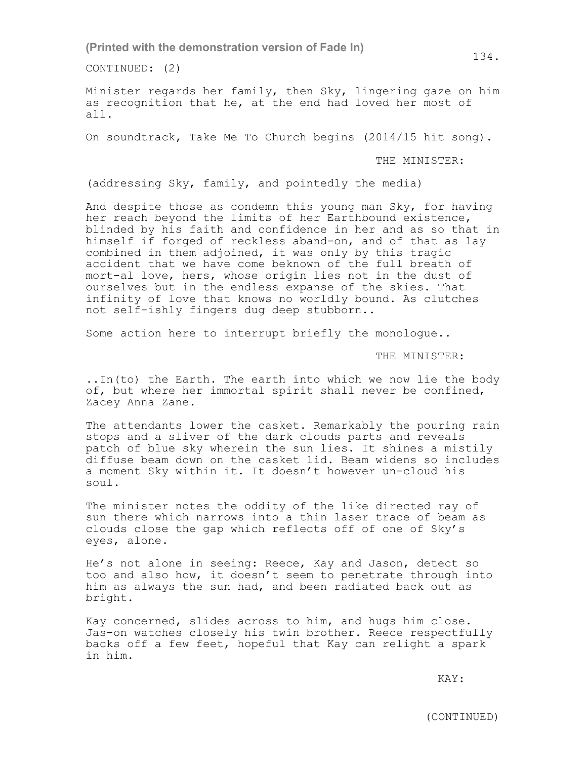CONTINUED: (2)

Minister regards her family, then Sky, lingering gaze on him as recognition that he, at the end had loved her most of all.

On soundtrack, Take Me To Church begins (2014/15 hit song).

THE MINISTER:

(addressing Sky, family, and pointedly the media)

And despite those as condemn this young man Sky, for having her reach beyond the limits of her Earthbound existence, blinded by his faith and confidence in her and as so that in himself if forged of reckless aband-on, and of that as lay combined in them adjoined, it was only by this tragic accident that we have come beknown of the full breath of mort-al love, hers, whose origin lies not in the dust of ourselves but in the endless expanse of the skies. That infinity of love that knows no worldly bound. As clutches not self-ishly fingers dug deep stubborn..

Some action here to interrupt briefly the monologue..

THE MINISTER:

..In(to) the Earth. The earth into which we now lie the body of, but where her immortal spirit shall never be confined, Zacey Anna Zane.

The attendants lower the casket. Remarkably the pouring rain stops and a sliver of the dark clouds parts and reveals patch of blue sky wherein the sun lies. It shines a mistily diffuse beam down on the casket lid. Beam widens so includes a moment Sky within it. It doesn't however un-cloud his soul.

The minister notes the oddity of the like directed ray of sun there which narrows into a thin laser trace of beam as clouds close the gap which reflects off of one of Sky's eyes, alone.

He's not alone in seeing: Reece, Kay and Jason, detect so too and also how, it doesn't seem to penetrate through into him as always the sun had, and been radiated back out as bright.

Kay concerned, slides across to him, and hugs him close. Jas-on watches closely his twin brother. Reece respectfully backs off a few feet, hopeful that Kay can relight a spark in him.

KAY:

134.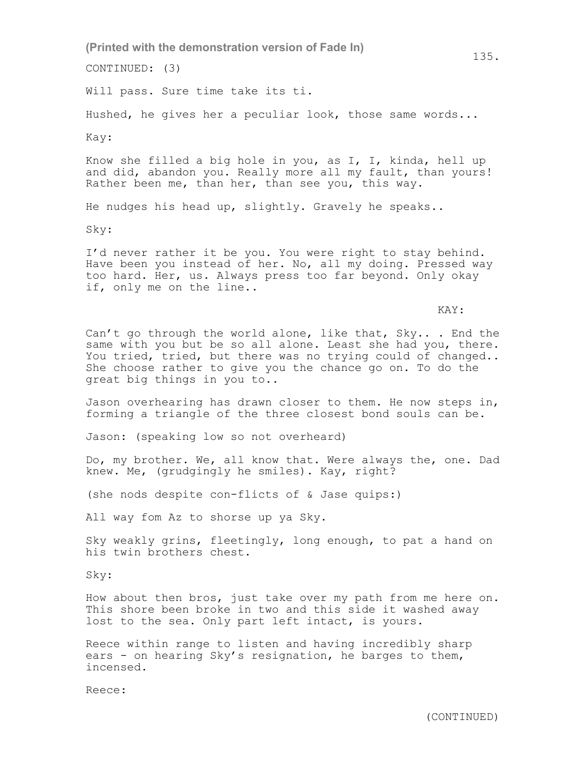CONTINUED: (3)

Will pass. Sure time take its ti.

Hushed, he gives her a peculiar look, those same words...

Kay:

Know she filled a big hole in you, as I, I, kinda, hell up and did, abandon you. Really more all my fault, than yours! Rather been me, than her, than see you, this way.

He nudges his head up, slightly. Gravely he speaks..

Sky:

I'd never rather it be you. You were right to stay behind. Have been you instead of her. No, all my doing. Pressed way too hard. Her, us. Always press too far beyond. Only okay if, only me on the line..

KAY:

135.

Can't go through the world alone, like that, Sky.. . End the same with you but be so all alone. Least she had you, there. You tried, tried, but there was no trying could of changed.. She choose rather to give you the chance go on. To do the great big things in you to..

Jason overhearing has drawn closer to them. He now steps in, forming a triangle of the three closest bond souls can be.

Jason: (speaking low so not overheard)

Do, my brother. We, all know that. Were always the, one. Dad knew. Me, (grudgingly he smiles). Kay, right?

(she nods despite con-flicts of & Jase quips:)

All way fom Az to shorse up ya Sky.

Sky weakly grins, fleetingly, long enough, to pat a hand on his twin brothers chest.

Sky:

How about then bros, just take over my path from me here on. This shore been broke in two and this side it washed away lost to the sea. Only part left intact, is yours.

Reece within range to listen and having incredibly sharp ears - on hearing Sky's resignation, he barges to them, incensed.

Reece: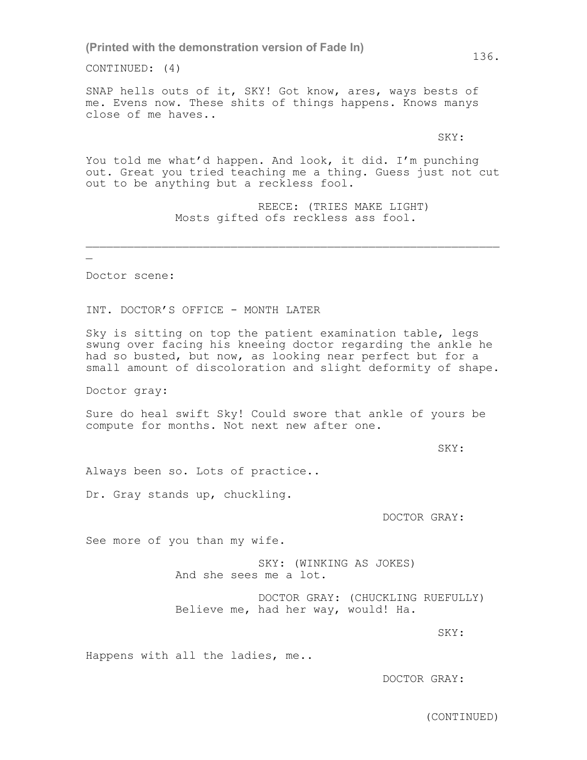CONTINUED: (4)

SNAP hells outs of it, SKY! Got know, ares, ways bests of me. Evens now. These shits of things happens. Knows manys close of me haves..

SKY:

You told me what'd happen. And look, it did. I'm punching out. Great you tried teaching me a thing. Guess just not cut out to be anything but a reckless fool.

> REECE: (TRIES MAKE LIGHT) Mosts gifted ofs reckless ass fool.

 $\overline{a}$ 

Doctor scene:

INT. DOCTOR'S OFFICE - MONTH LATER

Sky is sitting on top the patient examination table, legs swung over facing his kneeing doctor regarding the ankle he had so busted, but now, as looking near perfect but for a small amount of discoloration and slight deformity of shape.

Doctor gray:

Sure do heal swift Sky! Could swore that ankle of yours be compute for months. Not next new after one.

SKY:

Always been so. Lots of practice..

Dr. Gray stands up, chuckling.

DOCTOR GRAY:

See more of you than my wife.

SKY: (WINKING AS JOKES) And she sees me a lot.

DOCTOR GRAY: (CHUCKLING RUEFULLY) Believe me, had her way, would! Ha.

SKY:

Happens with all the ladies, me..

DOCTOR GRAY:

136.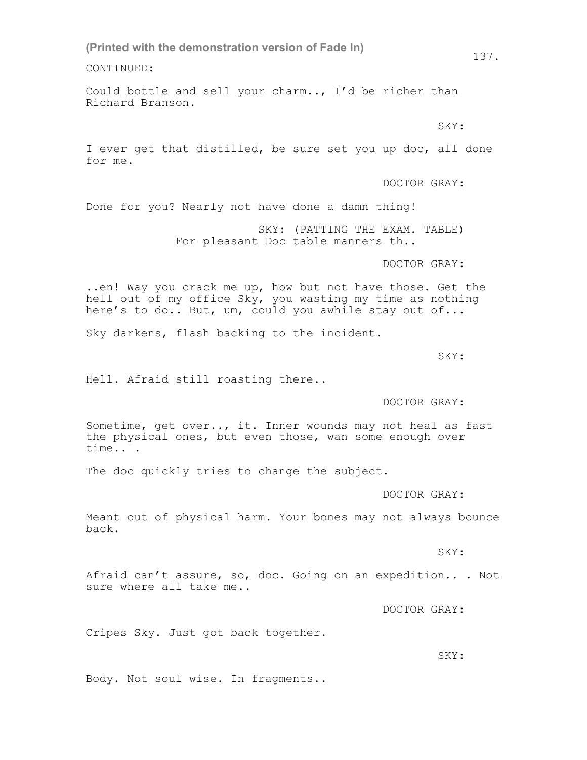CONTINUED:

Could bottle and sell your charm.., I'd be richer than Richard Branson.

SKY:

I ever get that distilled, be sure set you up doc, all done for me.

DOCTOR GRAY:

Done for you? Nearly not have done a damn thing!

SKY: (PATTING THE EXAM. TABLE) For pleasant Doc table manners th..

DOCTOR GRAY:

..en! Way you crack me up, how but not have those. Get the hell out of my office Sky, you wasting my time as nothing here's to do.. But, um, could you awhile stay out of...

Sky darkens, flash backing to the incident.

SKY:

Hell. Afraid still roasting there..

DOCTOR GRAY:

Sometime, get over.., it. Inner wounds may not heal as fast the physical ones, but even those, wan some enough over time.. .

The doc quickly tries to change the subject.

DOCTOR GRAY:

Meant out of physical harm. Your bones may not always bounce back.

SKY:

Afraid can't assure, so, doc. Going on an expedition.. . Not sure where all take me..

DOCTOR GRAY:

Cripes Sky. Just got back together.

SKY:

Body. Not soul wise. In fragments..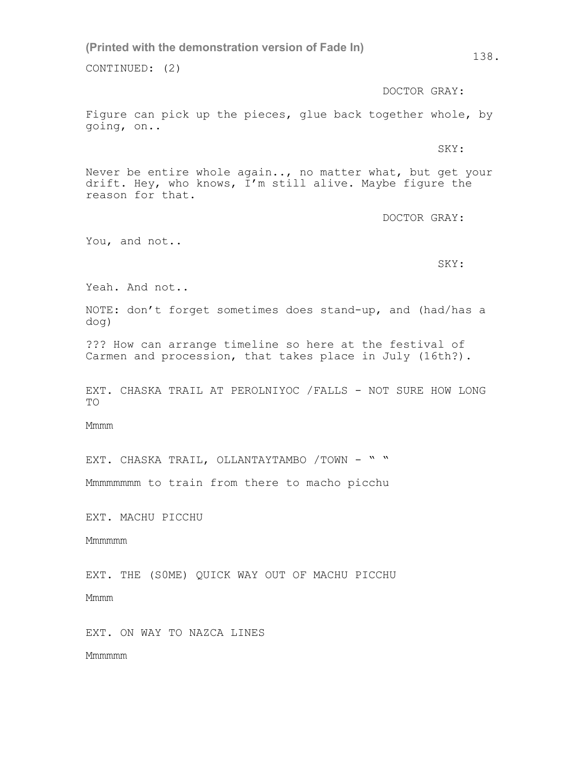DOCTOR GRAY: Figure can pick up the pieces, glue back together whole, by going, on.. SKY: Never be entire whole again.., no matter what, but get your drift. Hey, who knows, I'm still alive. Maybe figure the reason for that. DOCTOR GRAY: You, and not.. SKY: Yeah. And not.. NOTE: don't forget sometimes does stand-up, and (had/has a dog) ??? How can arrange timeline so here at the festival of Carmen and procession, that takes place in July (16th?). EXT. CHASKA TRAIL AT PEROLNIYOC /FALLS - NOT SURE HOW LONG TO Mmmm EXT. CHASKA TRAIL, OLLANTAYTAMBO / TOWN - " " Mmmmmmmm to train from there to macho picchu EXT. MACHU PICCHU Mmmmmm EXT. THE (S0ME) QUICK WAY OUT OF MACHU PICCHU Mmmm EXT. ON WAY TO NAZCA LINES Mmmmmm CONTINUED: (2) 138. **(Printed with the demonstration version of Fade In)**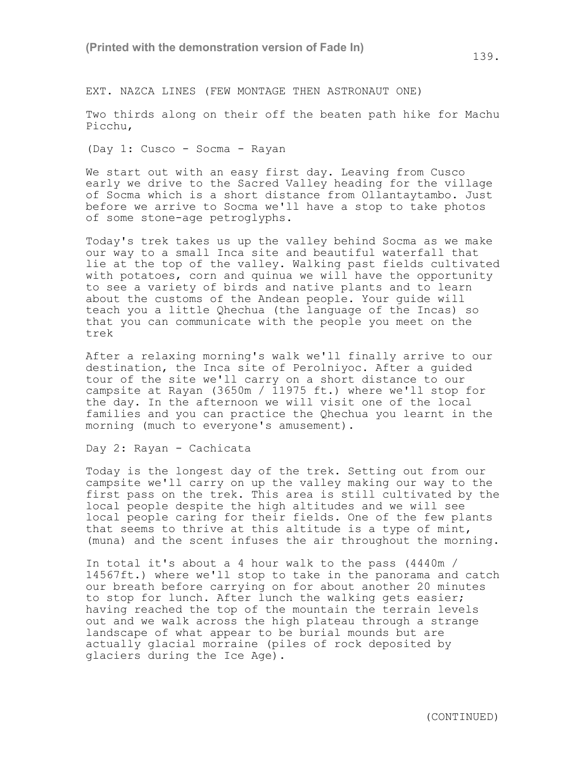Two thirds along on their off the beaten path hike for Machu Picchu,

(Day 1: Cusco - Socma - Rayan

We start out with an easy first day. Leaving from Cusco early we drive to the Sacred Valley heading for the village of Socma which is a short distance from Ollantaytambo. Just before we arrive to Socma we'll have a stop to take photos of some stone-age petroglyphs.

Today's trek takes us up the valley behind Socma as we make our way to a small Inca site and beautiful waterfall that lie at the top of the valley. Walking past fields cultivated with potatoes, corn and quinua we will have the opportunity to see a variety of birds and native plants and to learn about the customs of the Andean people. Your guide will teach you a little Qhechua (the language of the Incas) so that you can communicate with the people you meet on the trek

After a relaxing morning's walk we'll finally arrive to our destination, the Inca site of Perolniyoc. After a guided tour of the site we'll carry on a short distance to our campsite at Rayan (3650m / 11975 ft.) where we'll stop for the day. In the afternoon we will visit one of the local families and you can practice the Qhechua you learnt in the morning (much to everyone's amusement).

## Day 2: Rayan - Cachicata

Today is the longest day of the trek. Setting out from our campsite we'll carry on up the valley making our way to the first pass on the trek. This area is still cultivated by the local people despite the high altitudes and we will see local people caring for their fields. One of the few plants that seems to thrive at this altitude is a type of mint, (muna) and the scent infuses the air throughout the morning.

In total it's about a 4 hour walk to the pass (4440m / 14567ft.) where we'll stop to take in the panorama and catch our breath before carrying on for about another 20 minutes to stop for lunch. After lunch the walking gets easier; having reached the top of the mountain the terrain levels out and we walk across the high plateau through a strange landscape of what appear to be burial mounds but are actually glacial morraine (piles of rock deposited by glaciers during the Ice Age).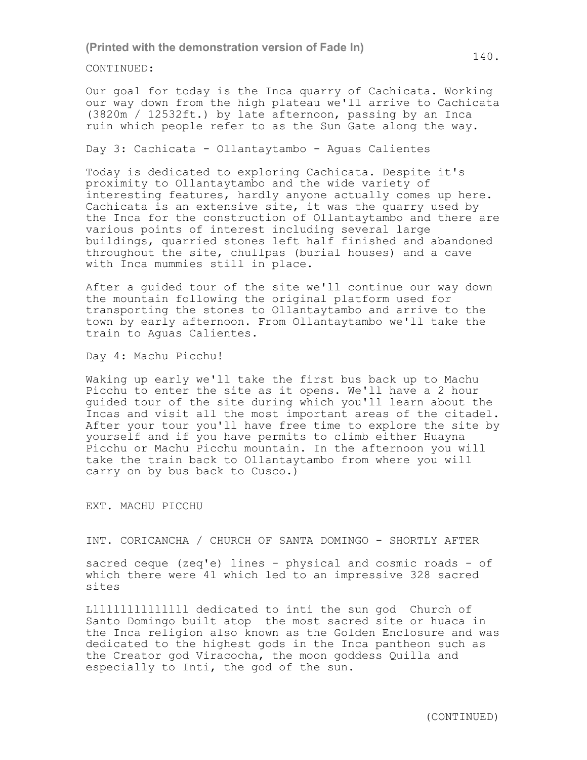CONTINUED:

Our goal for today is the Inca quarry of Cachicata. Working our way down from the high plateau we'll arrive to Cachicata (3820m / 12532ft.) by late afternoon, passing by an Inca ruin which people refer to as the Sun Gate along the way.

## Day 3: Cachicata - Ollantaytambo - Aguas Calientes

Today is dedicated to exploring Cachicata. Despite it's proximity to Ollantaytambo and the wide variety of interesting features, hardly anyone actually comes up here. Cachicata is an extensive site, it was the quarry used by the Inca for the construction of Ollantaytambo and there are various points of interest including several large buildings, quarried stones left half finished and abandoned throughout the site, chullpas (burial houses) and a cave with Inca mummies still in place.

After a guided tour of the site we'll continue our way down the mountain following the original platform used for transporting the stones to Ollantaytambo and arrive to the town by early afternoon. From Ollantaytambo we'll take the train to Aguas Calientes.

Day 4: Machu Picchu!

Waking up early we'll take the first bus back up to Machu Picchu to enter the site as it opens. We'll have a 2 hour guided tour of the site during which you'll learn about the Incas and visit all the most important areas of the citadel. After your tour you'll have free time to explore the site by yourself and if you have permits to climb either Huayna Picchu or Machu Picchu mountain. In the afternoon you will take the train back to Ollantaytambo from where you will carry on by bus back to Cusco.)

EXT. MACHU PICCHU

INT. CORICANCHA / CHURCH OF SANTA DOMINGO - SHORTLY AFTER

sacred ceque (zeq'e) lines - physical and cosmic roads - of which there were 41 which led to an impressive 328 sacred sites

Lllllllllllllll dedicated to inti the sun god Church of Santo Domingo built atop the most sacred site or huaca in the Inca religion also known as the Golden Enclosure and was dedicated to the highest gods in the Inca pantheon such as the Creator god Viracocha, the moon goddess Quilla and especially to Inti, the god of the sun.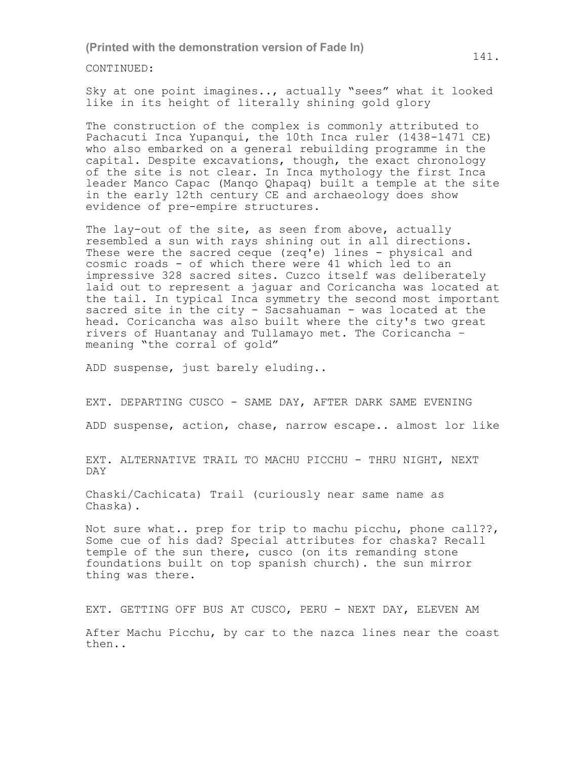CONTINUED:

Sky at one point imagines.., actually "sees" what it looked like in its height of literally shining gold glory

The construction of the complex is commonly attributed to Pachacuti Inca Yupanqui, the 10th Inca ruler (1438-1471 CE) who also embarked on a general rebuilding programme in the capital. Despite excavations, though, the exact chronology of the site is not clear. In Inca mythology the first Inca leader Manco Capac (Manqo Qhapaq) built a temple at the site in the early 12th century CE and archaeology does show evidence of pre-empire structures.

The lay-out of the site, as seen from above, actually resembled a sun with rays shining out in all directions. These were the sacred ceque (zeq'e) lines - physical and cosmic roads - of which there were 41 which led to an impressive 328 sacred sites. Cuzco itself was deliberately laid out to represent a jaguar and Coricancha was located at the tail. In typical Inca symmetry the second most important sacred site in the city - Sacsahuaman - was located at the head. Coricancha was also built where the city's two great rivers of Huantanay and Tullamayo met. The Coricancha – meaning "the corral of gold"

ADD suspense, just barely eluding..

EXT. DEPARTING CUSCO - SAME DAY, AFTER DARK SAME EVENING ADD suspense, action, chase, narrow escape.. almost lor like

EXT. ALTERNATIVE TRAIL TO MACHU PICCHU - THRU NIGHT, NEXT DAY

Chaski/Cachicata) Trail (curiously near same name as Chaska).

Not sure what.. prep for trip to machu picchu, phone call??, Some cue of his dad? Special attributes for chaska? Recall temple of the sun there, cusco (on its remanding stone foundations built on top spanish church). the sun mirror thing was there.

EXT. GETTING OFF BUS AT CUSCO, PERU - NEXT DAY, ELEVEN AM After Machu Picchu, by car to the nazca lines near the coast then..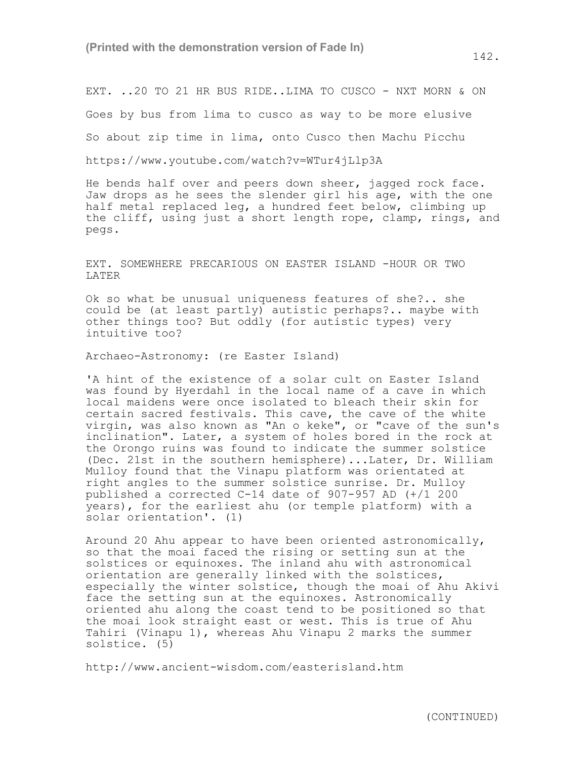EXT. ..20 TO 21 HR BUS RIDE..LIMA TO CUSCO - NXT MORN & ON Goes by bus from lima to cusco as way to be more elusive

So about zip time in lima, onto Cusco then Machu Picchu

https://www.youtube.com/watch?v=WTur4jLlp3A

He bends half over and peers down sheer, jagged rock face. Jaw drops as he sees the slender girl his age, with the one half metal replaced leg, a hundred feet below, climbing up the cliff, using just a short length rope, clamp, rings, and pegs.

EXT. SOMEWHERE PRECARIOUS ON EASTER ISLAND -HOUR OR TWO LATER

Ok so what be unusual uniqueness features of she?.. she could be (at least partly) autistic perhaps?.. maybe with other things too? But oddly (for autistic types) very intuitive too?

Archaeo-Astronomy: (re Easter Island)

'A hint of the existence of a solar cult on Easter Island was found by Hyerdahl in the local name of a cave in which local maidens were once isolated to bleach their skin for certain sacred festivals. This cave, the cave of the white virgin, was also known as "An o keke", or "cave of the sun's inclination". Later, a system of holes bored in the rock at the Orongo ruins was found to indicate the summer solstice (Dec. 21st in the southern hemisphere)...Later, Dr. William Mulloy found that the Vinapu platform was orientated at right angles to the summer solstice sunrise. Dr. Mulloy published a corrected C-14 date of 907-957 AD (+/1 200 years), for the earliest ahu (or temple platform) with a solar orientation'. (1)

Around 20 Ahu appear to have been oriented astronomically, so that the moai faced the rising or setting sun at the solstices or equinoxes. The inland ahu with astronomical orientation are generally linked with the solstices, especially the winter solstice, though the moai of Ahu Akivi face the setting sun at the equinoxes. Astronomically oriented ahu along the coast tend to be positioned so that the moai look straight east or west. This is true of Ahu Tahiri (Vinapu 1), whereas Ahu Vinapu 2 marks the summer solstice. (5)

http://www.ancient-wisdom.com/easterisland.htm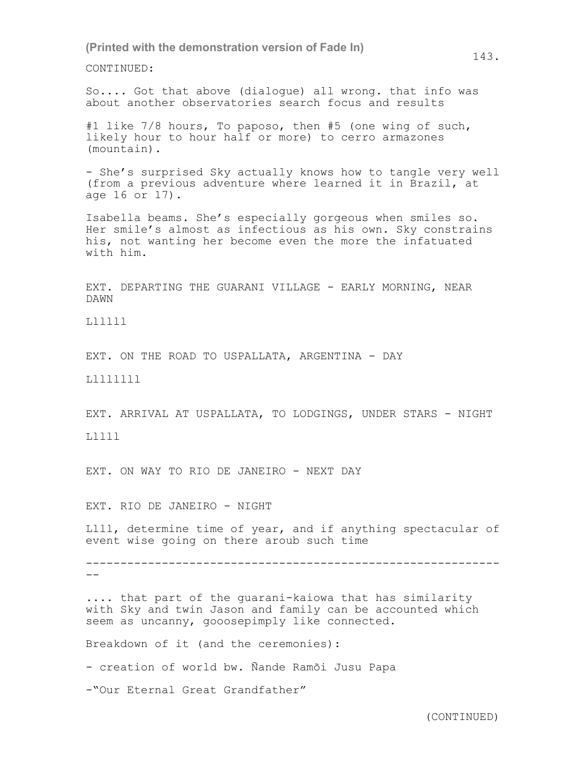CONTINUED:

So.... Got that above (dialogue) all wrong. that info was about another observatories search focus and results

#1 like 7/8 hours, To paposo, then #5 (one wing of such, likely hour to hour half or more) to cerro armazones (mountain).

- She's surprised Sky actually knows how to tangle very well (from a previous adventure where learned it in Brazil, at age 16 or 17).

Isabella beams. She's especially gorgeous when smiles so. Her smile's almost as infectious as his own. Sky constrains his, not wanting her become even the more the infatuated with him.

EXT. DEPARTING THE GUARANI VILLAGE - EARLY MORNING, NEAR DAWN

Llllll

EXT. ON THE ROAD TO USPALLATA, ARGENTINA - DAY

Llllllll

EXT. ARRIVAL AT USPALLATA, TO LODGINGS, UNDER STARS - NIGHT

Lllll

EXT. ON WAY TO RIO DE JANEIRO - NEXT DAY

EXT. RIO DE JANEIRO - NIGHT

Llll, determine time of year, and if anything spectacular of event wise going on there aroub such time

------------------------------------------------------------

 $- -$ 

.... that part of the guarani-kaiowa that has similarity with Sky and twin Jason and family can be accounted which seem as uncanny, gooosepimply like connected.

Breakdown of it (and the ceremonies):

- creation of world bw. Ñande Ramõi Jusu Papa

-"Our Eternal Great Grandfather"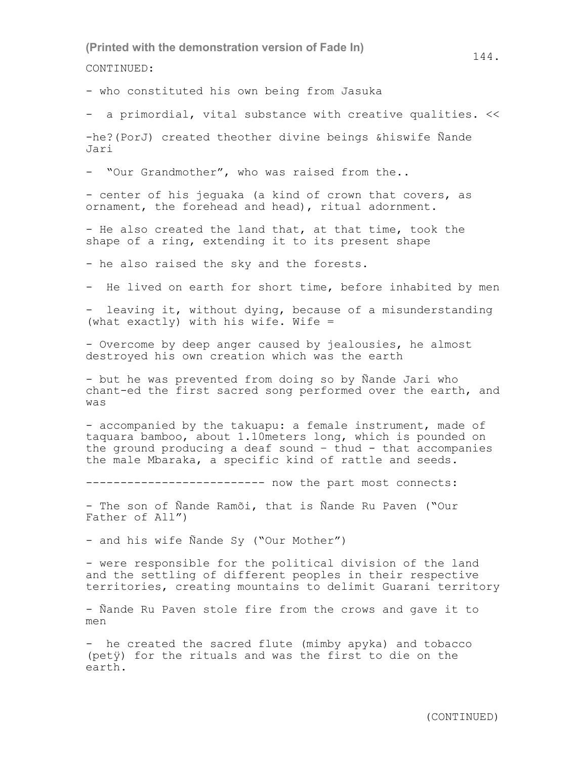CONTINUED:

- who constituted his own being from Jasuka

- a primordial, vital substance with creative qualities. <<

-he?(PorJ) created theother divine beings &hiswife Ñande Jari

- "Our Grandmother", who was raised from the..

- center of his jeguaka (a kind of crown that covers, as ornament, the forehead and head), ritual adornment.

- He also created the land that, at that time, took the shape of a ring, extending it to its present shape

- he also raised the sky and the forests.

- He lived on earth for short time, before inhabited by men

- leaving it, without dying, because of a misunderstanding (what exactly) with his wife. Wife =

- Overcome by deep anger caused by jealousies, he almost destroyed his own creation which was the earth

- but he was prevented from doing so by Ñande Jari who chant-ed the first sacred song performed over the earth, and was

- accompanied by the takuapu: a female instrument, made of taquara bamboo, about 1.10meters long, which is pounded on the ground producing a deaf sound  $-$  thud  $-$  that accompanies the male Mbaraka, a specific kind of rattle and seeds.

-------------------------- now the part most connects:

- The son of Ñande Ramõi, that is Ñande Ru Paven ("Our Father of All")

- and his wife Ñande Sy ("Our Mother")

- were responsible for the political division of the land and the settling of different peoples in their respective territories, creating mountains to delimit Guarani territory

- Ñande Ru Paven stole fire from the crows and gave it to men

- he created the sacred flute (mimby apyka) and tobacco (petÿ) for the rituals and was the first to die on the earth.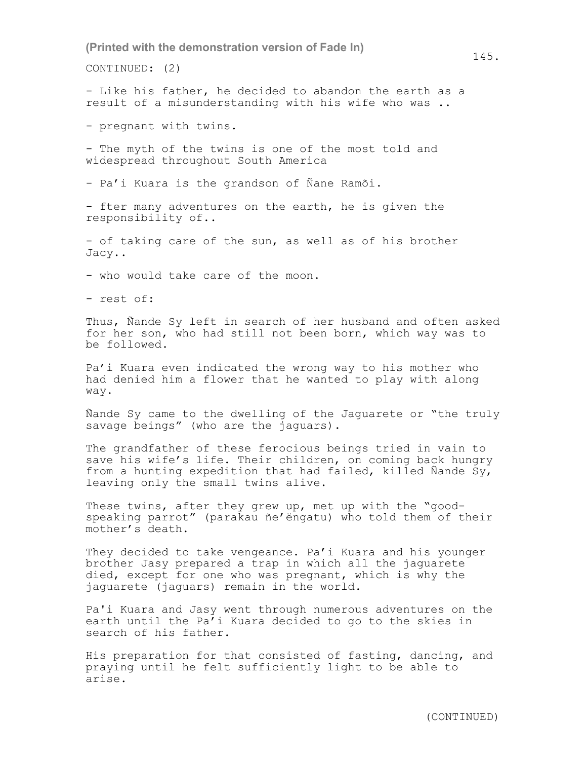CONTINUED: (2)

- Like his father, he decided to abandon the earth as a result of a misunderstanding with his wife who was ..

- pregnant with twins.

- The myth of the twins is one of the most told and widespread throughout South America

- Pa'i Kuara is the grandson of Ñane Ramõi.

- fter many adventures on the earth, he is given the responsibility of..

- of taking care of the sun, as well as of his brother Jacy..

- who would take care of the moon.

- rest of:

Thus, Ñande Sy left in search of her husband and often asked for her son, who had still not been born, which way was to be followed.

Pa'i Kuara even indicated the wrong way to his mother who had denied him a flower that he wanted to play with along way.

Ñande Sy came to the dwelling of the Jaguarete or "the truly savage beings" (who are the jaguars).

The grandfather of these ferocious beings tried in vain to save his wife's life. Their children, on coming back hungry from a hunting expedition that had failed, killed Ñande Sy, leaving only the small twins alive.

These twins, after they grew up, met up with the "goodspeaking parrot" (parakau ñe'ëngatu) who told them of their mother's death.

They decided to take vengeance. Pa'i Kuara and his younger brother Jasy prepared a trap in which all the jaguarete died, except for one who was pregnant, which is why the jaguarete (jaguars) remain in the world.

Pa'i Kuara and Jasy went through numerous adventures on the earth until the Pa'i Kuara decided to go to the skies in search of his father.

His preparation for that consisted of fasting, dancing, and praying until he felt sufficiently light to be able to arise.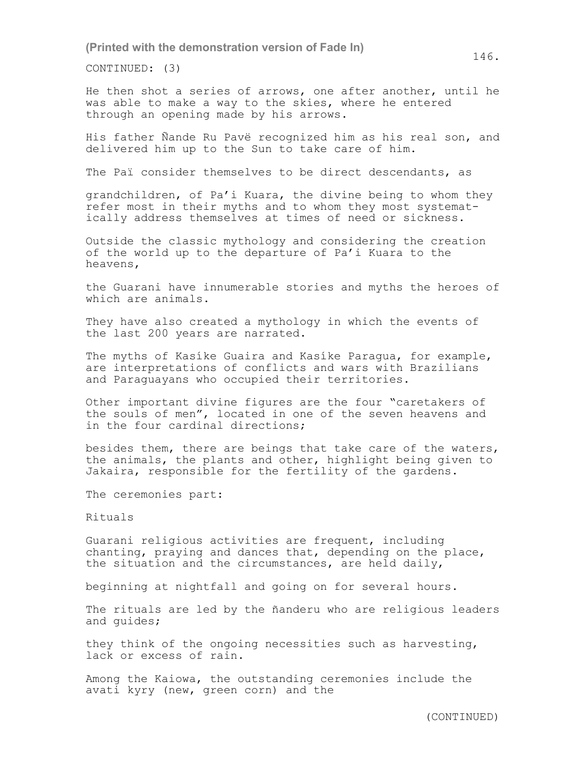CONTINUED: (3)

He then shot a series of arrows, one after another, until he was able to make a way to the skies, where he entered through an opening made by his arrows.

His father Ñande Ru Pavë recognized him as his real son, and delivered him up to the Sun to take care of him.

The Paï consider themselves to be direct descendants, as

grandchildren, of Pa'i Kuara, the divine being to whom they refer most in their myths and to whom they most systematically address themselves at times of need or sickness.

Outside the classic mythology and considering the creation of the world up to the departure of Pa'i Kuara to the heavens,

the Guarani have innumerable stories and myths the heroes of which are animals.

They have also created a mythology in which the events of the last 200 years are narrated.

The myths of Kasíke Guaira and Kasíke Paragua, for example, are interpretations of conflicts and wars with Brazilians and Paraguayans who occupied their territories.

Other important divine figures are the four "caretakers of the souls of men", located in one of the seven heavens and in the four cardinal directions;

besides them, there are beings that take care of the waters, the animals, the plants and other, highlight being given to Jakaira, responsible for the fertility of the gardens.

The ceremonies part:

Rituals

Guarani religious activities are frequent, including chanting, praying and dances that, depending on the place, the situation and the circumstances, are held daily,

beginning at nightfall and going on for several hours.

The rituals are led by the ñanderu who are religious leaders and guides;

they think of the ongoing necessities such as harvesting, lack or excess of rain.

Among the Kaiowa, the outstanding ceremonies include the avati kyry (new, green corn) and the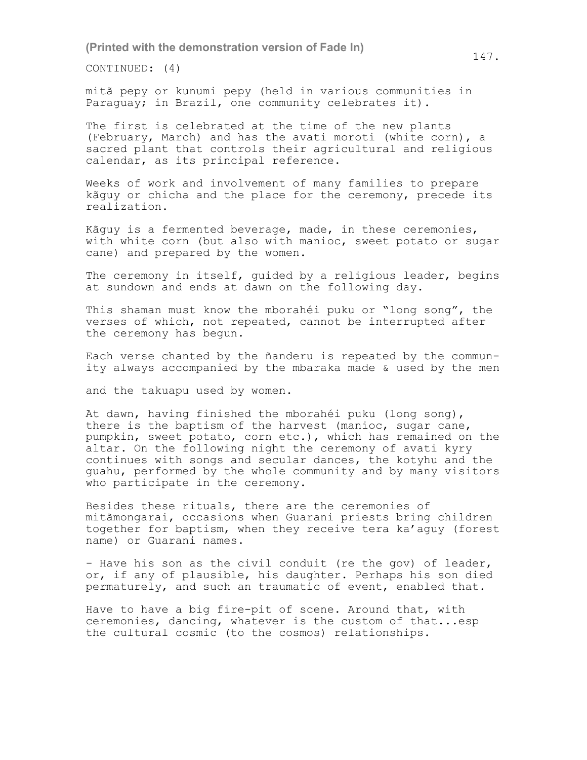CONTINUED: (4)

mitã pepy or kunumi pepy (held in various communities in Paraguay; in Brazil, one community celebrates it).

The first is celebrated at the time of the new plants (February, March) and has the avati moroti (white corn), a sacred plant that controls their agricultural and religious calendar, as its principal reference.

Weeks of work and involvement of many families to prepare kãguy or chicha and the place for the ceremony, precede its realization.

Kãguy is a fermented beverage, made, in these ceremonies, with white corn (but also with manioc, sweet potato or sugar cane) and prepared by the women.

The ceremony in itself, guided by a religious leader, begins at sundown and ends at dawn on the following day.

This shaman must know the mborahéi puku or "long song", the verses of which, not repeated, cannot be interrupted after the ceremony has begun.

Each verse chanted by the ñanderu is repeated by the community always accompanied by the mbaraka made & used by the men

and the takuapu used by women.

At dawn, having finished the mborahéi puku (long song), there is the baptism of the harvest (manioc, sugar cane, pumpkin, sweet potato, corn etc.), which has remained on the altar. On the following night the ceremony of avati kyry continues with songs and secular dances, the kotyhu and the guahu, performed by the whole community and by many visitors who participate in the ceremony.

Besides these rituals, there are the ceremonies of mitãmongarai, occasions when Guarani priests bring children together for baptism, when they receive tera ka'aguy (forest name) or Guarani names.

- Have his son as the civil conduit (re the gov) of leader, or, if any of plausible, his daughter. Perhaps his son died permaturely, and such an traumatic of event, enabled that.

Have to have a big fire-pit of scene. Around that, with ceremonies, dancing, whatever is the custom of that...esp the cultural cosmic (to the cosmos) relationships.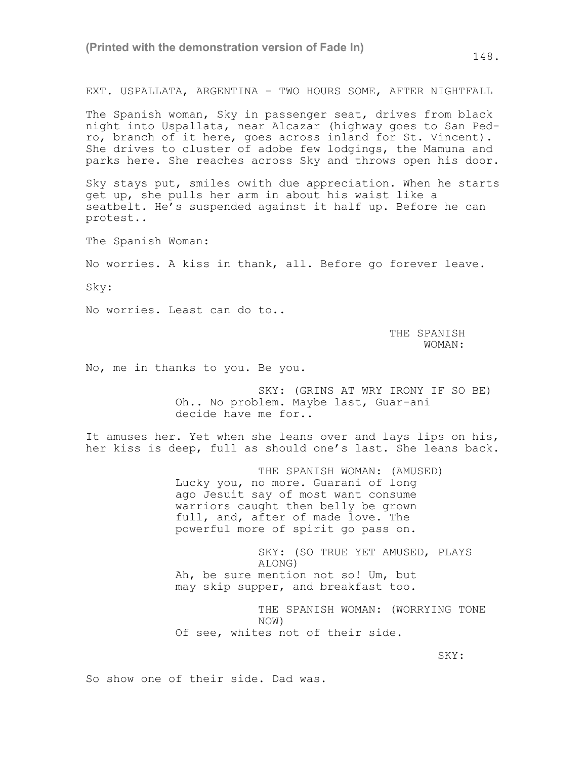EXT. USPALLATA, ARGENTINA - TWO HOURS SOME, AFTER NIGHTFALL

The Spanish woman, Sky in passenger seat, drives from black night into Uspallata, near Alcazar (highway goes to San Pedro, branch of it here, goes across inland for St. Vincent). She drives to cluster of adobe few lodgings, the Mamuna and parks here. She reaches across Sky and throws open his door.

Sky stays put, smiles owith due appreciation. When he starts get up, she pulls her arm in about his waist like a seatbelt. He's suspended against it half up. Before he can protest..

The Spanish Woman:

No worries. A kiss in thank, all. Before go forever leave.

Sky:

No worries. Least can do to..

THE SPANISH WOMAN:

No, me in thanks to you. Be you.

SKY: (GRINS AT WRY IRONY IF SO BE) Oh.. No problem. Maybe last, Guar-ani decide have me for..

It amuses her. Yet when she leans over and lays lips on his, her kiss is deep, full as should one's last. She leans back.

> THE SPANISH WOMAN: (AMUSED) Lucky you, no more. Guarani of long ago Jesuit say of most want consume warriors caught then belly be grown full, and, after of made love. The powerful more of spirit go pass on.

SKY: (SO TRUE YET AMUSED, PLAYS ALONG) Ah, be sure mention not so! Um, but may skip supper, and breakfast too.

THE SPANISH WOMAN: (WORRYING TONE NOW) Of see, whites not of their side.

SKY:

So show one of their side. Dad was.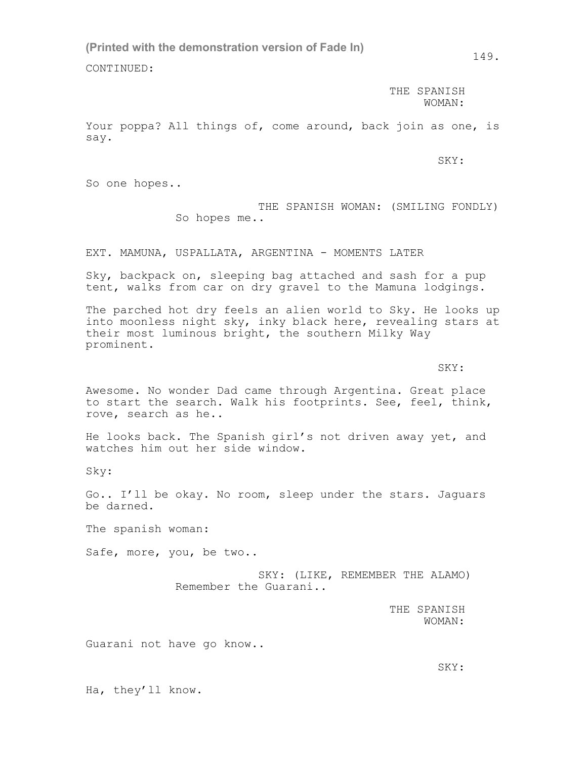CONTINUED:

THE SPANISH WOMAN:

Your poppa? All things of, come around, back join as one, is say.

SKY:

So one hopes..

THE SPANISH WOMAN: (SMILING FONDLY) So hopes me..

EXT. MAMUNA, USPALLATA, ARGENTINA - MOMENTS LATER

Sky, backpack on, sleeping bag attached and sash for a pup tent, walks from car on dry gravel to the Mamuna lodgings.

The parched hot dry feels an alien world to Sky. He looks up into moonless night sky, inky black here, revealing stars at their most luminous bright, the southern Milky Way prominent.

SKY:

Awesome. No wonder Dad came through Argentina. Great place to start the search. Walk his footprints. See, feel, think, rove, search as he..

He looks back. The Spanish girl's not driven away yet, and watches him out her side window.

Sky:

Go.. I'll be okay. No room, sleep under the stars. Jaguars be darned.

The spanish woman:

Safe, more, you, be two..

SKY: (LIKE, REMEMBER THE ALAMO) Remember the Guarani..

> THE SPANISH WOMAN:

Guarani not have go know..

SKY:

Ha, they'll know.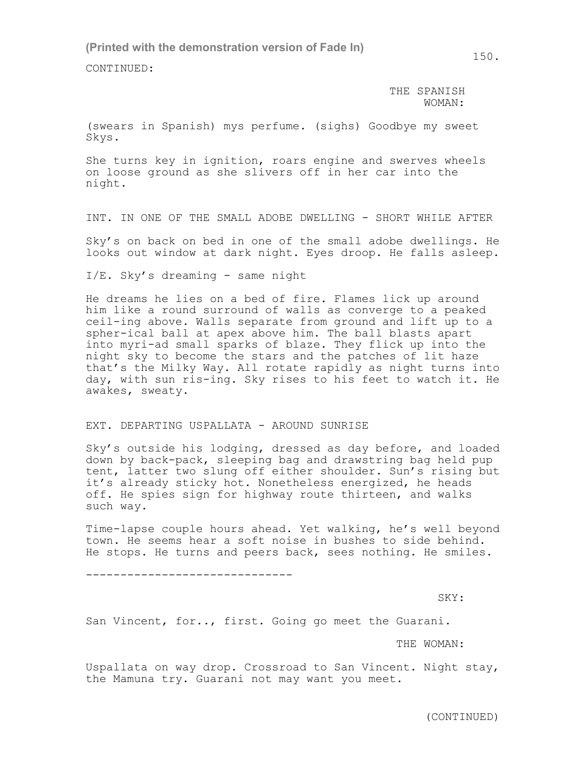CONTINUED:

THE SPANISH WOMAN:

(swears in Spanish) mys perfume. (sighs) Goodbye my sweet Skys.

She turns key in ignition, roars engine and swerves wheels on loose ground as she slivers off in her car into the night.

INT. IN ONE OF THE SMALL ADOBE DWELLING - SHORT WHILE AFTER

Sky's on back on bed in one of the small adobe dwellings. He looks out window at dark night. Eyes droop. He falls asleep.

I/E. Sky's dreaming - same night

He dreams he lies on a bed of fire. Flames lick up around him like a round surround of walls as converge to a peaked ceil-ing above. Walls separate from ground and lift up to a spher-ical ball at apex above him. The ball blasts apart into myri-ad small sparks of blaze. They flick up into the night sky to become the stars and the patches of lit haze that's the Milky Way. All rotate rapidly as night turns into day, with sun ris-ing. Sky rises to his feet to watch it. He awakes, sweaty.

EXT. DEPARTING USPALLATA - AROUND SUNRISE

Sky's outside his lodging, dressed as day before, and loaded down by back-pack, sleeping bag and drawstring bag held pup tent, latter two slung off either shoulder. Sun's rising but it's already sticky hot. Nonetheless energized, he heads off. He spies sign for highway route thirteen, and walks such way.

Time-lapse couple hours ahead. Yet walking, he's well beyond town. He seems hear a soft noise in bushes to side behind. He stops. He turns and peers back, sees nothing. He smiles.

------------------------------

SKY:

San Vincent, for.., first. Going go meet the Guarani.

THE WOMAN:

Uspallata on way drop. Crossroad to San Vincent. Night stay, the Mamuna try. Guarani not may want you meet.

150.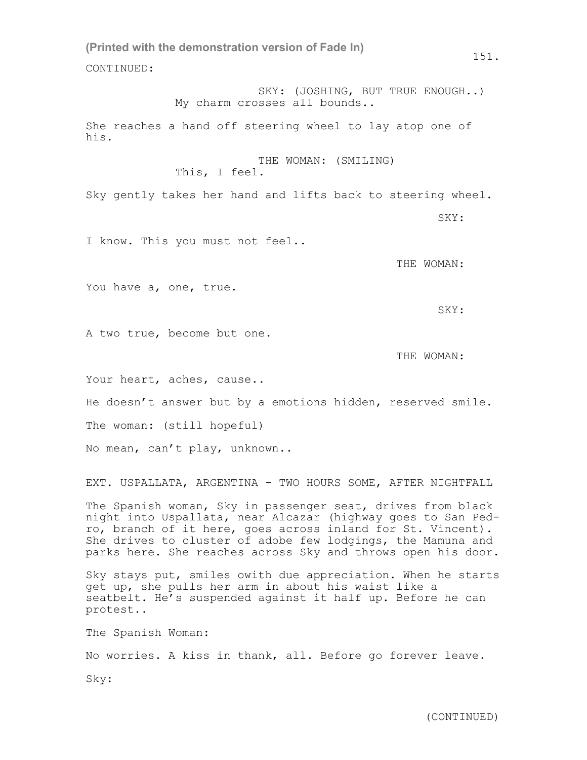SKY: (JOSHING, BUT TRUE ENOUGH..) My charm crosses all bounds.. She reaches a hand off steering wheel to lay atop one of his. THE WOMAN: (SMILING) This, I feel. Sky gently takes her hand and lifts back to steering wheel. SKY: I know. This you must not feel.. THE WOMAN: You have a, one, true. SKY: A two true, become but one. THE WOMAN: Your heart, aches, cause... He doesn't answer but by a emotions hidden, reserved smile. The woman: (still hopeful) No mean, can't play, unknown.. EXT. USPALLATA, ARGENTINA - TWO HOURS SOME, AFTER NIGHTFALL The Spanish woman, Sky in passenger seat, drives from black night into Uspallata, near Alcazar (highway goes to San Pedro, branch of it here, goes across inland for St. Vincent). She drives to cluster of adobe few lodgings, the Mamuna and parks here. She reaches across Sky and throws open his door. Sky stays put, smiles owith due appreciation. When he starts get up, she pulls her arm in about his waist like a seatbelt. He's suspended against it half up. Before he can protest.. The Spanish Woman: No worries. A kiss in thank, all. Before go forever leave. Sky: CONTINUED: 151.

**(Printed with the demonstration version of Fade In)**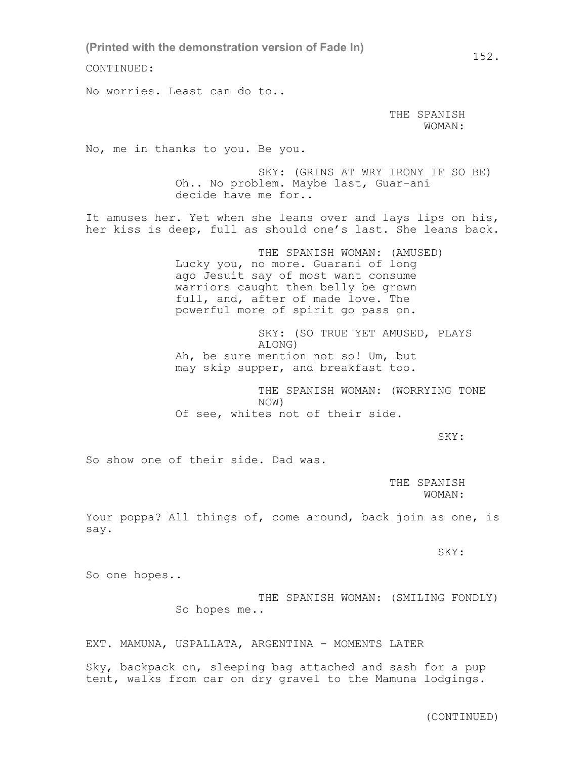No worries. Least can do to.. THE SPANISH WOMAN: No, me in thanks to you. Be you. SKY: (GRINS AT WRY IRONY IF SO BE) Oh.. No problem. Maybe last, Guar-ani decide have me for.. It amuses her. Yet when she leans over and lays lips on his, her kiss is deep, full as should one's last. She leans back. THE SPANISH WOMAN: (AMUSED) Lucky you, no more. Guarani of long ago Jesuit say of most want consume warriors caught then belly be grown full, and, after of made love. The powerful more of spirit go pass on. SKY: (SO TRUE YET AMUSED, PLAYS ALONG) Ah, be sure mention not so! Um, but may skip supper, and breakfast too. THE SPANISH WOMAN: (WORRYING TONE NOW) Of see, whites not of their side. SKY: So show one of their side. Dad was. THE SPANISH WOMAN: Your poppa? All things of, come around, back join as one, is say. SKY: So one hopes.. THE SPANISH WOMAN: (SMILING FONDLY) So hopes me.. EXT. MAMUNA, USPALLATA, ARGENTINA - MOMENTS LATER CONTINUED: 152. **(Printed with the demonstration version of Fade In)**

Sky, backpack on, sleeping bag attached and sash for a pup tent, walks from car on dry gravel to the Mamuna lodgings.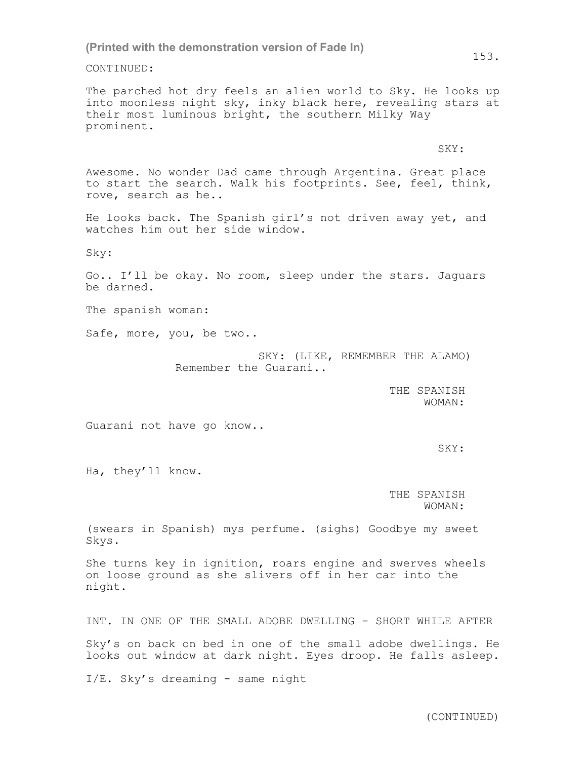CONTINUED:

The parched hot dry feels an alien world to Sky. He looks up into moonless night sky, inky black here, revealing stars at their most luminous bright, the southern Milky Way prominent.

SKY:

Awesome. No wonder Dad came through Argentina. Great place to start the search. Walk his footprints. See, feel, think, rove, search as he..

He looks back. The Spanish girl's not driven away yet, and watches him out her side window.

Sky:

Go.. I'll be okay. No room, sleep under the stars. Jaguars be darned.

The spanish woman:

Safe, more, you, be two..

SKY: (LIKE, REMEMBER THE ALAMO) Remember the Guarani..

> THE SPANISH WOMAN:

Guarani not have go know..

SKY:

Ha, they'll know.

THE SPANISH WOMAN:

(swears in Spanish) mys perfume. (sighs) Goodbye my sweet Skys.

She turns key in ignition, roars engine and swerves wheels on loose ground as she slivers off in her car into the night.

INT. IN ONE OF THE SMALL ADOBE DWELLING - SHORT WHILE AFTER

Sky's on back on bed in one of the small adobe dwellings. He looks out window at dark night. Eyes droop. He falls asleep.

I/E. Sky's dreaming - same night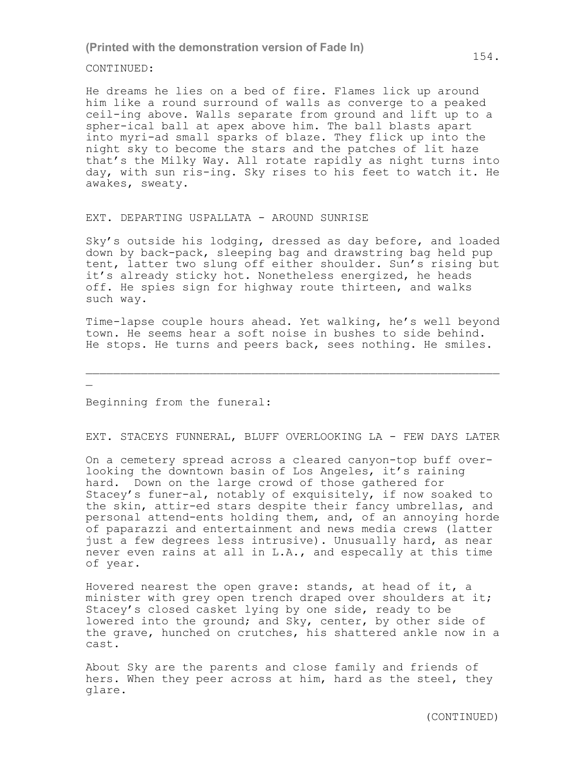CONTINUED:

He dreams he lies on a bed of fire. Flames lick up around him like a round surround of walls as converge to a peaked ceil-ing above. Walls separate from ground and lift up to a spher-ical ball at apex above him. The ball blasts apart into myri-ad small sparks of blaze. They flick up into the night sky to become the stars and the patches of lit haze that's the Milky Way. All rotate rapidly as night turns into day, with sun ris-ing. Sky rises to his feet to watch it. He awakes, sweaty.

## EXT. DEPARTING USPALLATA - AROUND SUNRISE

Sky's outside his lodging, dressed as day before, and loaded down by back-pack, sleeping bag and drawstring bag held pup tent, latter two slung off either shoulder. Sun's rising but it's already sticky hot. Nonetheless energized, he heads off. He spies sign for highway route thirteen, and walks such way.

Time-lapse couple hours ahead. Yet walking, he's well beyond town. He seems hear a soft noise in bushes to side behind. He stops. He turns and peers back, sees nothing. He smiles.

 $\overline{a}$ 

Beginning from the funeral:

EXT. STACEYS FUNNERAL, BLUFF OVERLOOKING LA - FEW DAYS LATER

On a cemetery spread across a cleared canyon-top buff overlooking the downtown basin of Los Angeles, it's raining hard. Down on the large crowd of those gathered for Stacey's funer-al, notably of exquisitely, if now soaked to the skin, attir-ed stars despite their fancy umbrellas, and personal attend-ents holding them, and, of an annoying horde of paparazzi and entertainment and news media crews (latter just a few degrees less intrusive). Unusually hard, as near never even rains at all in L.A., and especally at this time of year.

Hovered nearest the open grave: stands, at head of it, a minister with grey open trench draped over shoulders at it; Stacey's closed casket lying by one side, ready to be lowered into the ground; and Sky, center, by other side of the grave, hunched on crutches, his shattered ankle now in a cast.

About Sky are the parents and close family and friends of hers. When they peer across at him, hard as the steel, they glare.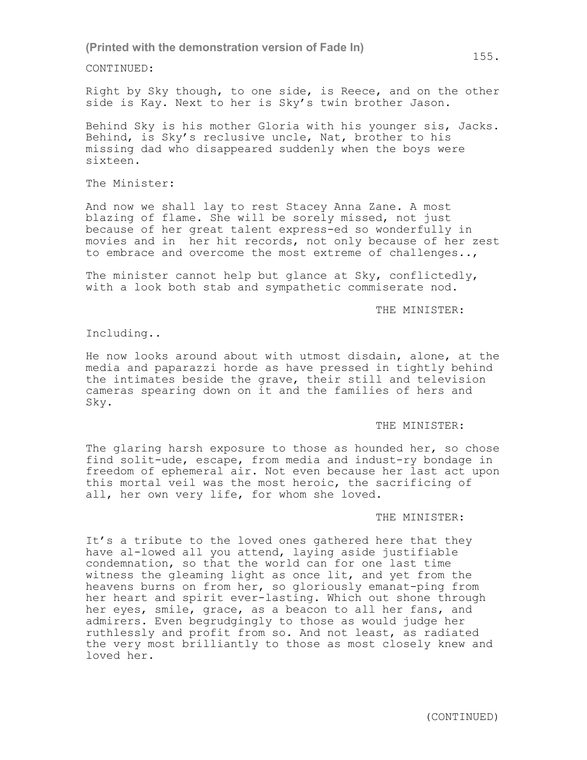CONTINUED:

Right by Sky though, to one side, is Reece, and on the other side is Kay. Next to her is Sky's twin brother Jason.

Behind Sky is his mother Gloria with his younger sis, Jacks. Behind, is Sky's reclusive uncle, Nat, brother to his missing dad who disappeared suddenly when the boys were sixteen.

The Minister:

And now we shall lay to rest Stacey Anna Zane. A most blazing of flame. She will be sorely missed, not just because of her great talent express-ed so wonderfully in movies and in her hit records, not only because of her zest to embrace and overcome the most extreme of challenges..,

The minister cannot help but glance at Sky, conflictedly, with a look both stab and sympathetic commiserate nod.

THE MINISTER:

Including..

He now looks around about with utmost disdain, alone, at the media and paparazzi horde as have pressed in tightly behind the intimates beside the grave, their still and television cameras spearing down on it and the families of hers and Sky.

## THE MINISTER:

The glaring harsh exposure to those as hounded her, so chose find solit-ude, escape, from media and indust-ry bondage in freedom of ephemeral air. Not even because her last act upon this mortal veil was the most heroic, the sacrificing of all, her own very life, for whom she loved.

## THE MINISTER:

It's a tribute to the loved ones gathered here that they have al-lowed all you attend, laying aside justifiable condemnation, so that the world can for one last time witness the gleaming light as once lit, and yet from the heavens burns on from her, so gloriously emanat-ping from her heart and spirit ever-lasting. Which out shone through her eyes, smile, grace, as a beacon to all her fans, and admirers. Even begrudgingly to those as would judge her ruthlessly and profit from so. And not least, as radiated the very most brilliantly to those as most closely knew and loved her.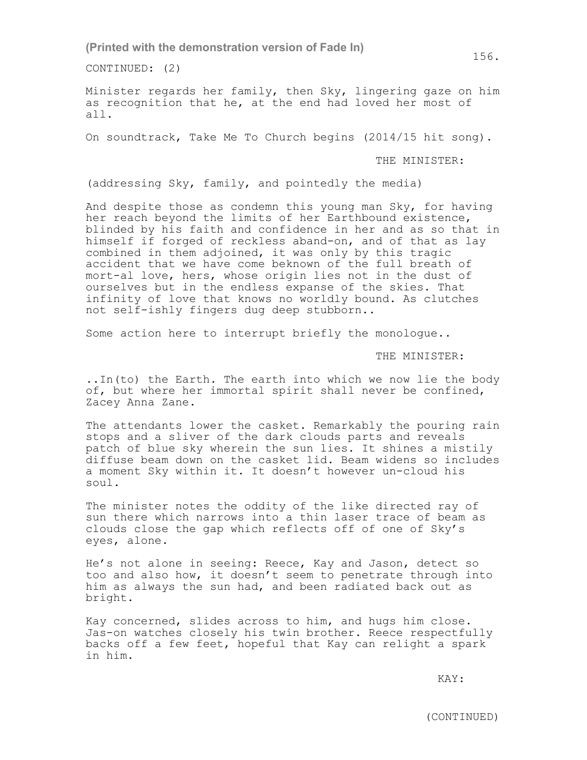CONTINUED: (2)

Minister regards her family, then Sky, lingering gaze on him as recognition that he, at the end had loved her most of all.

On soundtrack, Take Me To Church begins (2014/15 hit song).

THE MINISTER:

(addressing Sky, family, and pointedly the media)

And despite those as condemn this young man Sky, for having her reach beyond the limits of her Earthbound existence, blinded by his faith and confidence in her and as so that in himself if forged of reckless aband-on, and of that as lay combined in them adjoined, it was only by this tragic accident that we have come beknown of the full breath of mort-al love, hers, whose origin lies not in the dust of ourselves but in the endless expanse of the skies. That infinity of love that knows no worldly bound. As clutches not self-ishly fingers dug deep stubborn..

Some action here to interrupt briefly the monologue..

THE MINISTER:

..In(to) the Earth. The earth into which we now lie the body of, but where her immortal spirit shall never be confined, Zacey Anna Zane.

The attendants lower the casket. Remarkably the pouring rain stops and a sliver of the dark clouds parts and reveals patch of blue sky wherein the sun lies. It shines a mistily diffuse beam down on the casket lid. Beam widens so includes a moment Sky within it. It doesn't however un-cloud his soul.

The minister notes the oddity of the like directed ray of sun there which narrows into a thin laser trace of beam as clouds close the gap which reflects off of one of Sky's eyes, alone.

He's not alone in seeing: Reece, Kay and Jason, detect so too and also how, it doesn't seem to penetrate through into him as always the sun had, and been radiated back out as bright.

Kay concerned, slides across to him, and hugs him close. Jas-on watches closely his twin brother. Reece respectfully backs off a few feet, hopeful that Kay can relight a spark in him.

KAY:

156.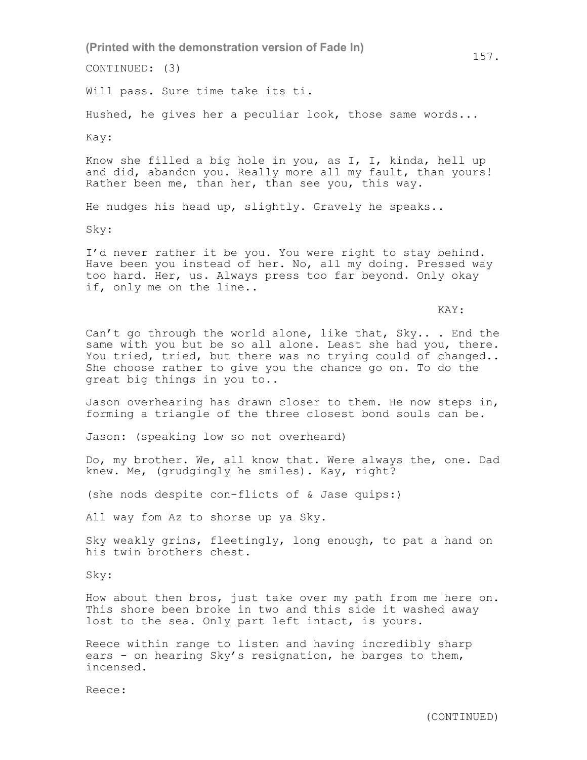CONTINUED: (3)

Will pass. Sure time take its ti.

Hushed, he gives her a peculiar look, those same words...

Kay:

Know she filled a big hole in you, as I, I, kinda, hell up and did, abandon you. Really more all my fault, than yours! Rather been me, than her, than see you, this way.

He nudges his head up, slightly. Gravely he speaks..

Sky:

I'd never rather it be you. You were right to stay behind. Have been you instead of her. No, all my doing. Pressed way too hard. Her, us. Always press too far beyond. Only okay if, only me on the line..

KAY:

157.

Can't go through the world alone, like that, Sky.. . End the same with you but be so all alone. Least she had you, there. You tried, tried, but there was no trying could of changed.. She choose rather to give you the chance go on. To do the great big things in you to..

Jason overhearing has drawn closer to them. He now steps in, forming a triangle of the three closest bond souls can be.

Jason: (speaking low so not overheard)

Do, my brother. We, all know that. Were always the, one. Dad knew. Me, (grudgingly he smiles). Kay, right?

(she nods despite con-flicts of & Jase quips:)

All way fom Az to shorse up ya Sky.

Sky weakly grins, fleetingly, long enough, to pat a hand on his twin brothers chest.

Sky:

How about then bros, just take over my path from me here on. This shore been broke in two and this side it washed away lost to the sea. Only part left intact, is yours.

Reece within range to listen and having incredibly sharp ears - on hearing Sky's resignation, he barges to them, incensed.

Reece: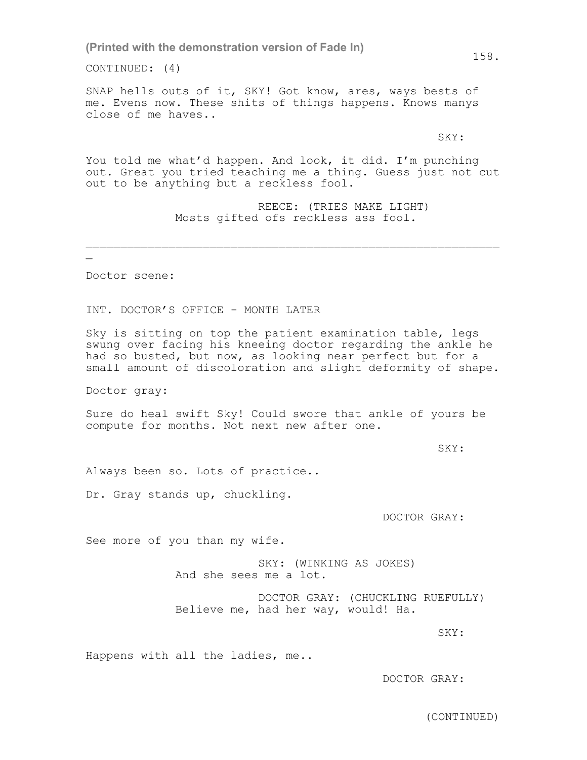CONTINUED: (4)

SNAP hells outs of it, SKY! Got know, ares, ways bests of me. Evens now. These shits of things happens. Knows manys close of me haves..

SKY:

You told me what'd happen. And look, it did. I'm punching out. Great you tried teaching me a thing. Guess just not cut out to be anything but a reckless fool.

> REECE: (TRIES MAKE LIGHT) Mosts gifted ofs reckless ass fool.

 $\overline{a}$ 

Doctor scene:

INT. DOCTOR'S OFFICE - MONTH LATER

Sky is sitting on top the patient examination table, legs swung over facing his kneeing doctor regarding the ankle he had so busted, but now, as looking near perfect but for a small amount of discoloration and slight deformity of shape.

Doctor gray:

Sure do heal swift Sky! Could swore that ankle of yours be compute for months. Not next new after one.

SKY:

Always been so. Lots of practice..

Dr. Gray stands up, chuckling.

DOCTOR GRAY:

See more of you than my wife.

SKY: (WINKING AS JOKES) And she sees me a lot.

DOCTOR GRAY: (CHUCKLING RUEFULLY) Believe me, had her way, would! Ha.

SKY:

Happens with all the ladies, me..

DOCTOR GRAY:

158.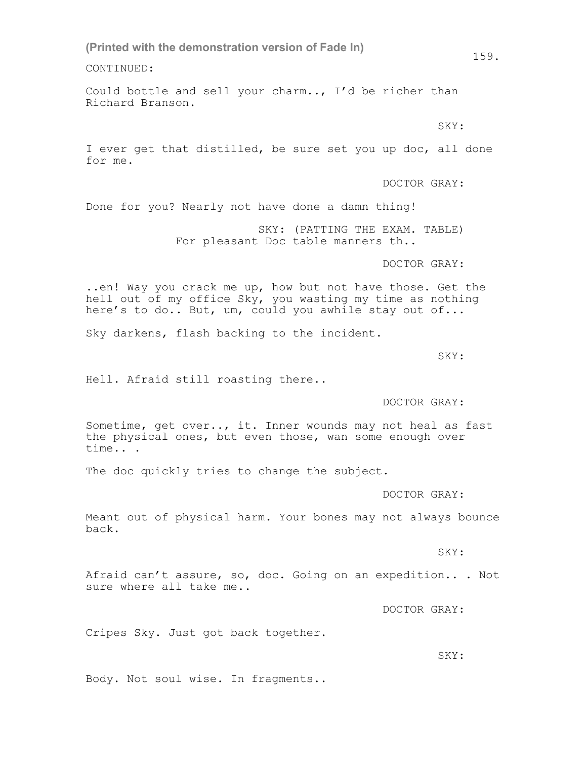CONTINUED:

Could bottle and sell your charm.., I'd be richer than Richard Branson.

SKY:

I ever get that distilled, be sure set you up doc, all done for me.

DOCTOR GRAY:

Done for you? Nearly not have done a damn thing!

SKY: (PATTING THE EXAM. TABLE) For pleasant Doc table manners th..

DOCTOR GRAY:

..en! Way you crack me up, how but not have those. Get the hell out of my office Sky, you wasting my time as nothing here's to do.. But, um, could you awhile stay out of...

Sky darkens, flash backing to the incident.

SKY:

Hell. Afraid still roasting there..

DOCTOR GRAY:

Sometime, get over.., it. Inner wounds may not heal as fast the physical ones, but even those, wan some enough over time.. .

The doc quickly tries to change the subject.

DOCTOR GRAY:

Meant out of physical harm. Your bones may not always bounce back.

SKY:

Afraid can't assure, so, doc. Going on an expedition.. . Not sure where all take me..

DOCTOR GRAY:

Cripes Sky. Just got back together.

SKY:

Body. Not soul wise. In fragments..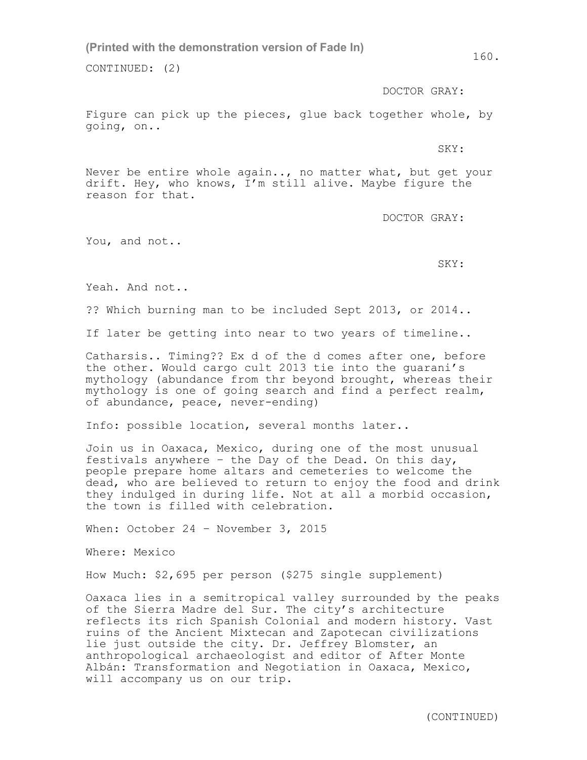CONTINUED: (2)

DOCTOR GRAY:

Figure can pick up the pieces, glue back together whole, by going, on..

SKY:

Never be entire whole again.., no matter what, but get your drift. Hey, who knows, I'm still alive. Maybe figure the reason for that.

DOCTOR GRAY:

You, and not..

SKY:

Yeah. And not..

?? Which burning man to be included Sept 2013, or 2014..

If later be getting into near to two years of timeline..

Catharsis.. Timing?? Ex d of the d comes after one, before the other. Would cargo cult 2013 tie into the guarani's mythology (abundance from thr beyond brought, whereas their mythology is one of going search and find a perfect realm, of abundance, peace, never-ending)

Info: possible location, several months later..

Join us in Oaxaca, Mexico, during one of the most unusual festivals anywhere – the Day of the Dead. On this day, people prepare home altars and cemeteries to welcome the dead, who are believed to return to enjoy the food and drink they indulged in during life. Not at all a morbid occasion, the town is filled with celebration.

When: October 24 - November 3, 2015

Where: Mexico

How Much: \$2,695 per person (\$275 single supplement)

Oaxaca lies in a semitropical valley surrounded by the peaks of the Sierra Madre del Sur. The city's architecture reflects its rich Spanish Colonial and modern history. Vast ruins of the Ancient Mixtecan and Zapotecan civilizations lie just outside the city. Dr. Jeffrey Blomster, an anthropological archaeologist and editor of After Monte Albán: Transformation and Negotiation in Oaxaca, Mexico, will accompany us on our trip.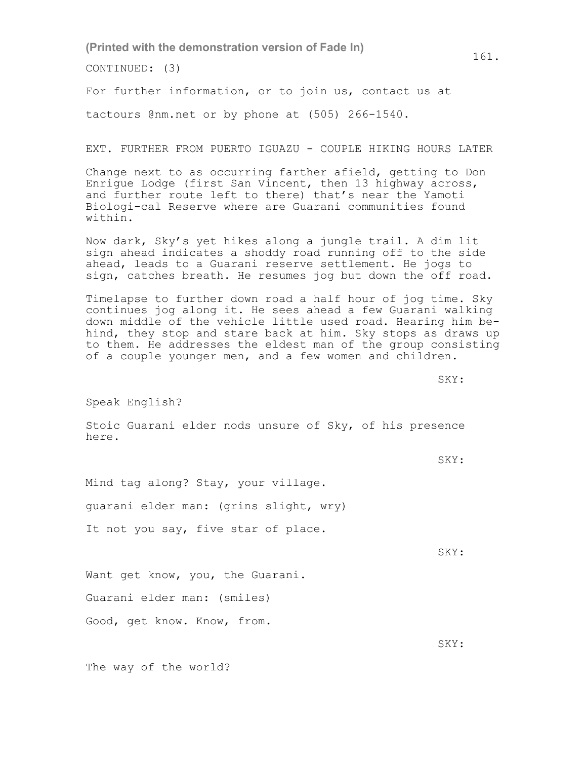CONTINUED: (3)

For further information, or to join us, contact us at

tactours @nm.net or by phone at (505) 266-1540.

EXT. FURTHER FROM PUERTO IGUAZU - COUPLE HIKING HOURS LATER

Change next to as occurring farther afield, getting to Don Enrigue Lodge (first San Vincent, then 13 highway across, and further route left to there) that's near the Yamoti Biologi-cal Reserve where are Guarani communities found within.

Now dark, Sky's yet hikes along a jungle trail. A dim lit sign ahead indicates a shoddy road running off to the side ahead, leads to a Guarani reserve settlement. He jogs to sign, catches breath. He resumes jog but down the off road.

Timelapse to further down road a half hour of jog time. Sky continues jog along it. He sees ahead a few Guarani walking down middle of the vehicle little used road. Hearing him behind, they stop and stare back at him. Sky stops as draws up to them. He addresses the eldest man of the group consisting of a couple younger men, and a few women and children.

SKY:

Speak English?

Stoic Guarani elder nods unsure of Sky, of his presence here.

SKY:

Mind tag along? Stay, your village.

guarani elder man: (grins slight, wry)

It not you say, five star of place.

SKY:

Want get know, you, the Guarani.

Guarani elder man: (smiles)

Good, get know. Know, from.

SKY:

The way of the world?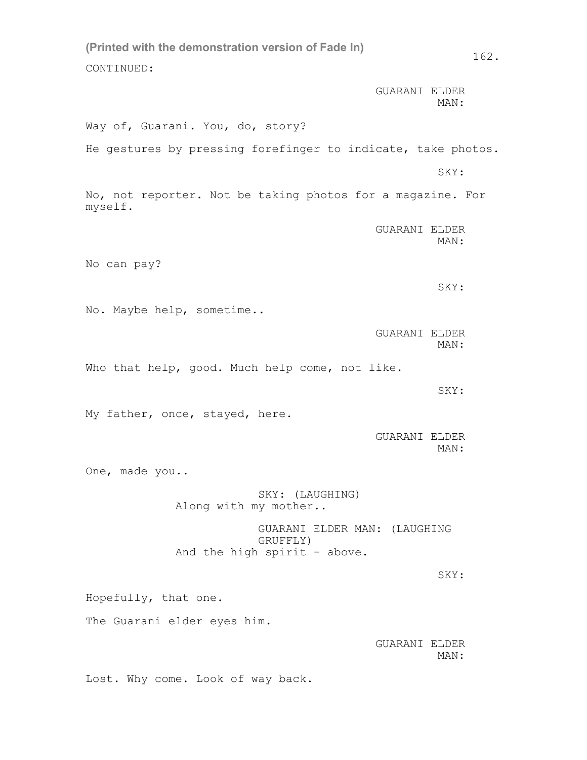GUARANI ELDER MAN: Way of, Guarani. You, do, story? He gestures by pressing forefinger to indicate, take photos. SKY: No, not reporter. Not be taking photos for a magazine. For myself. GUARANI ELDER MAN: No can pay? SKY: No. Maybe help, sometime.. GUARANI ELDER MAN: Who that help, good. Much help come, not like. SKY: My father, once, stayed, here. GUARANI ELDER MAN: One, made you.. SKY: (LAUGHING) Along with my mother.. GUARANI ELDER MAN: (LAUGHING GRUFFLY) And the high spirit - above. SKY: Hopefully, that one. The Guarani elder eyes him. GUARANI ELDER MAN: Lost. Why come. Look of way back. CONTINUED: 162. **(Printed with the demonstration version of Fade In)**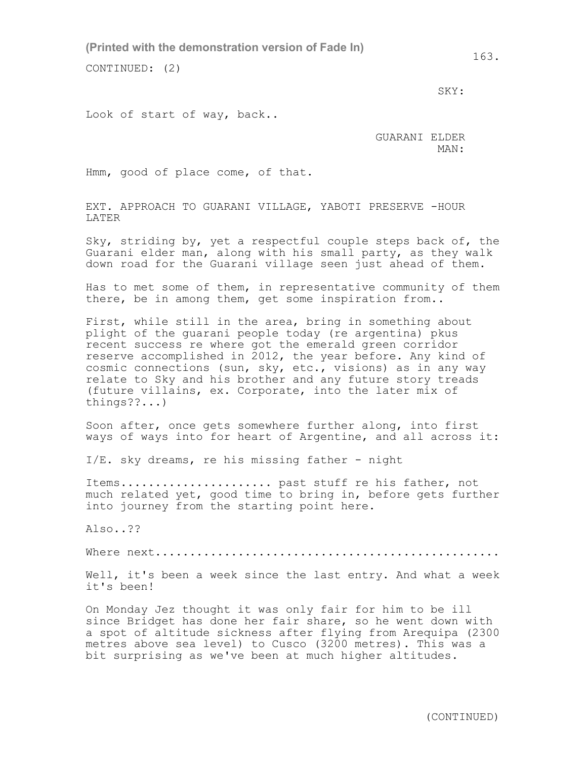CONTINUED: (2)

SKY:

163.

Look of start of way, back..

GUARANI ELDER MAN:

Hmm, good of place come, of that.

EXT. APPROACH TO GUARANI VILLAGE, YABOTI PRESERVE -HOUR LATER

Sky, striding by, yet a respectful couple steps back of, the Guarani elder man, along with his small party, as they walk down road for the Guarani village seen just ahead of them.

Has to met some of them, in representative community of them there, be in among them, get some inspiration from..

First, while still in the area, bring in something about plight of the guarani people today (re argentina) pkus recent success re where got the emerald green corridor reserve accomplished in 2012, the year before. Any kind of cosmic connections (sun, sky, etc., visions) as in any way relate to Sky and his brother and any future story treads (future villains, ex. Corporate, into the later mix of things??...)

Soon after, once gets somewhere further along, into first ways of ways into for heart of Argentine, and all across it:

I/E. sky dreams, re his missing father - night

Items...................... past stuff re his father, not much related yet, good time to bring in, before gets further into journey from the starting point here.

Also..??

Where next..................................................

Well, it's been a week since the last entry. And what a week it's been!

On Monday Jez thought it was only fair for him to be ill since Bridget has done her fair share, so he went down with a spot of altitude sickness after flying from Arequipa (2300 metres above sea level) to Cusco (3200 metres). This was a bit surprising as we've been at much higher altitudes.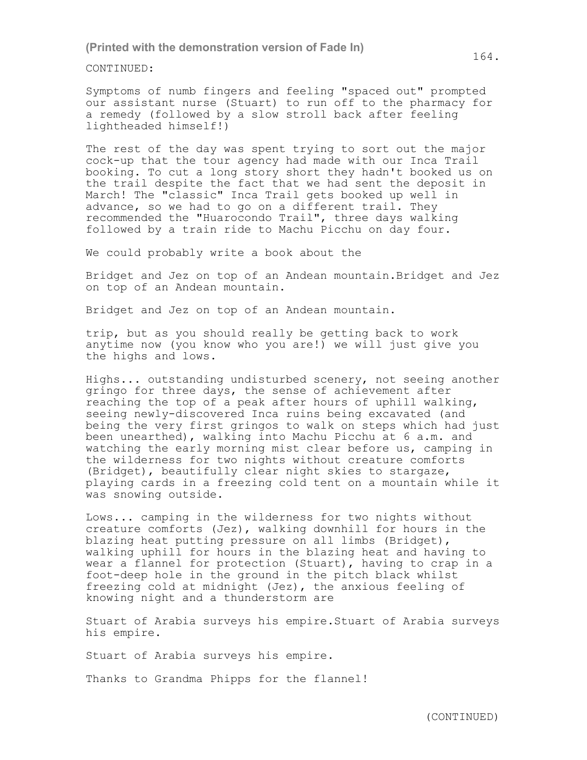CONTINUED:

Symptoms of numb fingers and feeling "spaced out" prompted our assistant nurse (Stuart) to run off to the pharmacy for a remedy (followed by a slow stroll back after feeling lightheaded himself!)

The rest of the day was spent trying to sort out the major cock-up that the tour agency had made with our Inca Trail booking. To cut a long story short they hadn't booked us on the trail despite the fact that we had sent the deposit in March! The "classic" Inca Trail gets booked up well in advance, so we had to go on a different trail. They recommended the "Huarocondo Trail", three days walking followed by a train ride to Machu Picchu on day four.

We could probably write a book about the

Bridget and Jez on top of an Andean mountain.Bridget and Jez on top of an Andean mountain.

Bridget and Jez on top of an Andean mountain.

trip, but as you should really be getting back to work anytime now (you know who you are!) we will just give you the highs and lows.

Highs... outstanding undisturbed scenery, not seeing another gringo for three days, the sense of achievement after reaching the top of a peak after hours of uphill walking, seeing newly-discovered Inca ruins being excavated (and being the very first gringos to walk on steps which had just been unearthed), walking into Machu Picchu at 6 a.m. and watching the early morning mist clear before us, camping in the wilderness for two nights without creature comforts (Bridget), beautifully clear night skies to stargaze, playing cards in a freezing cold tent on a mountain while it was snowing outside.

Lows... camping in the wilderness for two nights without creature comforts (Jez), walking downhill for hours in the blazing heat putting pressure on all limbs (Bridget), walking uphill for hours in the blazing heat and having to wear a flannel for protection (Stuart), having to crap in a foot-deep hole in the ground in the pitch black whilst freezing cold at midnight (Jez), the anxious feeling of knowing night and a thunderstorm are

Stuart of Arabia surveys his empire.Stuart of Arabia surveys his empire.

Stuart of Arabia surveys his empire.

Thanks to Grandma Phipps for the flannel!